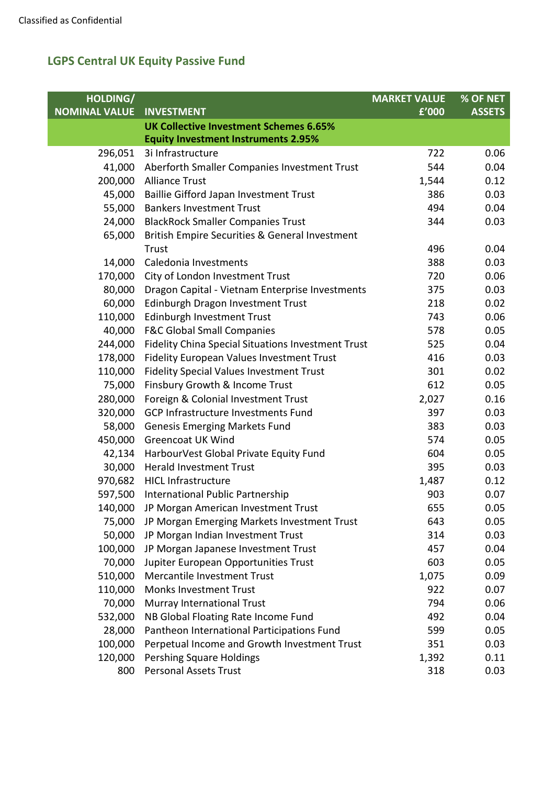| HOLDING/             |                                                    | <b>MARKET VALUE</b> | % OF NET      |
|----------------------|----------------------------------------------------|---------------------|---------------|
| <b>NOMINAL VALUE</b> | <b>INVESTMENT</b>                                  | f'000               | <b>ASSETS</b> |
|                      | <b>UK Collective Investment Schemes 6.65%</b>      |                     |               |
|                      | <b>Equity Investment Instruments 2.95%</b>         |                     |               |
| 296,051              | 3i Infrastructure                                  | 722                 | 0.06          |
| 41,000               | Aberforth Smaller Companies Investment Trust       | 544                 | 0.04          |
| 200,000              | <b>Alliance Trust</b>                              | 1,544               | 0.12          |
| 45,000               | Baillie Gifford Japan Investment Trust             | 386                 | 0.03          |
| 55,000               | <b>Bankers Investment Trust</b>                    | 494                 | 0.04          |
| 24,000               | <b>BlackRock Smaller Companies Trust</b>           | 344                 | 0.03          |
| 65,000               | British Empire Securities & General Investment     |                     |               |
|                      | Trust                                              | 496                 | 0.04          |
| 14,000               | Caledonia Investments                              | 388                 | 0.03          |
| 170,000              | City of London Investment Trust                    | 720                 | 0.06          |
| 80,000               | Dragon Capital - Vietnam Enterprise Investments    | 375                 | 0.03          |
| 60,000               | Edinburgh Dragon Investment Trust                  | 218                 | 0.02          |
| 110,000              | Edinburgh Investment Trust                         | 743                 | 0.06          |
| 40,000               | <b>F&amp;C Global Small Companies</b>              | 578                 | 0.05          |
| 244,000              | Fidelity China Special Situations Investment Trust | 525                 | 0.04          |
| 178,000              | Fidelity European Values Investment Trust          | 416                 | 0.03          |
| 110,000              | <b>Fidelity Special Values Investment Trust</b>    | 301                 | 0.02          |
| 75,000               | Finsbury Growth & Income Trust                     | 612                 | 0.05          |
| 280,000              | Foreign & Colonial Investment Trust                | 2,027               | 0.16          |
| 320,000              | <b>GCP Infrastructure Investments Fund</b>         | 397                 | 0.03          |
| 58,000               | <b>Genesis Emerging Markets Fund</b>               | 383                 | 0.03          |
| 450,000              | <b>Greencoat UK Wind</b>                           | 574                 | 0.05          |
| 42,134               | HarbourVest Global Private Equity Fund             | 604                 | 0.05          |
| 30,000               | <b>Herald Investment Trust</b>                     | 395                 | 0.03          |
|                      | 970,682 HICL Infrastructure                        | 1,487               | 0.12          |
| 597,500              | International Public Partnership                   | 903                 | 0.07          |
|                      | 140,000 JP Morgan American Investment Trust        | 655                 | 0.05          |
| 75,000               | JP Morgan Emerging Markets Investment Trust        | 643                 | 0.05          |
| 50,000               | JP Morgan Indian Investment Trust                  | 314                 | 0.03          |
| 100,000              | JP Morgan Japanese Investment Trust                | 457                 | 0.04          |
| 70,000               | Jupiter European Opportunities Trust               | 603                 | 0.05          |
| 510,000              | Mercantile Investment Trust                        | 1,075               | 0.09          |
| 110,000              | <b>Monks Investment Trust</b>                      | 922                 | 0.07          |
| 70,000               | Murray International Trust                         | 794                 | 0.06          |
| 532,000              | NB Global Floating Rate Income Fund                | 492                 | 0.04          |
| 28,000               | Pantheon International Participations Fund         | 599                 | 0.05          |
| 100,000              | Perpetual Income and Growth Investment Trust       | 351                 | 0.03          |
| 120,000              | <b>Pershing Square Holdings</b>                    | 1,392               | 0.11          |
| 800                  | <b>Personal Assets Trust</b>                       | 318                 | 0.03          |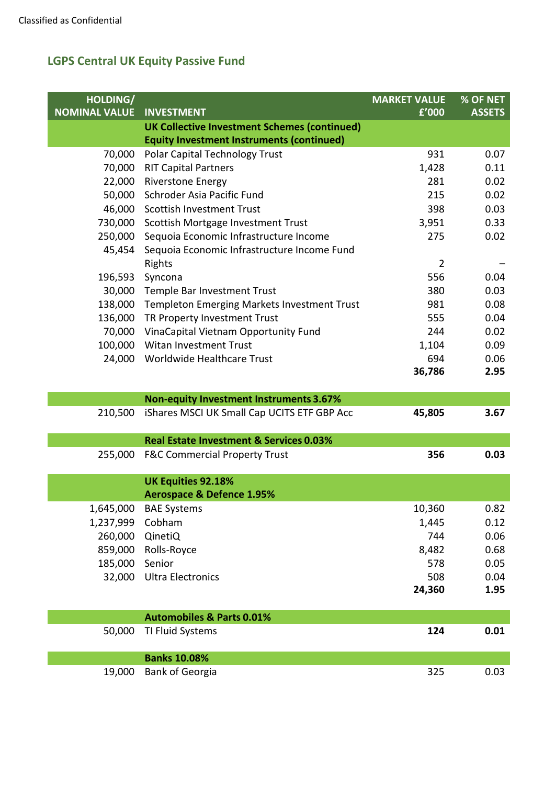| HOLDING/             |                                                       | <b>MARKET VALUE</b> | % OF NET      |
|----------------------|-------------------------------------------------------|---------------------|---------------|
| <b>NOMINAL VALUE</b> | <b>INVESTMENT</b>                                     | f'000               | <b>ASSETS</b> |
|                      | <b>UK Collective Investment Schemes (continued)</b>   |                     |               |
|                      | <b>Equity Investment Instruments (continued)</b>      |                     |               |
| 70,000               | Polar Capital Technology Trust                        | 931                 | 0.07          |
| 70,000               | <b>RIT Capital Partners</b>                           | 1,428               | 0.11          |
| 22,000               | <b>Riverstone Energy</b>                              | 281                 | 0.02          |
| 50,000               | Schroder Asia Pacific Fund                            | 215                 | 0.02          |
| 46,000               | <b>Scottish Investment Trust</b>                      | 398                 | 0.03          |
| 730,000              | Scottish Mortgage Investment Trust                    | 3,951               | 0.33          |
| 250,000              | Sequoia Economic Infrastructure Income                | 275                 | 0.02          |
| 45,454               | Sequoia Economic Infrastructure Income Fund<br>Rights | $\overline{2}$      |               |
| 196,593              | Syncona                                               | 556                 | 0.04          |
| 30,000               | Temple Bar Investment Trust                           | 380                 | 0.03          |
| 138,000              | <b>Templeton Emerging Markets Investment Trust</b>    | 981                 | 0.08          |
| 136,000              | TR Property Investment Trust                          | 555                 | 0.04          |
| 70,000               | VinaCapital Vietnam Opportunity Fund                  | 244                 | 0.02          |
| 100,000              | <b>Witan Investment Trust</b>                         | 1,104               | 0.09          |
| 24,000               | Worldwide Healthcare Trust                            | 694                 | 0.06          |
|                      |                                                       | 36,786              | 2.95          |
|                      |                                                       |                     |               |
|                      | <b>Non-equity Investment Instruments 3.67%</b>        |                     |               |
| 210,500              | iShares MSCI UK Small Cap UCITS ETF GBP Acc           | 45,805              | 3.67          |
|                      |                                                       |                     |               |
|                      | Real Estate Investment & Services 0.03%               |                     |               |
| 255,000              | <b>F&amp;C Commercial Property Trust</b>              | 356                 | 0.03          |
|                      | <b>UK Equities 92.18%</b>                             |                     |               |
|                      | <b>Aerospace &amp; Defence 1.95%</b>                  |                     |               |
|                      | 1,645,000 BAE Systems                                 | 10,360              | 0.82          |
| 1,237,999            | Cobham                                                | 1,445               | 0.12          |
| 260,000              | QinetiQ                                               | 744                 | 0.06          |
| 859,000              | Rolls-Royce                                           | 8,482               | 0.68          |
| 185,000              | Senior                                                | 578                 | 0.05          |
| 32,000               | <b>Ultra Electronics</b>                              | 508                 | 0.04          |
|                      |                                                       | 24,360              | 1.95          |
|                      |                                                       |                     |               |
|                      | <b>Automobiles &amp; Parts 0.01%</b>                  |                     |               |
| 50,000               | TI Fluid Systems                                      | 124                 | 0.01          |
|                      |                                                       |                     |               |
|                      | <b>Banks 10.08%</b>                                   |                     |               |
| 19,000               | <b>Bank of Georgia</b>                                | 325                 | 0.03          |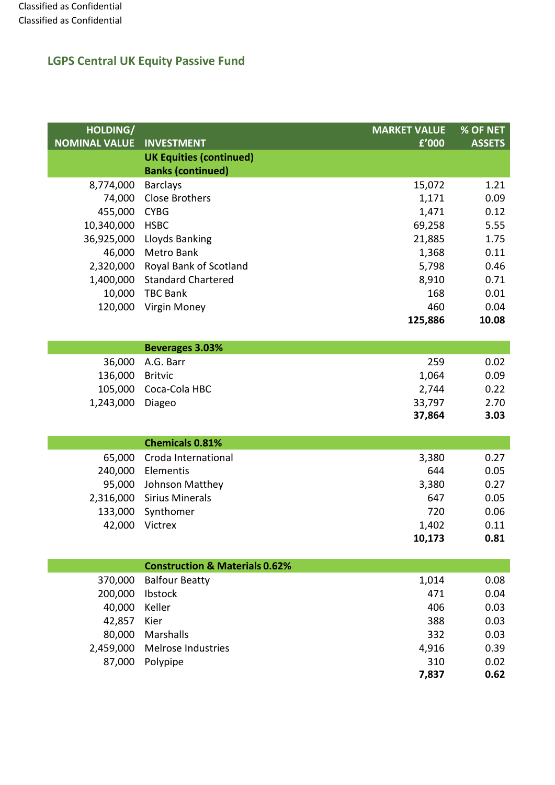| HOLDING/             |                                           | <b>MARKET VALUE</b> | % OF NET      |
|----------------------|-------------------------------------------|---------------------|---------------|
| <b>NOMINAL VALUE</b> | <b>INVESTMENT</b>                         | £'000               | <b>ASSETS</b> |
|                      | <b>UK Equities (continued)</b>            |                     |               |
|                      | <b>Banks (continued)</b>                  |                     |               |
| 8,774,000            | <b>Barclays</b>                           | 15,072              | 1.21          |
| 74,000               | <b>Close Brothers</b>                     | 1,171               | 0.09          |
| 455,000              | <b>CYBG</b>                               | 1,471               | 0.12          |
| 10,340,000           | <b>HSBC</b>                               | 69,258              | 5.55          |
| 36,925,000           | Lloyds Banking                            | 21,885              | 1.75          |
| 46,000               | Metro Bank                                | 1,368               | 0.11          |
| 2,320,000            | Royal Bank of Scotland                    | 5,798               | 0.46          |
| 1,400,000            | <b>Standard Chartered</b>                 | 8,910               | 0.71          |
| 10,000               | <b>TBC Bank</b>                           | 168                 | 0.01          |
| 120,000              | Virgin Money                              | 460                 | 0.04          |
|                      |                                           | 125,886             | 10.08         |
|                      |                                           |                     |               |
|                      | <b>Beverages 3.03%</b>                    |                     |               |
| 36,000               | A.G. Barr                                 | 259                 | 0.02          |
| 136,000              | <b>Britvic</b>                            | 1,064               | 0.09          |
| 105,000              | Coca-Cola HBC                             | 2,744               | 0.22          |
| 1,243,000            | Diageo                                    | 33,797              | 2.70<br>3.03  |
|                      |                                           | 37,864              |               |
|                      | <b>Chemicals 0.81%</b>                    |                     |               |
| 65,000               | Croda International                       | 3,380               | 0.27          |
| 240,000              | Elementis                                 | 644                 | 0.05          |
| 95,000               | Johnson Matthey                           | 3,380               | 0.27          |
| 2,316,000            | <b>Sirius Minerals</b>                    | 647                 | 0.05          |
| 133,000              | Synthomer                                 | 720                 | 0.06          |
| 42,000               | Victrex                                   | 1,402               | 0.11          |
|                      |                                           | 10.173              | 0.81          |
|                      |                                           |                     |               |
|                      | <b>Construction &amp; Materials 0.62%</b> |                     |               |
| 370,000              | <b>Balfour Beatty</b>                     | 1,014               | 0.08          |
| 200,000              | Ibstock                                   | 471                 | 0.04          |
| 40,000               | Keller                                    | 406                 | 0.03          |
| 42,857               | Kier                                      | 388                 | 0.03          |
| 80,000               | Marshalls                                 | 332                 | 0.03          |
| 2,459,000            | Melrose Industries                        | 4,916               | 0.39          |
| 87,000               | Polypipe                                  | 310                 | 0.02          |
|                      |                                           | 7,837               | 0.62          |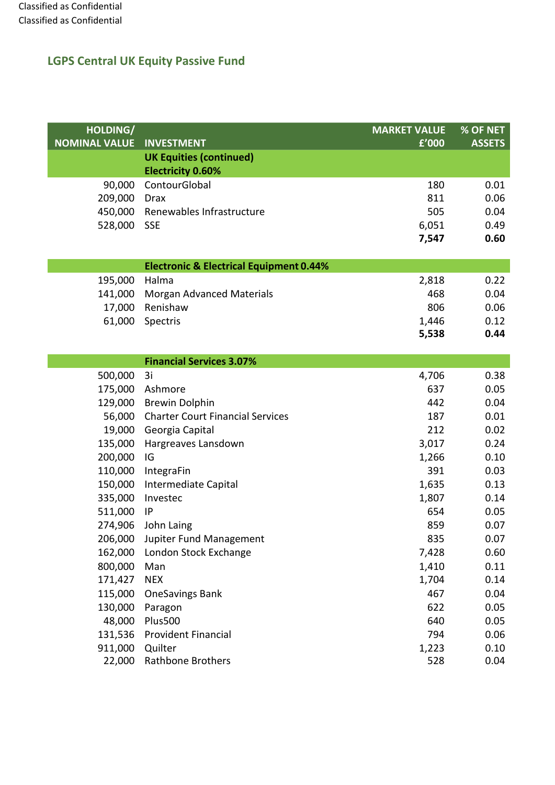| HOLDING/             |                                                    | <b>MARKET VALUE</b> | $%$ OF NET    |
|----------------------|----------------------------------------------------|---------------------|---------------|
| <b>NOMINAL VALUE</b> | <b>INVESTMENT</b>                                  | f'000               | <b>ASSETS</b> |
|                      | <b>UK Equities (continued)</b>                     |                     |               |
|                      | <b>Electricity 0.60%</b>                           |                     |               |
| 90,000               | ContourGlobal                                      | 180                 | 0.01          |
| 209,000              | <b>Drax</b>                                        | 811                 | 0.06          |
| 450,000              | Renewables Infrastructure                          | 505                 | 0.04          |
| 528,000              | <b>SSE</b>                                         | 6,051               | 0.49          |
|                      |                                                    | 7,547               | 0.60          |
|                      |                                                    |                     |               |
|                      | <b>Electronic &amp; Electrical Equipment 0.44%</b> |                     |               |
| 195,000              | Halma                                              | 2,818               | 0.22          |
| 141,000              | <b>Morgan Advanced Materials</b>                   | 468                 | 0.04          |
| 17,000               | Renishaw                                           | 806                 | 0.06          |
| 61,000               | Spectris                                           | 1,446               | 0.12          |
|                      |                                                    | 5,538               | 0.44          |
|                      |                                                    |                     |               |
|                      | <b>Financial Services 3.07%</b>                    |                     |               |
| 500,000              | 3i                                                 | 4,706               | 0.38          |
| 175,000              | Ashmore                                            | 637                 | 0.05          |
| 129,000              | <b>Brewin Dolphin</b>                              | 442                 | 0.04          |
| 56,000               | <b>Charter Court Financial Services</b>            | 187                 | 0.01          |
| 19,000               | Georgia Capital                                    | 212                 | 0.02          |
| 135,000              | Hargreaves Lansdown                                | 3,017               | 0.24          |
| 200,000              | IG                                                 | 1,266               | 0.10          |
| 110,000              | IntegraFin                                         | 391                 | 0.03          |
| 150,000              | Intermediate Capital                               | 1,635               | 0.13          |
| 335,000              | Investec                                           | 1,807               | 0.14          |
| 511,000              | IP                                                 | 654                 | 0.05          |
| 274,906              | John Laing                                         | 859                 | 0.07          |
|                      | 206,000 Jupiter Fund Management                    | 835                 | 0.07          |
| 162,000              | London Stock Exchange                              | 7,428               | 0.60          |
| 800,000              | Man                                                | 1,410               | 0.11          |
| 171,427              | <b>NEX</b>                                         | 1,704               | 0.14          |
| 115,000              | <b>OneSavings Bank</b>                             | 467                 | 0.04          |
| 130,000              | Paragon                                            | 622                 | 0.05          |
| 48,000               | <b>Plus500</b>                                     | 640                 | 0.05          |
| 131,536              | <b>Provident Financial</b>                         | 794                 | 0.06          |
| 911,000              | Quilter                                            | 1,223               | 0.10          |
| 22,000               | <b>Rathbone Brothers</b>                           | 528                 | 0.04          |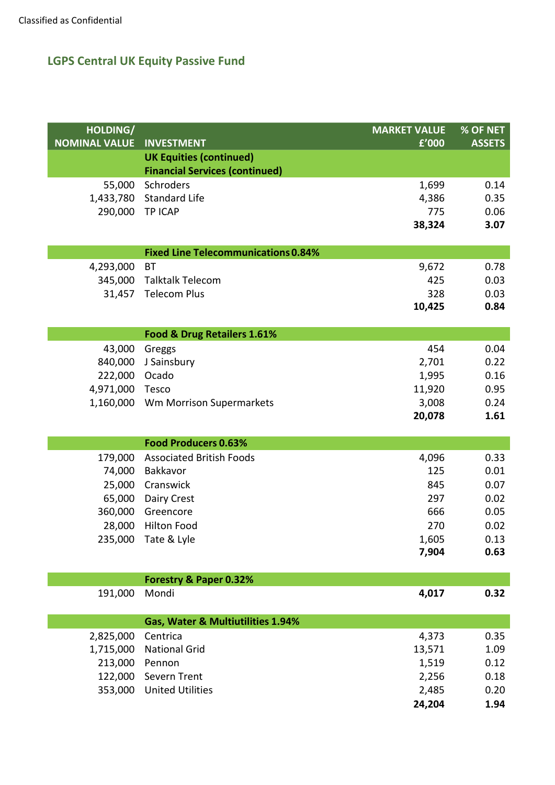| HOLDING/             |                                                    | <b>MARKET VALUE</b> | % OF NET      |
|----------------------|----------------------------------------------------|---------------------|---------------|
| <b>NOMINAL VALUE</b> | <b>INVESTMENT</b>                                  | £'000               | <b>ASSETS</b> |
|                      | <b>UK Equities (continued)</b>                     |                     |               |
|                      | <b>Financial Services (continued)</b><br>Schroders |                     |               |
| 55,000<br>1,433,780  | <b>Standard Life</b>                               | 1,699<br>4,386      | 0.14<br>0.35  |
| 290,000              | <b>TP ICAP</b>                                     | 775                 | 0.06          |
|                      |                                                    | 38,324              | 3.07          |
|                      |                                                    |                     |               |
|                      | <b>Fixed Line Telecommunications 0.84%</b>         |                     |               |
| 4,293,000            | <b>BT</b>                                          | 9,672               | 0.78          |
|                      | 345,000 Talktalk Telecom                           | 425                 | 0.03          |
| 31,457               | <b>Telecom Plus</b>                                | 328                 | 0.03          |
|                      |                                                    | 10,425              | 0.84          |
|                      |                                                    |                     |               |
|                      | Food & Drug Retailers 1.61%                        |                     |               |
| 43,000               | Greggs                                             | 454                 | 0.04          |
| 840,000              | J Sainsbury                                        | 2,701               | 0.22          |
| 222,000              | Ocado                                              | 1,995               | 0.16          |
| 4,971,000            | Tesco                                              | 11,920              | 0.95          |
| 1,160,000            | Wm Morrison Supermarkets                           | 3,008               | 0.24          |
|                      |                                                    | 20,078              | 1.61          |
|                      | <b>Food Producers 0.63%</b>                        |                     |               |
| 179,000              | <b>Associated British Foods</b>                    | 4,096               | 0.33          |
| 74,000               | Bakkavor                                           | 125                 | 0.01          |
| 25,000               | Cranswick                                          | 845                 | 0.07          |
| 65,000               | Dairy Crest                                        | 297                 | 0.02          |
| 360,000              | Greencore                                          | 666                 | 0.05          |
| 28,000               | <b>Hilton Food</b>                                 | 270                 | 0.02          |
|                      | 235,000 Tate & Lyle                                | 1,605               | 0.13          |
|                      |                                                    | 7,904               | 0.63          |
|                      |                                                    |                     |               |
|                      | Forestry & Paper 0.32%                             |                     |               |
| 191,000              | Mondi                                              | 4,017               | 0.32          |
|                      |                                                    |                     |               |
|                      | Gas, Water & Multiutilities 1.94%                  |                     |               |
| 2,825,000            | Centrica                                           | 4,373               | 0.35          |
| 1,715,000            | <b>National Grid</b>                               | 13,571              | 1.09          |
| 213,000              | Pennon                                             | 1,519               | 0.12          |
| 122,000              | Severn Trent                                       | 2,256               | 0.18          |
| 353,000              | <b>United Utilities</b>                            | 2,485               | 0.20          |
|                      |                                                    | 24,204              | 1.94          |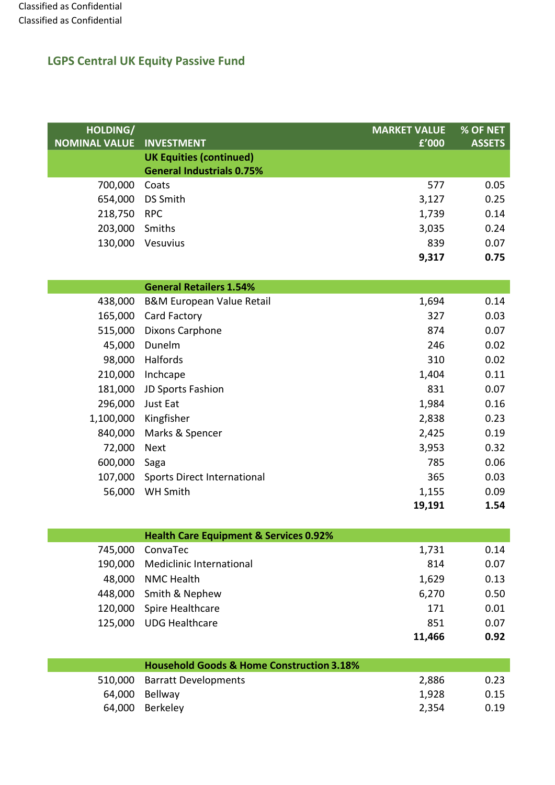| HOLDING/             |                                                      | <b>MARKET VALUE</b> | % OF NET      |
|----------------------|------------------------------------------------------|---------------------|---------------|
| <b>NOMINAL VALUE</b> | <b>INVESTMENT</b>                                    | £'000               | <b>ASSETS</b> |
|                      | <b>UK Equities (continued)</b>                       |                     |               |
|                      | <b>General Industrials 0.75%</b>                     |                     |               |
| 700,000              | Coats                                                | 577                 | 0.05          |
| 654,000              | <b>DS Smith</b>                                      | 3,127               | 0.25          |
| 218,750              | <b>RPC</b>                                           | 1,739               | 0.14          |
| 203,000              | Smiths                                               | 3,035               | 0.24          |
| 130,000              | Vesuvius                                             | 839                 | 0.07          |
|                      |                                                      | 9,317               | 0.75          |
|                      | <b>General Retailers 1.54%</b>                       |                     |               |
| 438,000              | <b>B&amp;M European Value Retail</b>                 | 1,694               | 0.14          |
| 165,000              | Card Factory                                         | 327                 | 0.03          |
| 515,000              | <b>Dixons Carphone</b>                               | 874                 | 0.07          |
| 45,000               | Dunelm                                               | 246                 | 0.02          |
| 98,000               | Halfords                                             | 310                 | 0.02          |
| 210,000              | Inchcape                                             | 1,404               | 0.11          |
| 181,000              | JD Sports Fashion                                    | 831                 | 0.07          |
| 296,000              | Just Eat                                             | 1,984               | 0.16          |
| 1,100,000            | Kingfisher                                           | 2,838               | 0.23          |
| 840,000              | Marks & Spencer                                      | 2,425               | 0.19          |
| 72,000               | <b>Next</b>                                          | 3,953               | 0.32          |
| 600,000              | Saga                                                 | 785                 | 0.06          |
| 107,000              | <b>Sports Direct International</b>                   | 365                 | 0.03          |
| 56,000               | WH Smith                                             | 1,155               | 0.09          |
|                      |                                                      | 19,191              | 1.54          |
|                      | <b>Health Care Equipment &amp; Services 0.92%</b>    |                     |               |
| 745,000              | ConvaTec                                             | 1,731               | 0.14          |
| 190,000              | <b>Mediclinic International</b>                      | 814                 | 0.07          |
| 48,000               | <b>NMC Health</b>                                    | 1,629               | 0.13          |
| 448,000              | Smith & Nephew                                       | 6,270               | 0.50          |
| 120,000              | Spire Healthcare                                     | 171                 | 0.01          |
| 125,000              | <b>UDG Healthcare</b>                                | 851                 | 0.07          |
|                      |                                                      | 11,466              | 0.92          |
|                      |                                                      |                     |               |
|                      | <b>Household Goods &amp; Home Construction 3.18%</b> |                     |               |
| 510,000              | <b>Barratt Developments</b>                          | 2,886               | 0.23          |
| 64,000               | Bellway                                              | 1,928               | 0.15          |
| 64,000               | Berkeley                                             | 2,354               | 0.19          |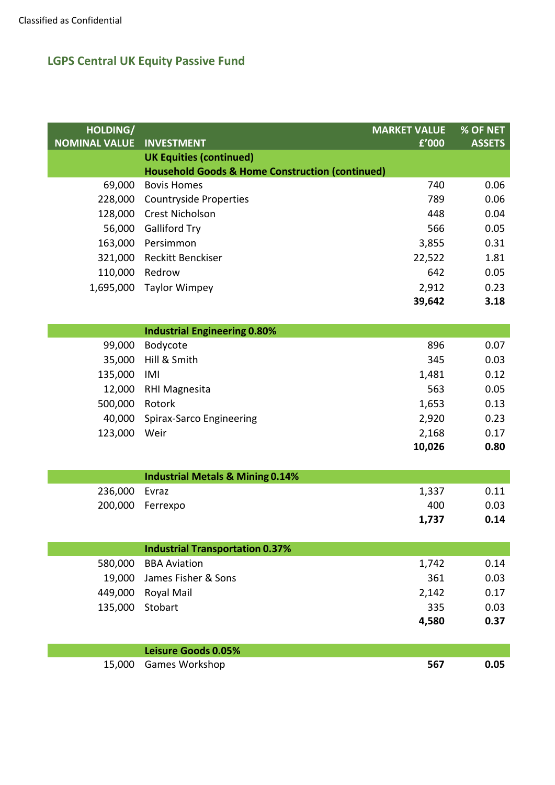| HOLDING/             |                                                            | <b>MARKET VALUE</b> | % OF NET      |
|----------------------|------------------------------------------------------------|---------------------|---------------|
| <b>NOMINAL VALUE</b> | <b>INVESTMENT</b>                                          | £'000               | <b>ASSETS</b> |
|                      | <b>UK Equities (continued)</b>                             |                     |               |
|                      | <b>Household Goods &amp; Home Construction (continued)</b> |                     |               |
| 69,000               | <b>Bovis Homes</b>                                         | 740                 | 0.06          |
| 228,000              | <b>Countryside Properties</b>                              | 789                 | 0.06          |
| 128,000              | Crest Nicholson                                            | 448                 | 0.04          |
| 56,000               | <b>Galliford Try</b>                                       | 566                 | 0.05          |
| 163,000              | Persimmon                                                  | 3,855               | 0.31          |
| 321,000              | <b>Reckitt Benckiser</b>                                   | 22,522              | 1.81          |
| 110,000              | Redrow                                                     | 642                 | 0.05          |
| 1,695,000            | <b>Taylor Wimpey</b>                                       | 2,912               | 0.23          |
|                      |                                                            | 39,642              | 3.18          |
|                      |                                                            |                     |               |
|                      | <b>Industrial Engineering 0.80%</b>                        |                     |               |
| 99,000               | Bodycote                                                   | 896                 | 0.07          |
| 35,000               | Hill & Smith                                               | 345                 | 0.03          |
| 135,000              | IMI                                                        | 1,481               | 0.12          |
| 12,000               | RHI Magnesita                                              | 563                 | 0.05          |
| 500,000              | Rotork                                                     | 1,653               | 0.13          |
| 40,000               | Spirax-Sarco Engineering                                   | 2,920               | 0.23          |
| 123,000              | Weir                                                       | 2,168               | 0.17          |
|                      |                                                            | 10,026              | 0.80          |
|                      |                                                            |                     |               |
|                      | <b>Industrial Metals &amp; Mining 0.14%</b>                |                     |               |
| 236,000              | Evraz                                                      | 1,337               | 0.11          |
| 200,000              | Ferrexpo                                                   | 400                 | 0.03          |
|                      |                                                            | 1,737               | 0.14          |
|                      |                                                            |                     |               |
|                      | <b>Industrial Transportation 0.37%</b>                     |                     |               |
| 580,000              | <b>BBA Aviation</b>                                        | 1,742               | 0.14          |
| 19,000               | James Fisher & Sons                                        | 361                 | 0.03          |
| 449,000              | Royal Mail                                                 | 2,142               | 0.17          |
| 135,000              | Stobart                                                    | 335                 | 0.03          |
|                      |                                                            | 4,580               | 0.37          |
|                      |                                                            |                     |               |
|                      | <b>Leisure Goods 0.05%</b>                                 |                     |               |
| 15,000               | Games Workshop                                             | 567                 | 0.05          |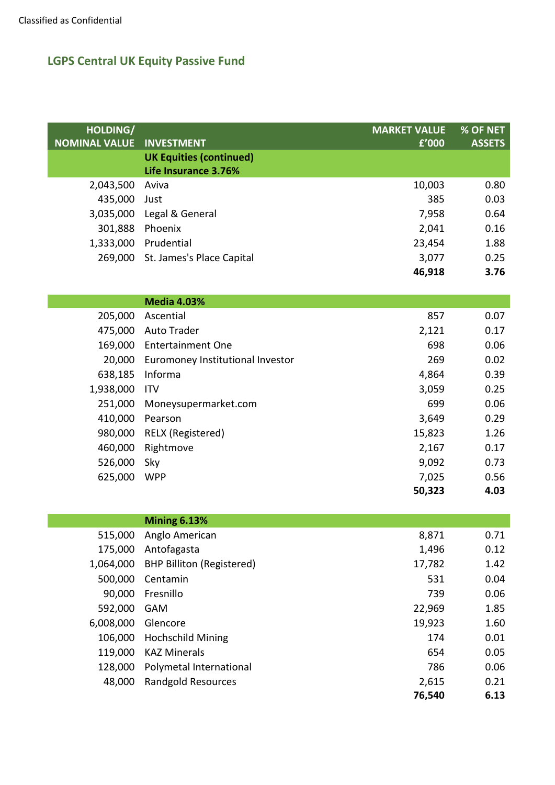| HOLDING/<br><b>NOMINAL VALUE</b> | <b>INVESTMENT</b>                 | <b>MARKET VALUE</b><br>f'000 | % OF NET<br><b>ASSETS</b> |
|----------------------------------|-----------------------------------|------------------------------|---------------------------|
|                                  | <b>UK Equities (continued)</b>    |                              |                           |
|                                  | Life Insurance 3.76%              |                              |                           |
| 2,043,500                        | Aviva                             | 10,003                       | 0.80                      |
| 435,000                          | Just                              | 385                          | 0.03                      |
| 3,035,000                        | Legal & General                   | 7,958                        | 0.64                      |
| 301,888                          | Phoenix                           | 2,041                        | 0.16                      |
|                                  | 1,333,000 Prudential              | 23,454                       | 1.88                      |
|                                  | 269,000 St. James's Place Capital | 3,077                        | 0.25                      |
|                                  |                                   | 46,918                       | 3.76                      |
|                                  |                                   |                              |                           |
|                                  | <b>Media 4.03%</b>                |                              |                           |
| 205,000                          | Ascential                         | 857                          | 0.07                      |
|                                  | 475,000 Auto Trader               | 2,121                        | 0.17                      |
|                                  | 169,000 Entertainment One         | 698                          | 0.06                      |
| 20,000                           | Euromoney Institutional Investor  | 269                          | 0.02                      |
| 638,185                          | Informa                           | 4,864                        | 0.39                      |
| 1,938,000                        | <b>ITV</b>                        | 3,059                        | 0.25                      |
| 251,000                          | Moneysupermarket.com              | 699                          | 0.06                      |
| 410,000                          | Pearson                           | 3,649                        | 0.29                      |
| 980,000                          | RELX (Registered)                 | 15,823                       | 1.26                      |
| 460,000                          | Rightmove                         | 2,167                        | 0.17                      |
| 526,000                          | Sky                               | 9,092                        | 0.73                      |
| 625,000                          | <b>WPP</b>                        | 7,025                        | 0.56                      |
|                                  |                                   | 50,323                       | 4.03                      |
|                                  |                                   |                              |                           |
|                                  | <b>Mining 6.13%</b>               |                              |                           |
| 515,000                          | Anglo American                    | 8,871                        | 0.71                      |
| 175,000                          | Antofagasta                       | 1,496                        | 0.12                      |
| 1,064,000                        | <b>BHP Billiton (Registered)</b>  | 17,782                       | 1.42                      |
| 500,000                          | Centamin                          | 531                          | 0.04                      |

|                    |                                 | 76,540     | 6.13 |
|--------------------|---------------------------------|------------|------|
| 48,000             | <b>Randgold Resources</b>       | 2,615      | 0.21 |
|                    | 128,000 Polymetal International | 786        | 0.06 |
|                    | 119,000 KAZ Minerals            | 654        | 0.05 |
|                    | 106,000 Hochschild Mining       | 174        | 0.01 |
| 6,008,000 Glencore |                                 | 19,923     | 1.60 |
| 592,000 GAM        |                                 | 22,969     | 1.85 |
| 90,000             | Fresnillo                       | 739        | 0.06 |
|                    | <b>JUU,UUU LEIILAIIIIII</b>     | <b>JJI</b> | v.v4 |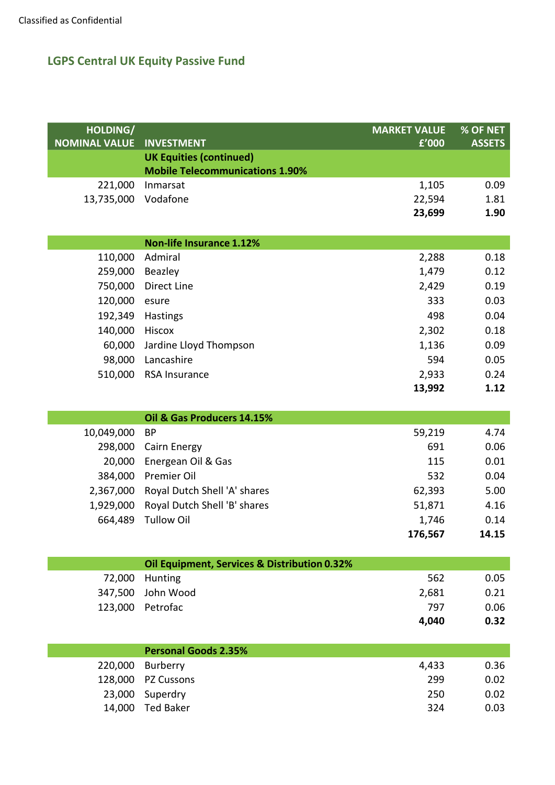| HOLDING/             |                                              | <b>MARKET VALUE</b> | % OF NET      |
|----------------------|----------------------------------------------|---------------------|---------------|
| <b>NOMINAL VALUE</b> | <b>INVESTMENT</b>                            | f'000               | <b>ASSETS</b> |
|                      | <b>UK Equities (continued)</b>               |                     |               |
|                      | <b>Mobile Telecommunications 1.90%</b>       |                     |               |
| 221,000              | Inmarsat                                     | 1,105               | 0.09          |
| 13,735,000           | Vodafone                                     | 22,594              | 1.81          |
|                      |                                              | 23,699              | 1.90          |
|                      |                                              |                     |               |
|                      | <b>Non-life Insurance 1.12%</b>              |                     |               |
| 110,000              | Admiral                                      | 2,288               | 0.18          |
| 259,000              | Beazley                                      | 1,479               | 0.12          |
| 750,000              | Direct Line                                  | 2,429               | 0.19          |
| 120,000              | esure                                        | 333                 | 0.03          |
| 192,349              | Hastings                                     | 498                 | 0.04          |
| 140,000              | Hiscox                                       | 2,302               | 0.18          |
| 60,000               | Jardine Lloyd Thompson                       | 1,136               | 0.09          |
| 98,000               | Lancashire                                   | 594                 | 0.05          |
| 510,000              | RSA Insurance                                | 2,933               | 0.24          |
|                      |                                              | 13,992              | 1.12          |
|                      |                                              |                     |               |
|                      | Oil & Gas Producers 14.15%                   |                     |               |
| 10,049,000           | <b>BP</b>                                    | 59,219              | 4.74          |
| 298,000              | Cairn Energy                                 | 691                 | 0.06          |
| 20,000               | Energean Oil & Gas                           | 115                 | 0.01          |
| 384,000              | Premier Oil                                  | 532                 | 0.04          |
| 2,367,000            | Royal Dutch Shell 'A' shares                 | 62,393              | 5.00          |
| 1,929,000            | Royal Dutch Shell 'B' shares                 | 51,871              | 4.16          |
| 664,489              | <b>Tullow Oil</b>                            | 1,746               | 0.14          |
|                      |                                              | 176,567             | 14.15         |
|                      |                                              |                     |               |
|                      | Oil Equipment, Services & Distribution 0.32% |                     |               |
| 72,000               | Hunting                                      | 562                 | 0.05          |
| 347,500              | John Wood                                    | 2,681               | 0.21          |
| 123,000              | Petrofac                                     | 797                 | 0.06          |
|                      |                                              | 4,040               | 0.32          |
|                      |                                              |                     |               |
|                      | <b>Personal Goods 2.35%</b>                  |                     |               |
| 220,000              | Burberry                                     | 4,433               | 0.36          |
| 128,000              | PZ Cussons                                   | 299                 | 0.02          |
| 23,000               | Superdry                                     | 250                 | 0.02          |
| 14,000               | <b>Ted Baker</b>                             | 324                 | 0.03          |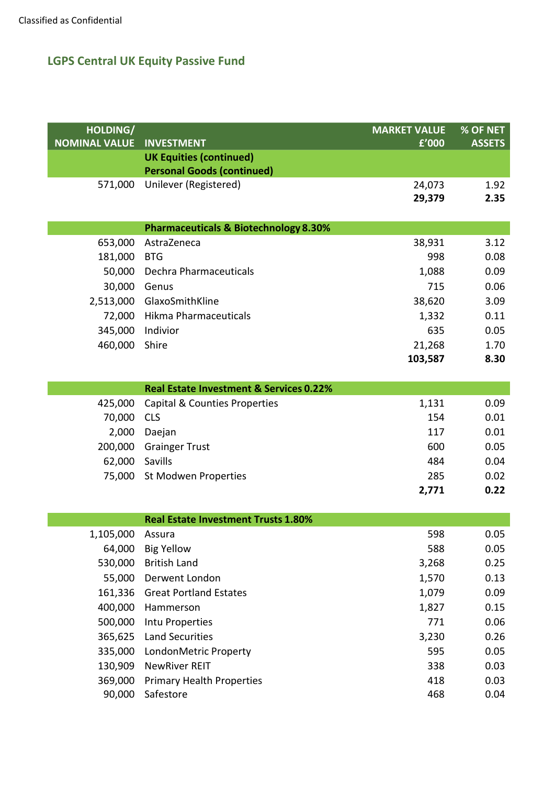| HOLDING/             |                                                            | <b>MARKET VALUE</b> | % OF NET      |
|----------------------|------------------------------------------------------------|---------------------|---------------|
| <b>NOMINAL VALUE</b> | <b>INVESTMENT</b>                                          | f'000               | <b>ASSETS</b> |
|                      | <b>UK Equities (continued)</b>                             |                     |               |
| 571,000              | <b>Personal Goods (continued)</b><br>Unilever (Registered) | 24,073              | 1.92          |
|                      |                                                            | 29,379              | 2.35          |
|                      |                                                            |                     |               |
|                      | <b>Pharmaceuticals &amp; Biotechnology 8.30%</b>           |                     |               |
| 653,000              | AstraZeneca                                                | 38,931              | 3.12          |
| 181,000              | <b>BTG</b>                                                 | 998                 | 0.08          |
| 50,000               | Dechra Pharmaceuticals                                     | 1,088               | 0.09          |
| 30,000               | Genus                                                      | 715                 | 0.06          |
| 2,513,000            | GlaxoSmithKline                                            | 38,620              | 3.09          |
| 72,000               | <b>Hikma Pharmaceuticals</b>                               | 1,332               | 0.11          |
| 345,000              | Indivior                                                   | 635                 | 0.05          |
| 460,000              | Shire                                                      | 21,268              | 1.70          |
|                      |                                                            | 103,587             | 8.30          |
|                      | Real Estate Investment & Services 0.22%                    |                     |               |
|                      |                                                            |                     | 0.09          |
| 425,000<br>70,000    | Capital & Counties Properties<br><b>CLS</b>                | 1,131<br>154        | 0.01          |
| 2,000                | Daejan                                                     | 117                 | 0.01          |
| 200,000              | <b>Grainger Trust</b>                                      | 600                 | 0.05          |
| 62,000               | Savills                                                    | 484                 | 0.04          |
| 75,000               | St Modwen Properties                                       | 285                 | 0.02          |
|                      |                                                            | 2,771               | 0.22          |
|                      |                                                            |                     |               |
|                      | <b>Real Estate Investment Trusts 1.80%</b>                 |                     |               |
| 1,105,000            | Assura                                                     | 598                 | 0.05          |
| 64,000               | <b>Big Yellow</b>                                          | 588                 | 0.05          |
| 530,000              | <b>British Land</b>                                        | 3,268               | 0.25          |
| 55,000               | Derwent London                                             | 1,570               | 0.13          |
| 161,336              | <b>Great Portland Estates</b>                              | 1,079               | 0.09          |
| 400,000              | Hammerson                                                  | 1,827               | 0.15          |
| 500,000              | Intu Properties                                            | 771                 | 0.06          |
| 365,625              | <b>Land Securities</b>                                     | 3,230               | 0.26          |
| 335,000              | LondonMetric Property                                      | 595                 | 0.05          |
| 130,909              | <b>NewRiver REIT</b>                                       | 338                 | 0.03          |
| 369,000              | <b>Primary Health Properties</b>                           | 418                 | 0.03          |
| 90,000               | Safestore                                                  | 468                 | 0.04          |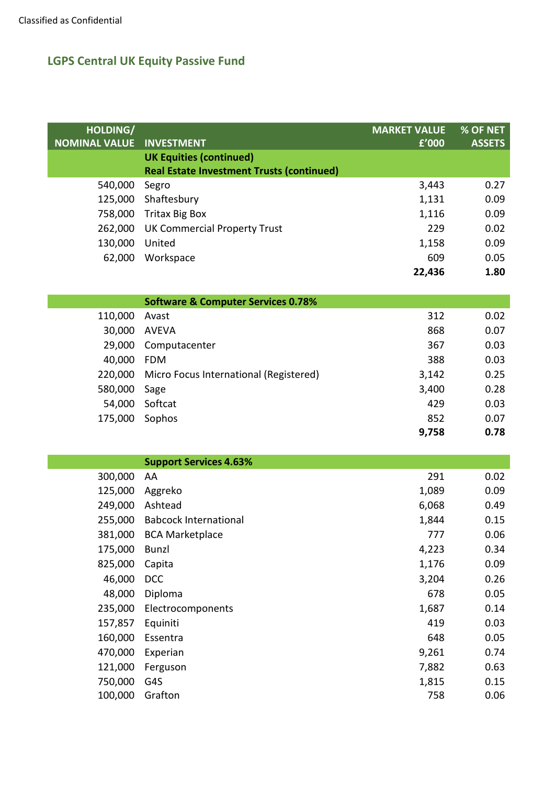| HOLDING/             |                                                  | <b>MARKET VALUE</b> | % OF NET      |
|----------------------|--------------------------------------------------|---------------------|---------------|
| <b>NOMINAL VALUE</b> | <b>INVESTMENT</b>                                | £'000               | <b>ASSETS</b> |
|                      | <b>UK Equities (continued)</b>                   |                     |               |
|                      | <b>Real Estate Investment Trusts (continued)</b> |                     |               |
| 540,000              | Segro                                            | 3,443               | 0.27          |
| 125,000              | Shaftesbury                                      | 1,131               | 0.09          |
| 758,000              | <b>Tritax Big Box</b>                            | 1,116               | 0.09          |
| 262,000              | <b>UK Commercial Property Trust</b>              | 229                 | 0.02          |
| 130,000              | United                                           | 1,158               | 0.09          |
| 62,000               | Workspace                                        | 609                 | 0.05          |
|                      |                                                  | 22,436              | 1.80          |
|                      | <b>Software &amp; Computer Services 0.78%</b>    |                     |               |
| 110,000              | Avast                                            | 312                 | 0.02          |
| 30,000               | <b>AVEVA</b>                                     | 868                 | 0.07          |
| 29,000               | Computacenter                                    | 367                 | 0.03          |
| 40,000               | <b>FDM</b>                                       | 388                 | 0.03          |
| 220,000              | Micro Focus International (Registered)           | 3,142               | 0.25          |
| 580,000              | Sage                                             | 3,400               | 0.28          |
| 54,000               | Softcat                                          | 429                 | 0.03          |
| 175,000              | Sophos                                           | 852                 | 0.07          |
|                      |                                                  | 9,758               | 0.78          |
|                      |                                                  |                     |               |
|                      | <b>Support Services 4.63%</b>                    |                     |               |
| 300,000              | AA                                               | 291                 | 0.02          |
| 125,000              | Aggreko                                          | 1,089               | 0.09          |
| 249,000              | Ashtead                                          | 6,068               | 0.49          |
| 255,000              | <b>Babcock International</b>                     | 1,844               | 0.15          |
| 381,000              | <b>BCA Marketplace</b>                           | 777                 | 0.06          |
| 175,000              | Bunzl                                            | 4,223               | 0.34          |
| 825,000              | Capita                                           | 1,176               | 0.09          |
| 46,000               | <b>DCC</b>                                       | 3,204               | 0.26          |
| 48,000               | Diploma                                          | 678                 | 0.05          |
| 235,000              | Electrocomponents                                | 1,687               | 0.14          |
| 157,857              | Equiniti                                         | 419                 | 0.03          |
| 160,000              | Essentra                                         | 648                 | 0.05          |
| 470,000              | Experian                                         | 9,261               | 0.74          |
| 121,000              | Ferguson                                         | 7,882               | 0.63          |
| 750,000              | G4S                                              | 1,815               | 0.15          |
| 100,000              | Grafton                                          | 758                 | 0.06          |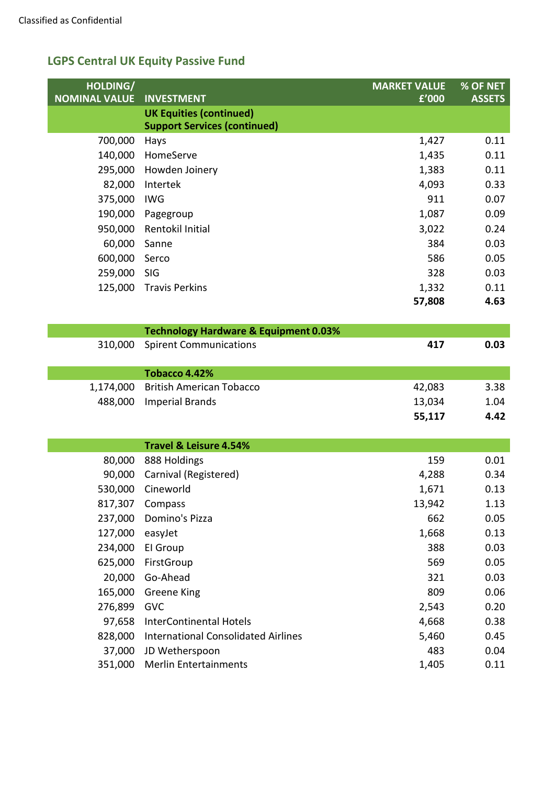| HOLDING/<br><b>NOMINAL VALUE</b> | <b>INVESTMENT</b>                                | <b>MARKET VALUE</b><br>f'000 | % OF NET<br><b>ASSETS</b> |
|----------------------------------|--------------------------------------------------|------------------------------|---------------------------|
|                                  | <b>UK Equities (continued)</b>                   |                              |                           |
|                                  | <b>Support Services (continued)</b>              |                              |                           |
| 700,000                          | Hays                                             | 1,427                        | 0.11                      |
| 140,000                          | HomeServe                                        | 1,435                        | 0.11                      |
| 295,000                          | Howden Joinery                                   | 1,383                        | 0.11                      |
| 82,000                           | Intertek                                         | 4,093                        | 0.33                      |
| 375,000                          | <b>IWG</b>                                       | 911                          | 0.07                      |
| 190,000                          | Pagegroup                                        | 1,087                        | 0.09                      |
| 950,000                          | Rentokil Initial                                 | 3,022                        | 0.24                      |
| 60,000                           | Sanne                                            | 384                          | 0.03                      |
| 600,000                          | Serco                                            | 586                          | 0.05                      |
| 259,000                          | SIG                                              | 328                          | 0.03                      |
| 125,000                          | <b>Travis Perkins</b>                            | 1,332                        | 0.11                      |
|                                  |                                                  | 57,808                       | 4.63                      |
|                                  |                                                  |                              |                           |
|                                  | <b>Technology Hardware &amp; Equipment 0.03%</b> |                              |                           |
| 310,000                          | <b>Spirent Communications</b>                    | 417                          | 0.03                      |
|                                  |                                                  |                              |                           |
|                                  | Tobacco 4.42%                                    |                              |                           |
| 1,174,000                        | <b>British American Tobacco</b>                  | 42,083                       | 3.38<br>1.04              |
| 488,000                          | <b>Imperial Brands</b>                           | 13,034<br>55,117             | 4.42                      |
|                                  |                                                  |                              |                           |
|                                  | <b>Travel &amp; Leisure 4.54%</b>                |                              |                           |
| 80,000                           | 888 Holdings                                     | 159                          | 0.01                      |
| 90,000                           | Carnival (Registered)                            | 4,288                        | 0.34                      |
| 530,000                          | Cineworld                                        | 1,671                        | 0.13                      |
|                                  | 817,307 Compass                                  | 13,942                       | 1.13                      |
| 237,000                          | Domino's Pizza                                   | 662                          | 0.05                      |
| 127,000                          | easyJet                                          | 1,668                        | 0.13                      |
| 234,000                          | El Group                                         | 388                          | 0.03                      |
| 625,000                          | FirstGroup                                       | 569                          | 0.05                      |
| 20,000                           | Go-Ahead                                         | 321                          | 0.03                      |
| 165,000                          | Greene King                                      | 809                          | 0.06                      |
| 276,899                          | <b>GVC</b>                                       | 2,543                        | 0.20                      |
| 97,658                           | <b>InterContinental Hotels</b>                   | 4,668                        | 0.38                      |
| 828,000                          | <b>International Consolidated Airlines</b>       | 5,460                        | 0.45                      |
| 37,000                           | JD Wetherspoon                                   | 483                          | 0.04                      |
| 351,000                          | <b>Merlin Entertainments</b>                     | 1,405                        | 0.11                      |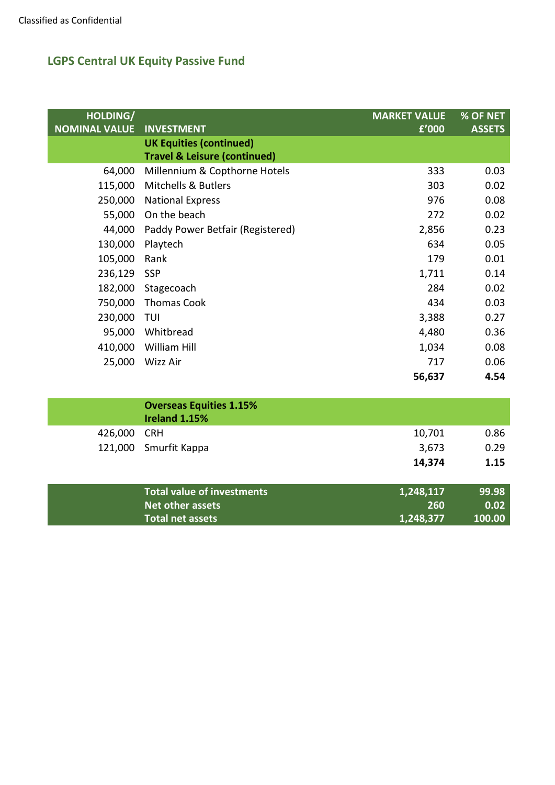| HOLDING/<br><b>NOMINAL VALUE</b> | <b>INVESTMENT</b>                                                         | <b>MARKET VALUE</b><br>f'000 | % OF NET<br><b>ASSETS</b> |
|----------------------------------|---------------------------------------------------------------------------|------------------------------|---------------------------|
|                                  | <b>UK Equities (continued)</b><br><b>Travel &amp; Leisure (continued)</b> |                              |                           |
| 64,000                           | Millennium & Copthorne Hotels                                             | 333                          | 0.03                      |
| 115,000                          | <b>Mitchells &amp; Butlers</b>                                            | 303                          | 0.02                      |
| 250,000                          | <b>National Express</b>                                                   | 976                          | 0.08                      |
| 55,000                           | On the beach                                                              | 272                          | 0.02                      |
| 44,000                           | Paddy Power Betfair (Registered)                                          | 2,856                        | 0.23                      |
| 130,000                          | Playtech                                                                  | 634                          | 0.05                      |
| 105,000                          | Rank                                                                      | 179                          | 0.01                      |
| 236,129                          | <b>SSP</b>                                                                | 1,711                        | 0.14                      |
| 182,000                          | Stagecoach                                                                | 284                          | 0.02                      |
| 750,000                          | <b>Thomas Cook</b>                                                        | 434                          | 0.03                      |
| 230,000                          | TUI                                                                       | 3,388                        | 0.27                      |
| 95,000                           | Whitbread                                                                 | 4,480                        | 0.36                      |
| 410,000                          | William Hill                                                              | 1,034                        | 0.08                      |
| 25,000                           | Wizz Air                                                                  | 717                          | 0.06                      |
|                                  |                                                                           | 56,637                       | 4.54                      |

|         | <b>Overseas Equities 1.15%</b><br>Ireland 1.15% |           |        |
|---------|-------------------------------------------------|-----------|--------|
| 426,000 | CRH                                             | 10,701    | 0.86   |
| 121,000 | Smurfit Kappa                                   | 3,673     | 0.29   |
|         |                                                 | 14,374    | 1.15   |
|         | <b>Total value of investments</b>               | 1,248,117 | 99.98  |
|         | <b>Net other assets</b>                         | 260       | 0.02   |
|         | <b>Total net assets</b>                         | 1,248,377 | 100.00 |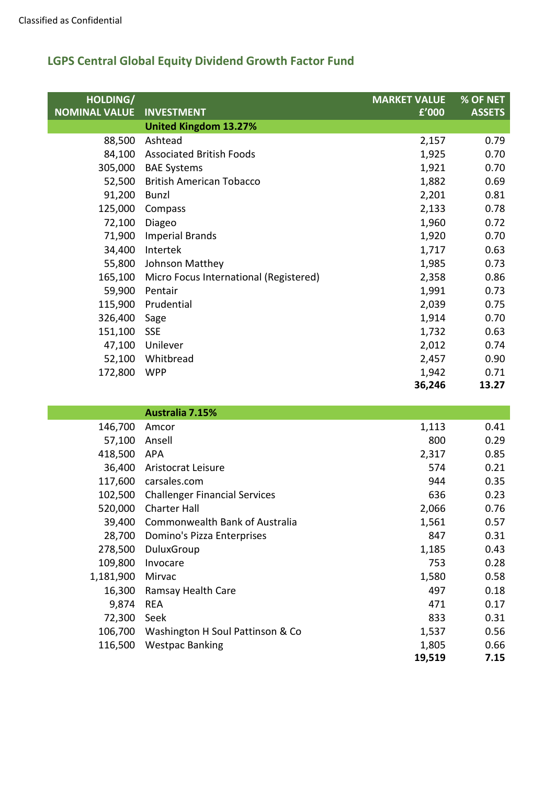| HOLDING/<br><b>NOMINAL VALUE</b> | <b>INVESTMENT</b>                      | <b>MARKET VALUE</b><br>f'000 | % OF NET<br><b>ASSETS</b> |
|----------------------------------|----------------------------------------|------------------------------|---------------------------|
|                                  | <b>United Kingdom 13.27%</b>           |                              |                           |
| 88,500                           | Ashtead                                | 2,157                        | 0.79                      |
|                                  | 84,100 Associated British Foods        | 1,925                        | 0.70                      |
| 305,000                          | <b>BAE Systems</b>                     | 1,921                        | 0.70                      |
|                                  | 52,500 British American Tobacco        | 1,882                        | 0.69                      |
| 91,200                           | Bunzl                                  | 2,201                        | 0.81                      |
| 125,000                          | Compass                                | 2,133                        | 0.78                      |
| 72,100                           | Diageo                                 | 1,960                        | 0.72                      |
| 71,900                           | <b>Imperial Brands</b>                 | 1,920                        | 0.70                      |
| 34,400                           | Intertek                               | 1,717                        | 0.63                      |
| 55,800                           | Johnson Matthey                        | 1,985                        | 0.73                      |
| 165,100                          | Micro Focus International (Registered) | 2,358                        | 0.86                      |
| 59,900                           | Pentair                                | 1,991                        | 0.73                      |
| 115,900                          | Prudential                             | 2,039                        | 0.75                      |
| 326,400                          | Sage                                   | 1,914                        | 0.70                      |
| 151,100                          | SSE                                    | 1,732                        | 0.63                      |
| 47,100                           | Unilever                               | 2,012                        | 0.74                      |
|                                  | 52,100 Whitbread                       | 2,457                        | 0.90                      |
| 172,800                          | <b>WPP</b>                             | 1,942                        | 0.71                      |
|                                  |                                        | 36,246                       | 13.27                     |

|           | <b>Australia 7.15%</b>               |        |      |
|-----------|--------------------------------------|--------|------|
| 146,700   | Amcor                                | 1,113  | 0.41 |
| 57,100    | Ansell                               | 800    | 0.29 |
| 418,500   | APA                                  | 2,317  | 0.85 |
| 36,400    | Aristocrat Leisure                   | 574    | 0.21 |
| 117,600   | carsales.com                         | 944    | 0.35 |
| 102,500   | <b>Challenger Financial Services</b> | 636    | 0.23 |
| 520,000   | <b>Charter Hall</b>                  | 2,066  | 0.76 |
| 39,400    | Commonwealth Bank of Australia       | 1,561  | 0.57 |
| 28,700    | Domino's Pizza Enterprises           | 847    | 0.31 |
| 278,500   | DuluxGroup                           | 1,185  | 0.43 |
| 109,800   | Invocare                             | 753    | 0.28 |
| 1,181,900 | Mirvac                               | 1,580  | 0.58 |
| 16,300    | Ramsay Health Care                   | 497    | 0.18 |
| 9,874     | <b>REA</b>                           | 471    | 0.17 |
| 72,300    | Seek                                 | 833    | 0.31 |
| 106,700   | Washington H Soul Pattinson & Co     | 1,537  | 0.56 |
| 116,500   | <b>Westpac Banking</b>               | 1,805  | 0.66 |
|           |                                      | 19,519 | 7.15 |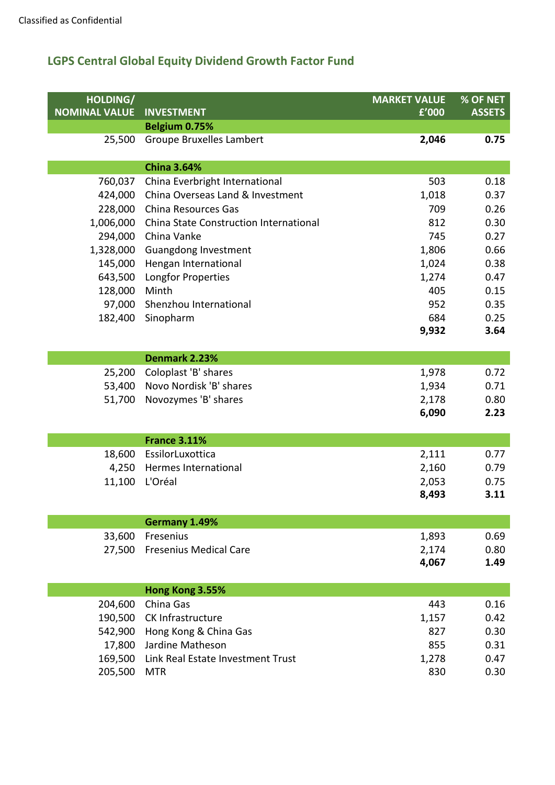| HOLDING/             |                                        | <b>MARKET VALUE</b> | % OF NET      |
|----------------------|----------------------------------------|---------------------|---------------|
| <b>NOMINAL VALUE</b> | <b>INVESTMENT</b>                      | £'000               | <b>ASSETS</b> |
|                      | Belgium 0.75%                          |                     |               |
| 25,500               | <b>Groupe Bruxelles Lambert</b>        | 2,046               | 0.75          |
|                      |                                        |                     |               |
|                      | <b>China 3.64%</b>                     |                     |               |
| 760,037              | China Everbright International         | 503                 | 0.18          |
| 424,000              | China Overseas Land & Investment       | 1,018               | 0.37          |
| 228,000              | China Resources Gas                    | 709                 | 0.26          |
| 1,006,000            | China State Construction International | 812                 | 0.30          |
| 294,000              | China Vanke                            | 745                 | 0.27          |
| 1,328,000            | Guangdong Investment                   | 1,806               | 0.66          |
| 145,000              | Hengan International                   | 1,024               | 0.38          |
| 643,500              | Longfor Properties                     | 1,274               | 0.47          |
| 128,000              | Minth                                  | 405                 | 0.15          |
| 97,000               | Shenzhou International                 | 952                 | 0.35          |
| 182,400              | Sinopharm                              | 684                 | 0.25          |
|                      |                                        | 9,932               | 3.64          |
|                      |                                        |                     |               |
|                      | Denmark 2.23%                          |                     |               |
| 25,200               | Coloplast 'B' shares                   | 1,978               | 0.72          |
| 53,400               | Novo Nordisk 'B' shares                | 1,934               | 0.71          |
| 51,700               | Novozymes 'B' shares                   | 2,178<br>6,090      | 0.80<br>2.23  |
|                      |                                        |                     |               |
|                      | <b>France 3.11%</b>                    |                     |               |
| 18,600               | EssilorLuxottica                       | 2,111               | 0.77          |
| 4,250                | Hermes International                   | 2,160               | 0.79          |
| 11,100               | L'Oréal                                | 2,053               | 0.75          |
|                      |                                        | 8,493               | 3.11          |
|                      |                                        |                     |               |
|                      | Germany 1.49%                          |                     |               |
| 33,600               | Fresenius                              | 1,893               | 0.69          |
| 27,500               | <b>Fresenius Medical Care</b>          | 2,174               | 0.80          |
|                      |                                        | 4,067               | 1.49          |
|                      |                                        |                     |               |
|                      | Hong Kong 3.55%                        |                     |               |
| 204,600              | China Gas                              | 443                 | 0.16          |
| 190,500              | CK Infrastructure                      | 1,157               | 0.42          |
| 542,900              | Hong Kong & China Gas                  | 827                 | 0.30          |
| 17,800               | Jardine Matheson                       | 855                 | 0.31          |
| 169,500              | Link Real Estate Investment Trust      | 1,278               | 0.47          |
| 205,500              | <b>MTR</b>                             | 830                 | 0.30          |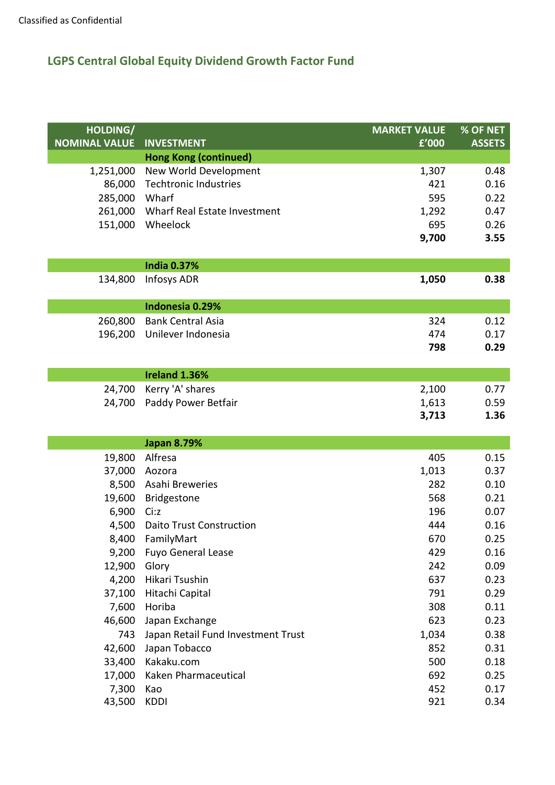| HOLDING/<br><b>NOMINAL VALUE</b> |                                                   | <b>MARKET VALUE</b> | % OF NET      |
|----------------------------------|---------------------------------------------------|---------------------|---------------|
|                                  | <b>INVESTMENT</b><br><b>Hong Kong (continued)</b> | f'000               | <b>ASSETS</b> |
| 1,251,000                        | New World Development                             | 1,307               | 0.48          |
| 86,000                           | <b>Techtronic Industries</b>                      | 421                 | 0.16          |
| 285,000                          | Wharf                                             | 595                 | 0.22          |
| 261,000                          | Wharf Real Estate Investment                      | 1,292               | 0.47          |
| 151,000                          | Wheelock                                          | 695                 | 0.26          |
|                                  |                                                   | 9,700               | 3.55          |
|                                  |                                                   |                     |               |
|                                  | <b>India 0.37%</b>                                |                     |               |
| 134,800                          | Infosys ADR                                       | 1,050               | 0.38          |
|                                  |                                                   |                     |               |
|                                  | Indonesia 0.29%                                   |                     |               |
| 260,800                          | <b>Bank Central Asia</b>                          | 324                 | 0.12          |
| 196,200                          | Unilever Indonesia                                | 474                 | 0.17          |
|                                  |                                                   | 798                 | 0.29          |
|                                  |                                                   |                     |               |
|                                  | Ireland 1.36%                                     |                     |               |
| 24,700                           | Kerry 'A' shares                                  | 2,100               | 0.77          |
| 24,700                           | Paddy Power Betfair                               | 1,613<br>3,713      | 0.59<br>1.36  |
|                                  |                                                   |                     |               |
|                                  | <b>Japan 8.79%</b>                                |                     |               |
| 19,800                           | Alfresa                                           | 405                 | 0.15          |
| 37,000                           | Aozora                                            | 1,013               | 0.37          |
| 8,500                            | Asahi Breweries                                   | 282                 | 0.10          |
| 19,600                           | Bridgestone                                       | 568                 | 0.21          |
| 6,900                            | Ci:z                                              | 196                 | 0.07          |
| 4,500                            | <b>Daito Trust Construction</b>                   | 444                 | 0.16          |
| 8,400                            | FamilyMart                                        | 670                 | 0.25          |
| 9,200                            | <b>Fuyo General Lease</b>                         | 429                 | 0.16          |
| 12,900                           | Glory                                             | 242                 | 0.09          |
| 4,200                            | Hikari Tsushin                                    | 637                 | 0.23          |
| 37,100                           | Hitachi Capital                                   | 791                 | 0.29          |
| 7,600                            | Horiba                                            | 308                 | 0.11          |
| 46,600                           | Japan Exchange                                    | 623                 | 0.23          |
| 743                              | Japan Retail Fund Investment Trust                | 1,034               | 0.38          |
| 42,600                           | Japan Tobacco                                     | 852                 | 0.31          |
| 33,400                           | Kakaku.com                                        | 500                 | 0.18          |
| 17,000                           | Kaken Pharmaceutical                              | 692                 | 0.25          |
| 7,300                            | Kao                                               | 452                 | 0.17          |
| 43,500                           | KDDI                                              | 921                 | 0.34          |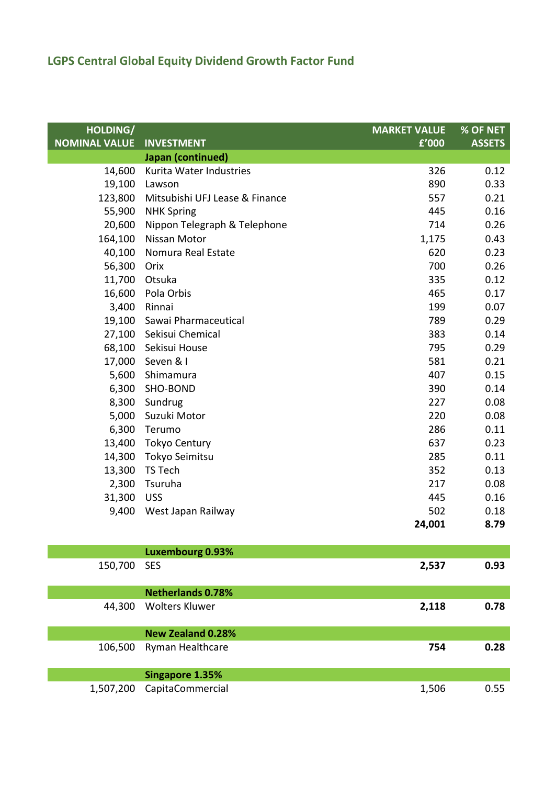| HOLDING/             |                                | <b>MARKET VALUE</b> | % OF NET      |
|----------------------|--------------------------------|---------------------|---------------|
| <b>NOMINAL VALUE</b> | <b>INVESTMENT</b>              | f'000               | <b>ASSETS</b> |
|                      | Japan (continued)              |                     |               |
| 14,600               | Kurita Water Industries        | 326                 | 0.12          |
| 19,100               | Lawson                         | 890                 | 0.33          |
| 123,800              | Mitsubishi UFJ Lease & Finance | 557                 | 0.21          |
| 55,900               | <b>NHK Spring</b>              | 445                 | 0.16          |
| 20,600               | Nippon Telegraph & Telephone   | 714                 | 0.26          |
| 164,100              | Nissan Motor                   | 1,175               | 0.43          |
| 40,100               | Nomura Real Estate             | 620                 | 0.23          |
| 56,300               | Orix                           | 700                 | 0.26          |
| 11,700               | Otsuka                         | 335                 | 0.12          |
| 16,600               | Pola Orbis                     | 465                 | 0.17          |
| 3,400                | Rinnai                         | 199                 | 0.07          |
| 19,100               | Sawai Pharmaceutical           | 789                 | 0.29          |
| 27,100               | Sekisui Chemical               | 383                 | 0.14          |
| 68,100               | Sekisui House                  | 795                 | 0.29          |
| 17,000               | Seven & I                      | 581                 | 0.21          |
| 5,600                | Shimamura                      | 407                 | 0.15          |
| 6,300                | SHO-BOND                       | 390                 | 0.14          |
| 8,300                | Sundrug                        | 227                 | 0.08          |
| 5,000                | Suzuki Motor                   | 220                 | 0.08          |
| 6,300                | Terumo                         | 286                 | 0.11          |
|                      | 13,400 Tokyo Century           | 637                 | 0.23          |
| 14,300               | Tokyo Seimitsu                 | 285                 | 0.11          |
| 13,300               | TS Tech                        | 352                 | 0.13          |
| 2,300                | Tsuruha                        | 217                 | 0.08          |
| 31,300               | <b>USS</b>                     | 445                 | 0.16          |
| 9,400                | West Japan Railway             | 502                 | 0.18          |
|                      |                                | 24,001              | 8.79          |
|                      |                                |                     |               |
|                      | <b>Luxembourg 0.93%</b>        |                     |               |
| 150,700              | <b>SES</b>                     | 2,537               | 0.93          |
|                      | <b>Netherlands 0.78%</b>       |                     |               |
| 44,300               | <b>Wolters Kluwer</b>          | 2,118               | 0.78          |
|                      |                                |                     |               |
|                      | <b>New Zealand 0.28%</b>       |                     |               |
| 106,500              | Ryman Healthcare               | 754                 | 0.28          |
|                      | <b>Singapore 1.35%</b>         |                     |               |
| 1,507,200            | CapitaCommercial               | 1,506               | 0.55          |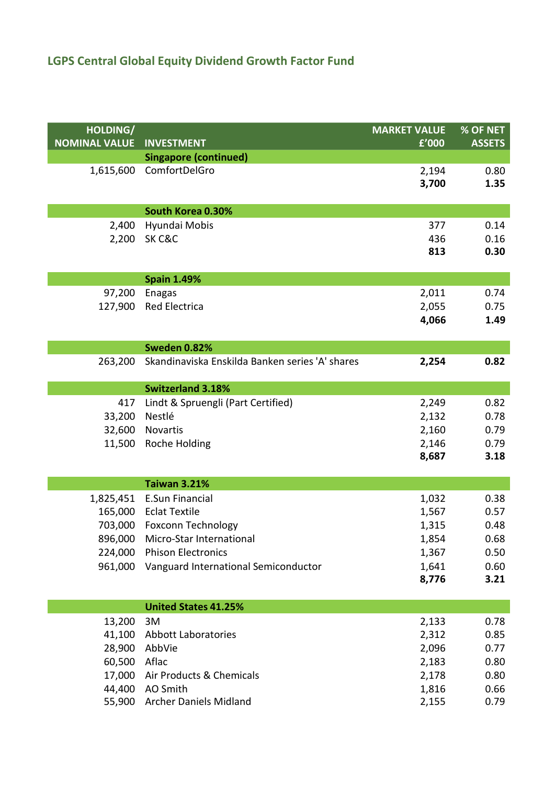| HOLDING/<br><b>NOMINAL VALUE</b> | <b>INVESTMENT</b>                               | <b>MARKET VALUE</b><br>f'000 | % OF NET<br><b>ASSETS</b> |
|----------------------------------|-------------------------------------------------|------------------------------|---------------------------|
|                                  | <b>Singapore (continued)</b>                    |                              |                           |
| 1,615,600                        | ComfortDelGro                                   | 2,194<br>3,700               | 0.80<br>1.35              |
|                                  | South Korea 0.30%                               |                              |                           |
| 2,400                            | Hyundai Mobis                                   | 377                          | 0.14                      |
| 2,200                            | SK C&C                                          | 436                          | 0.16                      |
|                                  |                                                 | 813                          | 0.30                      |
|                                  | <b>Spain 1.49%</b>                              |                              |                           |
| 97,200                           | <b>Enagas</b>                                   | 2,011                        | 0.74                      |
| 127,900                          | <b>Red Electrica</b>                            | 2,055                        | 0.75                      |
|                                  |                                                 | 4,066                        | 1.49                      |
|                                  | <b>Sweden 0.82%</b>                             |                              |                           |
| 263,200                          | Skandinaviska Enskilda Banken series 'A' shares | 2,254                        | 0.82                      |
|                                  | <b>Switzerland 3.18%</b>                        |                              |                           |
| 417                              | Lindt & Spruengli (Part Certified)              | 2,249                        | 0.82                      |
| 33,200                           | Nestlé                                          | 2,132                        | 0.78                      |
| 32,600                           | Novartis                                        | 2,160                        | 0.79                      |
| 11,500                           | Roche Holding                                   | 2,146                        | 0.79                      |
|                                  |                                                 | 8,687                        | 3.18                      |
|                                  | <b>Taiwan 3.21%</b>                             |                              |                           |
| 1,825,451                        | <b>E.Sun Financial</b>                          | 1,032                        | 0.38                      |
| 165,000                          | <b>Eclat Textile</b>                            | 1,567                        | 0.57                      |
| 703,000                          | <b>Foxconn Technology</b>                       | 1,315                        | 0.48                      |
| 896,000                          | Micro-Star International                        | 1,854                        | 0.68                      |
| 224,000                          | <b>Phison Electronics</b>                       | 1,367                        | 0.50                      |
| 961,000                          | Vanguard International Semiconductor            | 1,641                        | 0.60                      |
|                                  |                                                 | 8,776                        | 3.21                      |
|                                  | <b>United States 41.25%</b>                     |                              |                           |
| 13,200                           | 3M                                              | 2,133                        | 0.78                      |
| 41,100                           | <b>Abbott Laboratories</b>                      | 2,312                        | 0.85                      |
| 28,900                           | AbbVie                                          | 2,096                        | 0.77                      |
| 60,500                           | Aflac                                           | 2,183                        | 0.80                      |
| 17,000                           | Air Products & Chemicals                        | 2,178                        | 0.80                      |
| 44,400                           | AO Smith                                        | 1,816                        | 0.66                      |
| 55,900                           | <b>Archer Daniels Midland</b>                   | 2,155                        | 0.79                      |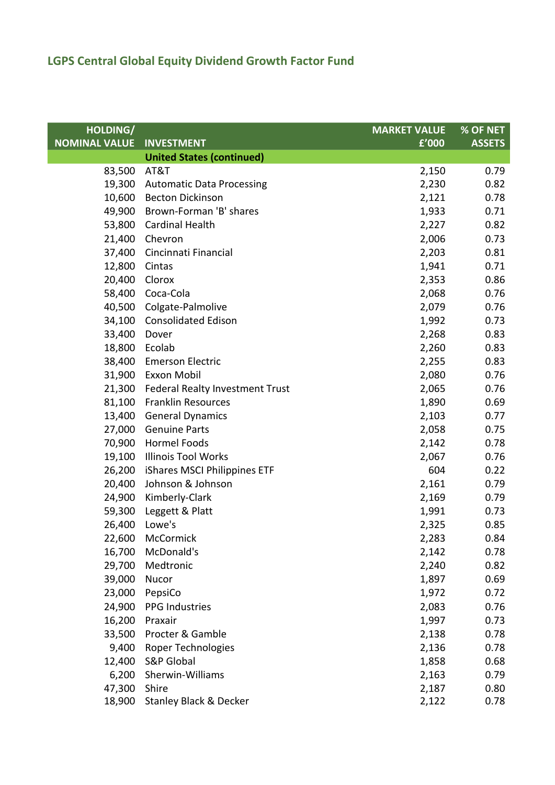| HOLDING/             |                                        | <b>MARKET VALUE</b> | % OF NET      |
|----------------------|----------------------------------------|---------------------|---------------|
| <b>NOMINAL VALUE</b> | <b>INVESTMENT</b>                      | £'000               | <b>ASSETS</b> |
|                      | <b>United States (continued)</b>       |                     |               |
| 83,500               | AT&T                                   | 2,150               | 0.79          |
| 19,300               | <b>Automatic Data Processing</b>       | 2,230               | 0.82          |
|                      | 10,600 Becton Dickinson                | 2,121               | 0.78          |
| 49,900               | Brown-Forman 'B' shares                | 1,933               | 0.71          |
|                      | 53,800 Cardinal Health                 | 2,227               | 0.82          |
| 21,400               | Chevron                                | 2,006               | 0.73          |
| 37,400               | Cincinnati Financial                   | 2,203               | 0.81          |
| 12,800               | Cintas                                 | 1,941               | 0.71          |
| 20,400               | Clorox                                 | 2,353               | 0.86          |
|                      | 58,400 Coca-Cola                       | 2,068               | 0.76          |
| 40,500               | Colgate-Palmolive                      | 2,079               | 0.76          |
|                      | 34,100 Consolidated Edison             | 1,992               | 0.73          |
| 33,400               | Dover                                  | 2,268               | 0.83          |
| 18,800               | Ecolab                                 | 2,260               | 0.83          |
| 38,400               | <b>Emerson Electric</b>                | 2,255               | 0.83          |
|                      | 31,900 Exxon Mobil                     | 2,080               | 0.76          |
|                      | 21,300 Federal Realty Investment Trust | 2,065               | 0.76          |
| 81,100               | <b>Franklin Resources</b>              | 1,890               | 0.69          |
| 13,400               | <b>General Dynamics</b>                | 2,103               | 0.77          |
| 27,000               | <b>Genuine Parts</b>                   | 2,058               | 0.75          |
|                      | 70,900 Hormel Foods                    | 2,142               | 0.78          |
| 19,100               | <b>Illinois Tool Works</b>             | 2,067               | 0.76          |
| 26,200               | iShares MSCI Philippines ETF           | 604                 | 0.22          |
| 20,400               | Johnson & Johnson                      | 2,161               | 0.79          |
| 24,900               | Kimberly-Clark                         | 2,169               | 0.79          |
|                      | 59,300 Leggett & Platt                 | 1,991               | 0.73          |
| 26,400               | Lowe's                                 | 2,325               | 0.85          |
|                      | 22,600 McCormick                       | 2,283               | 0.84          |
| 16,700               | McDonald's                             | 2,142               | 0.78          |
| 29,700               | Medtronic                              | 2,240               | 0.82          |
| 39,000               | Nucor                                  | 1,897               | 0.69          |
| 23,000               | PepsiCo                                | 1,972               | 0.72          |
| 24,900               | <b>PPG Industries</b>                  | 2,083               | 0.76          |
| 16,200               | Praxair                                | 1,997               | 0.73          |
| 33,500               | Procter & Gamble                       | 2,138               | 0.78          |
| 9,400                | Roper Technologies                     | 2,136               | 0.78          |
| 12,400               | <b>S&amp;P Global</b>                  | 1,858               | 0.68          |
| 6,200                | Sherwin-Williams                       | 2,163               | 0.79          |
| 47,300               | Shire                                  | 2,187               | 0.80          |
| 18,900               | <b>Stanley Black &amp; Decker</b>      | 2,122               | 0.78          |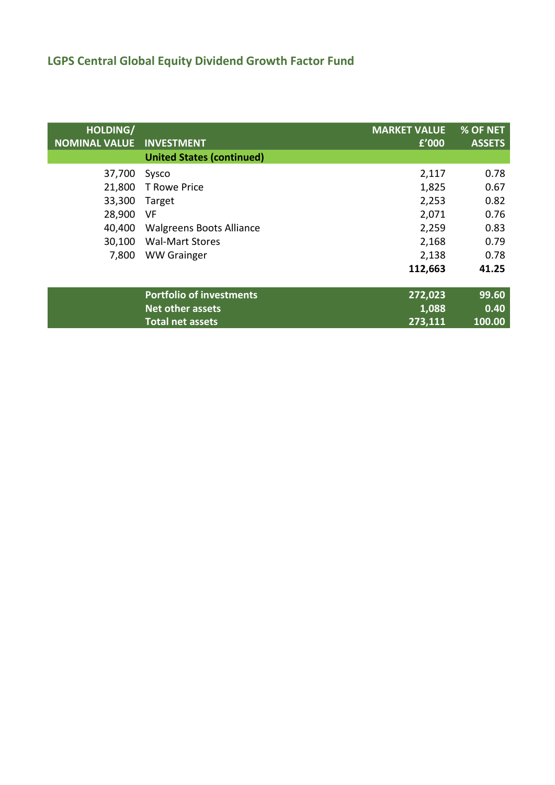| HOLDING/<br><b>NOMINAL VALUE</b> | <b>INVESTMENT</b>                | <b>MARKET VALUE</b><br>f'000 | % OF NET<br><b>ASSETS</b> |
|----------------------------------|----------------------------------|------------------------------|---------------------------|
|                                  | <b>United States (continued)</b> |                              |                           |
| 37,700                           | Sysco                            | 2,117                        | 0.78                      |
| 21,800                           | <b>T Rowe Price</b>              | 1,825                        | 0.67                      |
| 33,300                           | Target                           | 2,253                        | 0.82                      |
| 28,900                           | VF                               | 2,071                        | 0.76                      |
| 40,400                           | <b>Walgreens Boots Alliance</b>  | 2,259                        | 0.83                      |
| 30,100                           | <b>Wal-Mart Stores</b>           | 2,168                        | 0.79                      |
| 7,800                            | <b>WW Grainger</b>               | 2,138                        | 0.78                      |
|                                  |                                  | 112,663                      | 41.25                     |
|                                  | <b>Portfolio of investments</b>  | 272,023                      | 99.60                     |
|                                  | Net other assets                 | 1,088                        | 0.40                      |
|                                  | <b>Total net assets</b>          | 273,111                      | 100.00                    |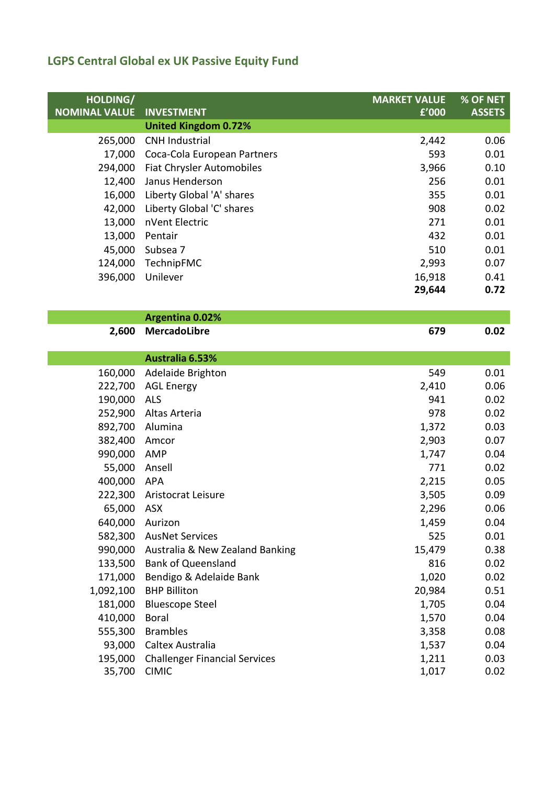| HOLDING/             |                                      | <b>MARKET VALUE</b> | % OF NET      |
|----------------------|--------------------------------------|---------------------|---------------|
| <b>NOMINAL VALUE</b> | <b>INVESTMENT</b>                    | £'000               | <b>ASSETS</b> |
|                      | <b>United Kingdom 0.72%</b>          |                     |               |
| 265,000              | <b>CNH Industrial</b>                | 2,442               | 0.06          |
| 17,000               | Coca-Cola European Partners          | 593                 | 0.01          |
| 294,000              | Fiat Chrysler Automobiles            | 3,966               | 0.10          |
| 12,400               | Janus Henderson                      | 256                 | 0.01          |
| 16,000               | Liberty Global 'A' shares            | 355                 | 0.01          |
| 42,000               | Liberty Global 'C' shares            | 908                 | 0.02          |
| 13,000               | nVent Electric                       | 271                 | 0.01          |
| 13,000               | Pentair                              | 432                 | 0.01          |
| 45,000               | Subsea 7                             | 510                 | 0.01          |
| 124,000              | TechnipFMC                           | 2,993               | 0.07          |
| 396,000              | Unilever                             | 16,918              | 0.41          |
|                      |                                      | 29,644              | 0.72          |
|                      |                                      |                     |               |
|                      | <b>Argentina 0.02%</b>               |                     |               |
| 2,600                | <b>MercadoLibre</b>                  | 679                 | 0.02          |
|                      |                                      |                     |               |
|                      | Australia 6.53%                      |                     |               |
| 160,000              | Adelaide Brighton                    | 549                 | 0.01          |
| 222,700              | <b>AGL Energy</b>                    | 2,410               | 0.06          |
| 190,000              | <b>ALS</b>                           | 941                 | 0.02          |
| 252,900              | Altas Arteria                        | 978                 | 0.02          |
| 892,700              | Alumina                              | 1,372               | 0.03          |
| 382,400              | Amcor                                | 2,903               | 0.07          |
| 990,000              | AMP                                  | 1,747               | 0.04          |
| 55,000               | Ansell                               | 771                 | 0.02          |
| 400,000              | <b>APA</b>                           | 2,215               | 0.05          |
| 222,300              | Aristocrat Leisure                   | 3,505               | 0.09          |
| 65,000               | ASX                                  | 2,296               | 0.06          |
| 640,000              | Aurizon                              | 1,459               | 0.04          |
|                      | 582,300 AusNet Services              | 525                 | 0.01          |
| 990,000              | Australia & New Zealand Banking      | 15,479              | 0.38          |
| 133,500              | <b>Bank of Queensland</b>            | 816                 | 0.02          |
| 171,000              | Bendigo & Adelaide Bank              | 1,020               | 0.02          |
| 1,092,100            | <b>BHP Billiton</b>                  | 20,984              | 0.51          |
| 181,000              | <b>Bluescope Steel</b>               | 1,705               | 0.04          |
| 410,000              | <b>Boral</b>                         | 1,570               | 0.04          |
| 555,300              | <b>Brambles</b>                      | 3,358               | 0.08          |
| 93,000               | Caltex Australia                     | 1,537               | 0.04          |
| 195,000              | <b>Challenger Financial Services</b> | 1,211               | 0.03          |
| 35,700               | <b>CIMIC</b>                         | 1,017               | 0.02          |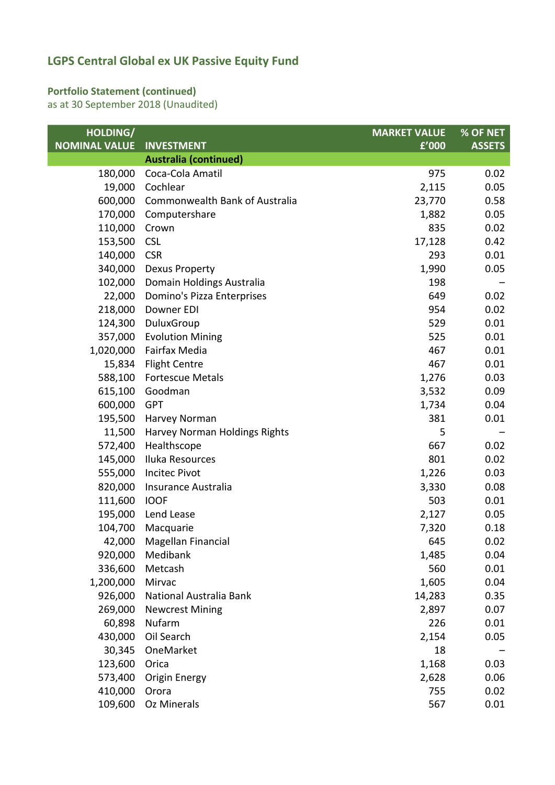### **Portfolio Statement (continued)**

as at 30 September 2018 (Unaudited)

| HOLDING/             |                                | <b>MARKET VALUE</b> | % OF NET      |
|----------------------|--------------------------------|---------------------|---------------|
| <b>NOMINAL VALUE</b> | <b>INVESTMENT</b>              | £'000               | <b>ASSETS</b> |
|                      | <b>Australia (continued)</b>   |                     |               |
| 180,000              | Coca-Cola Amatil               | 975                 | 0.02          |
| 19,000               | Cochlear                       | 2,115               | 0.05          |
| 600,000              | Commonwealth Bank of Australia | 23,770              | 0.58          |
| 170,000              | Computershare                  | 1,882               | 0.05          |
| 110,000              | Crown                          | 835                 | 0.02          |
| 153,500              | <b>CSL</b>                     | 17,128              | 0.42          |
| 140,000              | <b>CSR</b>                     | 293                 | 0.01          |
| 340,000              | <b>Dexus Property</b>          | 1,990               | 0.05          |
| 102,000              | Domain Holdings Australia      | 198                 |               |
| 22,000               | Domino's Pizza Enterprises     | 649                 | 0.02          |
| 218,000              | Downer EDI                     | 954                 | 0.02          |
| 124,300              | DuluxGroup                     | 529                 | 0.01          |
| 357,000              | <b>Evolution Mining</b>        | 525                 | 0.01          |
| 1,020,000            | Fairfax Media                  | 467                 | 0.01          |
| 15,834               | <b>Flight Centre</b>           | 467                 | 0.01          |
| 588,100              | <b>Fortescue Metals</b>        | 1,276               | 0.03          |
| 615,100              | Goodman                        | 3,532               | 0.09          |
| 600,000              | <b>GPT</b>                     | 1,734               | 0.04          |
| 195,500              | Harvey Norman                  | 381                 | 0.01          |
| 11,500               | Harvey Norman Holdings Rights  | 5                   |               |
| 572,400              | Healthscope                    | 667                 | 0.02          |
| 145,000              | Iluka Resources                | 801                 | 0.02          |
| 555,000              | <b>Incitec Pivot</b>           | 1,226               | 0.03          |
| 820,000              | Insurance Australia            | 3,330               | 0.08          |
| 111,600              | <b>IOOF</b>                    | 503                 | 0.01          |
| 195,000              | Lend Lease                     | 2,127               | 0.05          |
| 104,700              | Macquarie                      | 7,320               | 0.18          |
|                      | 42,000 Magellan Financial      | 645                 | 0.02          |
| 920,000              | Medibank                       | 1,485               | 0.04          |
| 336,600              | Metcash                        | 560                 | 0.01          |
| 1,200,000            | Mirvac                         | 1,605               | 0.04          |
| 926,000              | National Australia Bank        | 14,283              | 0.35          |
| 269,000              | <b>Newcrest Mining</b>         | 2,897               | 0.07          |
| 60,898               | Nufarm                         | 226                 | 0.01          |
| 430,000              | Oil Search                     | 2,154               | 0.05          |
| 30,345               | OneMarket                      | 18                  |               |
| 123,600              | Orica                          | 1,168               | 0.03          |
| 573,400              | Origin Energy                  | 2,628               | 0.06          |
| 410,000              | Orora                          | 755                 | 0.02          |
| 109,600              | Oz Minerals                    | 567                 | 0.01          |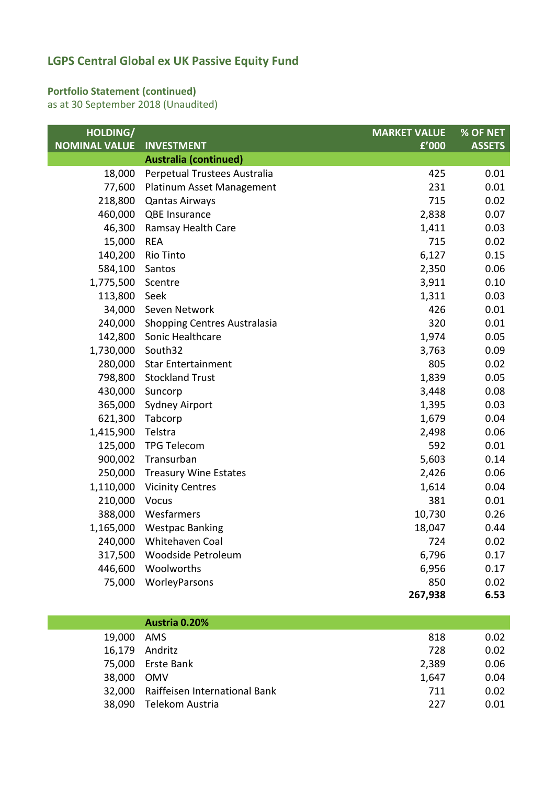### **Portfolio Statement (continued)**

as at 30 September 2018 (Unaudited)

| HOLDING/             |                                     | <b>MARKET VALUE</b> | % OF NET      |
|----------------------|-------------------------------------|---------------------|---------------|
| <b>NOMINAL VALUE</b> | <b>INVESTMENT</b>                   | £'000               | <b>ASSETS</b> |
|                      | <b>Australia (continued)</b>        |                     |               |
| 18,000               | Perpetual Trustees Australia        | 425                 | 0.01          |
| 77,600               | Platinum Asset Management           | 231                 | 0.01          |
| 218,800              | <b>Qantas Airways</b>               | 715                 | 0.02          |
| 460,000              | QBE Insurance                       | 2,838               | 0.07          |
| 46,300               | Ramsay Health Care                  | 1,411               | 0.03          |
| 15,000               | <b>REA</b>                          | 715                 | 0.02          |
| 140,200              | Rio Tinto                           | 6,127               | 0.15          |
| 584,100              | Santos                              | 2,350               | 0.06          |
| 1,775,500            | Scentre                             | 3,911               | 0.10          |
| 113,800              | Seek                                | 1,311               | 0.03          |
| 34,000               | Seven Network                       | 426                 | 0.01          |
| 240,000              | <b>Shopping Centres Australasia</b> | 320                 | 0.01          |
| 142,800              | Sonic Healthcare                    | 1,974               | 0.05          |
| 1,730,000            | South32                             | 3,763               | 0.09          |
| 280,000              | <b>Star Entertainment</b>           | 805                 | 0.02          |
| 798,800              | <b>Stockland Trust</b>              | 1,839               | 0.05          |
| 430,000              | Suncorp                             | 3,448               | 0.08          |
| 365,000              | <b>Sydney Airport</b>               | 1,395               | 0.03          |
| 621,300              | Tabcorp                             | 1,679               | 0.04          |
| 1,415,900            | Telstra                             | 2,498               | 0.06          |
| 125,000              | <b>TPG Telecom</b>                  | 592                 | 0.01          |
| 900,002              | Transurban                          | 5,603               | 0.14          |
| 250,000              | <b>Treasury Wine Estates</b>        | 2,426               | 0.06          |
| 1,110,000            | <b>Vicinity Centres</b>             | 1,614               | 0.04          |
| 210,000              | Vocus                               | 381                 | 0.01          |
| 388,000              | Wesfarmers                          | 10,730              | 0.26          |
| 1,165,000            | <b>Westpac Banking</b>              | 18,047              | 0.44          |
| 240,000              | Whitehaven Coal                     | 724                 | 0.02          |
| 317,500              | Woodside Petroleum                  | 6,796               | 0.17          |
| 446,600              | Woolworths                          | 6,956               | 0.17          |
| 75,000               | WorleyParsons                       | 850                 | 0.02          |
|                      |                                     | 267,938             | 6.53          |

|            | Austria 0.20%                        |       |      |
|------------|--------------------------------------|-------|------|
| 19,000 AMS |                                      | 818   | 0.02 |
|            | 16,179 Andritz                       | 728   | 0.02 |
|            | 75,000 Erste Bank                    | 2,389 | 0.06 |
| 38,000 OMV |                                      | 1,647 | 0.04 |
|            | 32,000 Raiffeisen International Bank | 711   | 0.02 |
| 38,090     | Telekom Austria                      | 227   | 0.01 |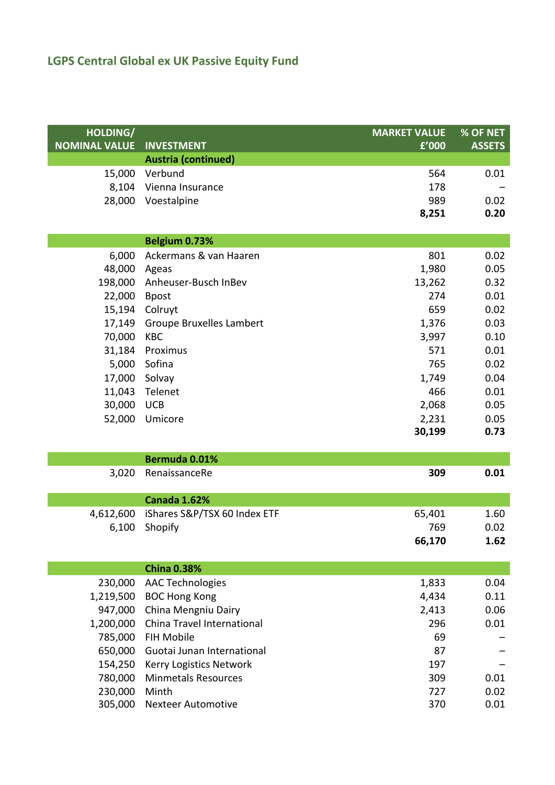| HOLDING/             |                                       | <b>MARKET VALUE</b> | % OF NET      |
|----------------------|---------------------------------------|---------------------|---------------|
| <b>NOMINAL VALUE</b> | <b>INVESTMENT</b>                     | f'000               | <b>ASSETS</b> |
|                      | <b>Austria (continued)</b><br>Verbund |                     |               |
| 15,000               |                                       | 564                 | 0.01          |
| 8,104                | Vienna Insurance                      | 178                 |               |
| 28,000               | Voestalpine                           | 989                 | 0.02          |
|                      |                                       | 8,251               | 0.20          |
|                      | Belgium 0.73%                         |                     |               |
| 6,000                | Ackermans & van Haaren                | 801                 | 0.02          |
| 48,000               | Ageas                                 | 1,980               | 0.05          |
| 198,000              | Anheuser-Busch InBev                  | 13,262              | 0.32          |
| 22,000               | <b>Bpost</b>                          | 274                 | 0.01          |
| 15,194               | Colruyt                               | 659                 | 0.02          |
| 17,149               | <b>Groupe Bruxelles Lambert</b>       | 1,376               | 0.03          |
| 70,000               | <b>KBC</b>                            | 3,997               | 0.10          |
| 31,184               | Proximus                              | 571                 | 0.01          |
| 5,000                | Sofina                                | 765                 | 0.02          |
| 17,000               | Solvay                                | 1,749               | 0.04          |
| 11,043               | Telenet                               | 466                 | 0.01          |
| 30,000               | <b>UCB</b>                            | 2,068               | 0.05          |
| 52,000               | Umicore                               | 2,231               | 0.05          |
|                      |                                       | 30,199              | 0.73          |
|                      | Bermuda 0.01%                         |                     |               |
| 3,020                | RenaissanceRe                         | 309                 | 0.01          |
|                      |                                       |                     |               |
|                      | <b>Canada 1.62%</b>                   |                     |               |
| 4,612,600            | iShares S&P/TSX 60 Index ETF          | 65,401              | 1.60          |
| 6,100                | Shopify                               | 769                 | 0.02          |
|                      |                                       | 66,170              | 1.62          |
|                      | <b>China 0.38%</b>                    |                     |               |
| 230,000              | <b>AAC Technologies</b>               | 1,833               | 0.04          |
| 1,219,500            | <b>BOC Hong Kong</b>                  | 4,434               | 0.11          |
| 947,000              | China Mengniu Dairy                   | 2,413               | 0.06          |
| 1,200,000            | China Travel International            | 296                 | 0.01          |
| 785,000              | <b>FIH Mobile</b>                     | 69                  |               |
| 650,000              | Guotai Junan International            | 87                  |               |
| 154,250              | Kerry Logistics Network               | 197                 |               |
| 780,000              | <b>Minmetals Resources</b>            | 309                 | 0.01          |
| 230,000              | Minth                                 | 727                 | 0.02          |
| 305,000              | <b>Nexteer Automotive</b>             | 370                 | 0.01          |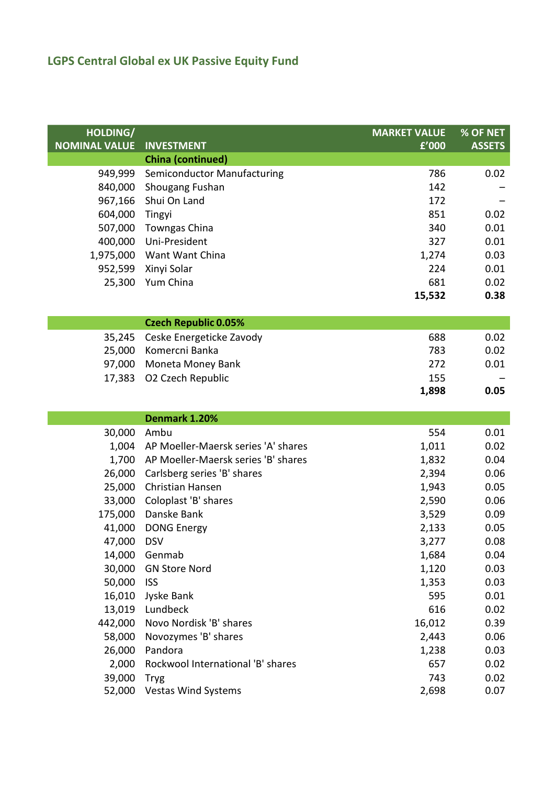| HOLDING/             |                                     | <b>MARKET VALUE</b> | % OF NET      |
|----------------------|-------------------------------------|---------------------|---------------|
| <b>NOMINAL VALUE</b> | <b>INVESTMENT</b>                   | £'000               | <b>ASSETS</b> |
|                      | <b>China (continued)</b>            |                     |               |
| 949,999              | Semiconductor Manufacturing         | 786                 | 0.02          |
| 840,000              | Shougang Fushan                     | 142                 |               |
| 967,166              | Shui On Land                        | 172                 |               |
| 604,000              | Tingyi                              | 851                 | 0.02          |
| 507,000              | <b>Towngas China</b>                | 340                 | 0.01          |
| 400,000              | Uni-President                       | 327                 | 0.01          |
|                      | 1,975,000 Want Want China           | 1,274               | 0.03          |
| 952,599              | Xinyi Solar                         | 224                 | 0.01          |
| 25,300               | Yum China                           | 681                 | 0.02          |
|                      |                                     | 15,532              | 0.38          |
|                      |                                     |                     |               |
|                      | <b>Czech Republic 0.05%</b>         |                     |               |
| 35,245               | Ceske Energeticke Zavody            | 688                 | 0.02          |
| 25,000               | Komercni Banka                      | 783                 | 0.02          |
| 97,000               | Moneta Money Bank                   | 272                 | 0.01          |
| 17,383               | O2 Czech Republic                   | 155                 |               |
|                      |                                     | 1,898               | 0.05          |
|                      | Denmark 1.20%                       |                     |               |
| 30,000               | Ambu                                | 554                 | 0.01          |
| 1,004                | AP Moeller-Maersk series 'A' shares | 1,011               | 0.02          |
| 1,700                | AP Moeller-Maersk series 'B' shares | 1,832               | 0.04          |
| 26,000               | Carlsberg series 'B' shares         | 2,394               | 0.06          |
| 25,000               | Christian Hansen                    | 1,943               | 0.05          |
| 33,000               | Coloplast 'B' shares                | 2,590               | 0.06          |
| 175,000              | Danske Bank                         | 3,529               | 0.09          |
| 41,000               | <b>DONG Energy</b>                  | 2,133               | 0.05          |
| 47,000 DSV           |                                     | 3,277               | 0.08          |
| 14,000               | Genmab                              | 1,684               | 0.04          |
| 30,000               | <b>GN Store Nord</b>                | 1,120               | 0.03          |
| 50,000               | <b>ISS</b>                          | 1,353               | 0.03          |
| 16,010               | Jyske Bank                          | 595                 | 0.01          |
| 13,019               | Lundbeck                            | 616                 | 0.02          |
| 442,000              | Novo Nordisk 'B' shares             | 16,012              | 0.39          |
| 58,000               | Novozymes 'B' shares                | 2,443               | 0.06          |
| 26,000               | Pandora                             | 1,238               | 0.03          |
| 2,000                | Rockwool International 'B' shares   | 657                 | 0.02          |
| 39,000               | <b>Tryg</b>                         | 743                 | 0.02          |
| 52,000               | <b>Vestas Wind Systems</b>          | 2,698               | 0.07          |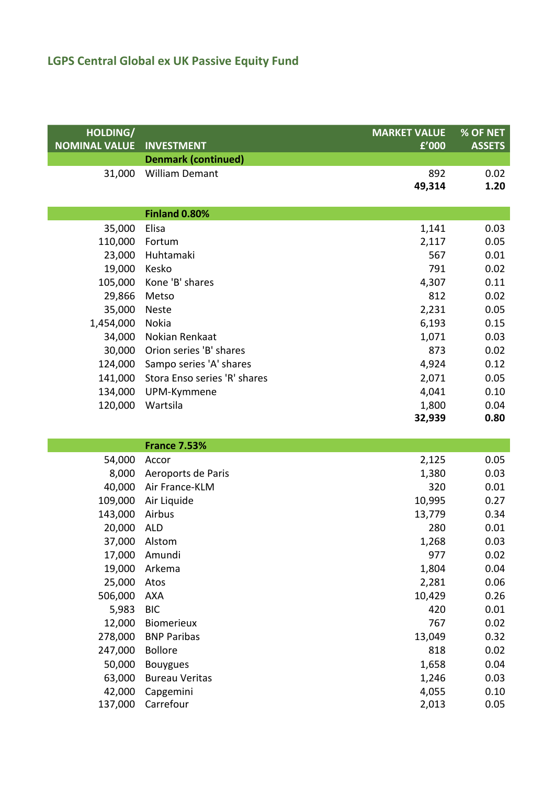| HOLDING/             |                              | <b>MARKET VALUE</b> | % OF NET      |
|----------------------|------------------------------|---------------------|---------------|
| <b>NOMINAL VALUE</b> | <b>INVESTMENT</b>            | f'000               | <b>ASSETS</b> |
|                      | <b>Denmark (continued)</b>   |                     |               |
| 31,000               | <b>William Demant</b>        | 892                 | 0.02<br>1.20  |
|                      |                              | 49,314              |               |
|                      | <b>Finland 0.80%</b>         |                     |               |
| 35,000               | Elisa                        | 1,141               | 0.03          |
| 110,000              | Fortum                       | 2,117               | 0.05          |
| 23,000               | Huhtamaki                    | 567                 | 0.01          |
| 19,000               | Kesko                        | 791                 | 0.02          |
| 105,000              | Kone 'B' shares              | 4,307               | 0.11          |
| 29,866               | Metso                        | 812                 | 0.02          |
| 35,000               | <b>Neste</b>                 | 2,231               | 0.05          |
| 1,454,000            | Nokia                        | 6,193               | 0.15          |
| 34,000               | Nokian Renkaat               | 1,071               | 0.03          |
| 30,000               | Orion series 'B' shares      | 873                 | 0.02          |
| 124,000              | Sampo series 'A' shares      | 4,924               | 0.12          |
| 141,000              | Stora Enso series 'R' shares | 2,071               | 0.05          |
| 134,000              | UPM-Kymmene                  | 4,041               | 0.10          |
| 120,000              | Wartsila                     | 1,800               | 0.04          |
|                      |                              | 32,939              | 0.80          |
|                      | <b>France 7.53%</b>          |                     |               |
| 54,000               | Accor                        | 2,125               | 0.05          |
| 8,000                | Aeroports de Paris           | 1,380               | 0.03          |
|                      | 40,000 Air France-KLM        | 320                 | 0.01          |
| 109,000              | Air Liquide                  | 10,995              | 0.27          |
| 143,000              | Airbus                       | 13,779              | 0.34          |
| 20,000               | <b>ALD</b>                   | 280                 | 0.01          |
| 37,000               | Alstom                       | 1,268               | 0.03          |
| 17,000               | Amundi                       | 977                 | 0.02          |
| 19,000               | Arkema                       | 1,804               | 0.04          |
| 25,000               | Atos                         | 2,281               | 0.06          |
| 506,000              | <b>AXA</b>                   | 10,429              | 0.26          |
| 5,983                | <b>BIC</b>                   | 420                 | 0.01          |
| 12,000               | <b>Biomerieux</b>            | 767                 | 0.02          |
| 278,000              | <b>BNP Paribas</b>           | 13,049              | 0.32          |
| 247,000              | <b>Bollore</b>               | 818                 | 0.02          |
| 50,000               | <b>Bouygues</b>              | 1,658               | 0.04          |
| 63,000               | <b>Bureau Veritas</b>        | 1,246               | 0.03          |

42,000 Capgemini 4,055 0.10 137,000 Carrefour 2,013 0.05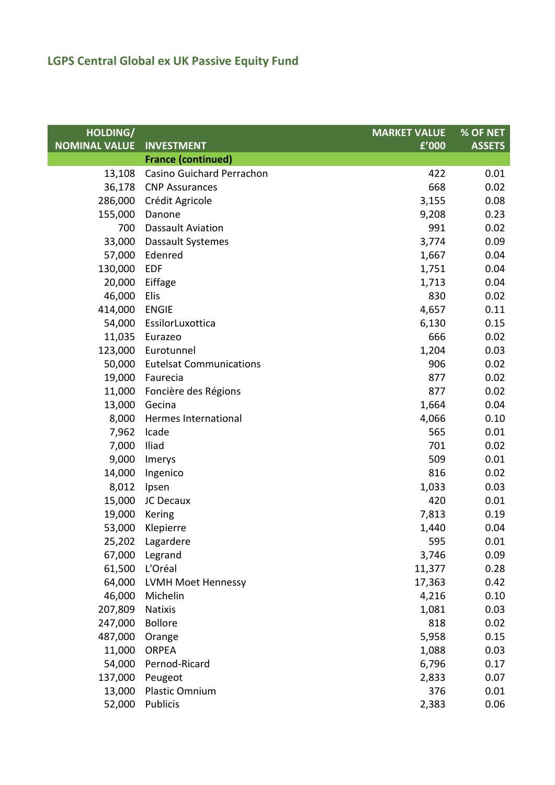| HOLDING/             |                                | <b>MARKET VALUE</b> | <b>% OF NET</b> |
|----------------------|--------------------------------|---------------------|-----------------|
| <b>NOMINAL VALUE</b> | <b>INVESTMENT</b>              | f'000               | <b>ASSETS</b>   |
|                      | <b>France (continued)</b>      |                     |                 |
| 13,108               | Casino Guichard Perrachon      | 422                 | 0.01            |
| 36,178               | <b>CNP Assurances</b>          | 668                 | 0.02            |
| 286,000              | Crédit Agricole                | 3,155               | 0.08            |
| 155,000              | Danone                         | 9,208               | 0.23            |
| 700                  | <b>Dassault Aviation</b>       | 991                 | 0.02            |
| 33,000               | Dassault Systemes              | 3,774               | 0.09            |
| 57,000               | Edenred                        | 1,667               | 0.04            |
| 130,000              | <b>EDF</b>                     | 1,751               | 0.04            |
| 20,000               | Eiffage                        | 1,713               | 0.04            |
| 46,000               | Elis                           | 830                 | 0.02            |
| 414,000              | <b>ENGIE</b>                   | 4,657               | 0.11            |
| 54,000               | EssilorLuxottica               | 6,130               | 0.15            |
| 11,035               | Eurazeo                        | 666                 | 0.02            |
| 123,000              | Eurotunnel                     | 1,204               | 0.03            |
| 50,000               | <b>Eutelsat Communications</b> | 906                 | 0.02            |
| 19,000               | Faurecia                       | 877                 | 0.02            |
| 11,000               | Foncière des Régions           | 877                 | 0.02            |
| 13,000               | Gecina                         | 1,664               | 0.04            |
| 8,000                | Hermes International           | 4,066               | 0.10            |
| 7,962                | Icade                          | 565                 | 0.01            |
| 7,000                | Iliad                          | 701                 | 0.02            |
| 9,000                | Imerys                         | 509                 | 0.01            |
| 14,000               | Ingenico                       | 816                 | 0.02            |
| 8,012                | Ipsen                          | 1,033               | 0.03            |
| 15,000               | JC Decaux                      | 420                 | 0.01            |
| 19,000               | Kering                         | 7,813               | 0.19            |
| 53,000               | Klepierre                      | 1,440               | 0.04            |
| 25,202               | Lagardere                      | 595                 | 0.01            |
| 67,000               | Legrand                        | 3,746               | 0.09            |
| 61,500               | L'Oréal                        | 11,377              | 0.28            |
| 64,000               | <b>LVMH Moet Hennessy</b>      | 17,363              | 0.42            |
| 46,000               | Michelin                       | 4,216               | 0.10            |
| 207,809              | Natixis                        | 1,081               | 0.03            |
| 247,000              | <b>Bollore</b>                 | 818                 | 0.02            |
| 487,000              | Orange                         | 5,958               | 0.15            |
| 11,000               | <b>ORPEA</b>                   | 1,088               | 0.03            |
| 54,000               | Pernod-Ricard                  | 6,796               | 0.17            |
| 137,000              | Peugeot                        | 2,833               | 0.07            |
| 13,000               | Plastic Omnium                 | 376                 | 0.01            |
| 52,000               | Publicis                       | 2,383               | 0.06            |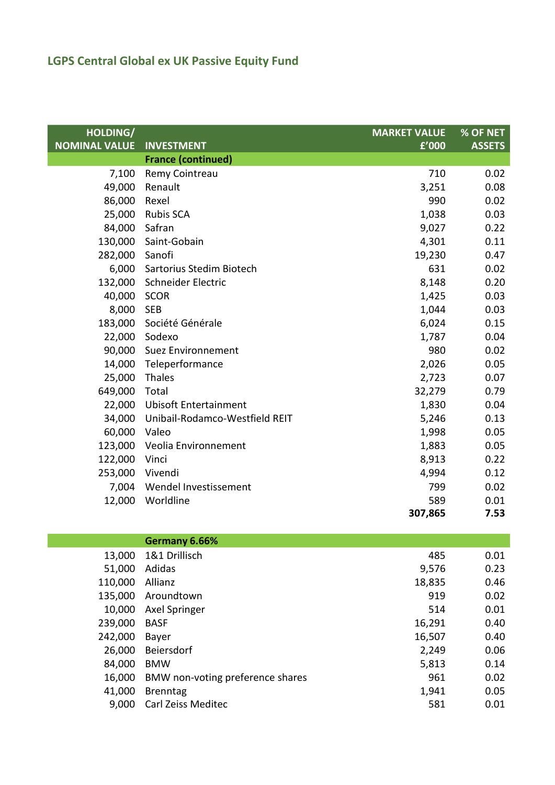| HOLDING/<br><b>NOMINAL VALUE</b> | <b>INVESTMENT</b>              | <b>MARKET VALUE</b><br>£'000 | $%$ OF NET<br><b>ASSETS</b> |
|----------------------------------|--------------------------------|------------------------------|-----------------------------|
|                                  | <b>France (continued)</b>      |                              |                             |
| 7,100                            | Remy Cointreau                 | 710                          | 0.02                        |
| 49,000                           | Renault                        | 3,251                        | 0.08                        |
| 86,000                           | Rexel                          | 990                          | 0.02                        |
| 25,000                           | <b>Rubis SCA</b>               | 1,038                        | 0.03                        |
| 84,000                           | Safran                         | 9,027                        | 0.22                        |
| 130,000                          | Saint-Gobain                   | 4,301                        | 0.11                        |
| 282,000                          | Sanofi                         | 19,230                       | 0.47                        |
| 6,000                            | Sartorius Stedim Biotech       | 631                          | 0.02                        |
| 132,000                          | Schneider Electric             | 8,148                        | 0.20                        |
| 40,000                           | <b>SCOR</b>                    | 1,425                        | 0.03                        |
| 8,000                            | <b>SEB</b>                     | 1,044                        | 0.03                        |
| 183,000                          | Société Générale               | 6,024                        | 0.15                        |
| 22,000                           | Sodexo                         | 1,787                        | 0.04                        |
| 90,000                           | <b>Suez Environnement</b>      | 980                          | 0.02                        |
| 14,000                           | Teleperformance                | 2,026                        | 0.05                        |
| 25,000                           | Thales                         | 2,723                        | 0.07                        |
| 649,000                          | Total                          | 32,279                       | 0.79                        |
| 22,000                           | <b>Ubisoft Entertainment</b>   | 1,830                        | 0.04                        |
| 34,000                           | Unibail-Rodamco-Westfield REIT | 5,246                        | 0.13                        |
| 60,000                           | Valeo                          | 1,998                        | 0.05                        |
| 123,000                          | Veolia Environnement           | 1,883                        | 0.05                        |
| 122,000                          | Vinci                          | 8,913                        | 0.22                        |
| 253,000                          | Vivendi                        | 4,994                        | 0.12                        |
| 7,004                            | Wendel Investissement          | 799                          | 0.02                        |
| 12,000                           | Worldline                      | 589                          | 0.01                        |
|                                  |                                | 307,865                      | 7.53                        |
|                                  |                                |                              |                             |
|                                  | Germany 6.66%                  |                              |                             |
| 13,000                           | 1&1 Drillisch                  | 485                          | 0.01                        |
| 51,000                           | Adidas                         | 9,576                        | 0.23                        |
| 110,000                          | Allianz                        | 18,835                       | 0.46                        |
|                                  | $12E$ $000$ Aroundtown         | 010                          | ററ                          |

| TIO,UUU AMMIL |                                  | בכס,סב | v. <del>4</del> v |
|---------------|----------------------------------|--------|-------------------|
| 135,000       | Aroundtown                       | 919    | 0.02              |
| 10,000        | Axel Springer                    | 514    | 0.01              |
| 239,000       | <b>BASF</b>                      | 16,291 | 0.40              |
| 242,000       | Bayer                            | 16,507 | 0.40              |
| 26,000        | Beiersdorf                       | 2,249  | 0.06              |
| 84,000        | <b>BMW</b>                       | 5,813  | 0.14              |
| 16,000        | BMW non-voting preference shares | 961    | 0.02              |
| 41,000        | <b>Brenntag</b>                  | 1,941  | 0.05              |
| 9,000         | <b>Carl Zeiss Meditec</b>        | 581    | 0.01              |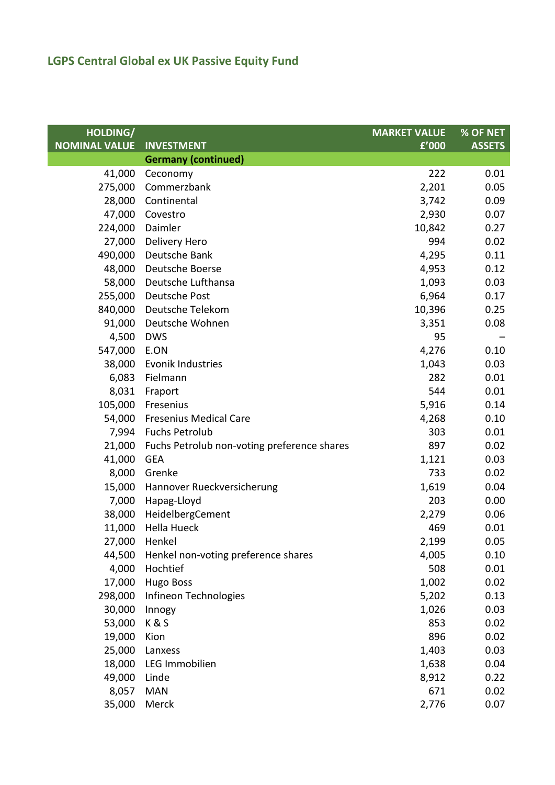| HOLDING/             |                                             | <b>MARKET VALUE</b> | % OF NET      |
|----------------------|---------------------------------------------|---------------------|---------------|
| <b>NOMINAL VALUE</b> | <b>INVESTMENT</b>                           | f'000               | <b>ASSETS</b> |
|                      | <b>Germany (continued)</b>                  |                     |               |
| 41,000               | Ceconomy                                    | 222                 | 0.01          |
| 275,000              | Commerzbank                                 | 2,201               | 0.05          |
| 28,000               | Continental                                 | 3,742               | 0.09          |
| 47,000               | Covestro                                    | 2,930               | 0.07          |
| 224,000              | Daimler                                     | 10,842              | 0.27          |
| 27,000               | Delivery Hero                               | 994                 | 0.02          |
| 490,000              | Deutsche Bank                               | 4,295               | 0.11          |
| 48,000               | Deutsche Boerse                             | 4,953               | 0.12          |
| 58,000               | Deutsche Lufthansa                          | 1,093               | 0.03          |
| 255,000              | Deutsche Post                               | 6,964               | 0.17          |
| 840,000              | Deutsche Telekom                            | 10,396              | 0.25          |
| 91,000               | Deutsche Wohnen                             | 3,351               | 0.08          |
| 4,500                | <b>DWS</b>                                  | 95                  |               |
| 547,000              | E.ON                                        | 4,276               | 0.10          |
| 38,000               | Evonik Industries                           | 1,043               | 0.03          |
| 6,083                | Fielmann                                    | 282                 | 0.01          |
| 8,031                | Fraport                                     | 544                 | 0.01          |
| 105,000              | Fresenius                                   | 5,916               | 0.14          |
| 54,000               | <b>Fresenius Medical Care</b>               | 4,268               | 0.10          |
| 7,994                | <b>Fuchs Petrolub</b>                       | 303                 | 0.01          |
| 21,000               | Fuchs Petrolub non-voting preference shares | 897                 | 0.02          |
| 41,000               | <b>GEA</b>                                  | 1,121               | 0.03          |
| 8,000                | Grenke                                      | 733                 | 0.02          |
| 15,000               | Hannover Rueckversicherung                  | 1,619               | 0.04          |
| 7,000                | Hapag-Lloyd                                 | 203                 | 0.00          |
| 38,000               | HeidelbergCement                            | 2,279               | 0.06          |
| 11,000               | <b>Hella Hueck</b>                          | 469                 | 0.01          |
| 27,000               | Henkel                                      | 2,199               | 0.05          |
| 44,500               | Henkel non-voting preference shares         | 4,005               | 0.10          |
| 4,000                | Hochtief                                    | 508                 | 0.01          |
| 17,000               | <b>Hugo Boss</b>                            | 1,002               | 0.02          |
| 298,000              | Infineon Technologies                       | 5,202               | 0.13          |
| 30,000               | Innogy                                      | 1,026               | 0.03          |
| 53,000               | K&S                                         | 853                 | 0.02          |
| 19,000               | Kion                                        | 896                 | 0.02          |
| 25,000               | Lanxess                                     | 1,403               | 0.03          |
| 18,000               | LEG Immobilien                              | 1,638               | 0.04          |
| 49,000               | Linde                                       | 8,912               | 0.22          |
| 8,057                | <b>MAN</b>                                  | 671                 | 0.02          |
| 35,000               | Merck                                       | 2,776               | 0.07          |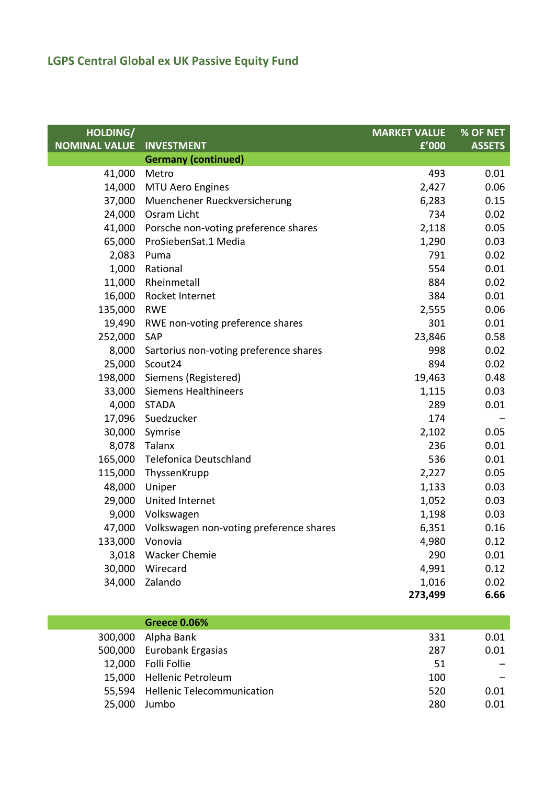| HOLDING/             |                                         | <b>MARKET VALUE</b> | % OF NET      |
|----------------------|-----------------------------------------|---------------------|---------------|
| <b>NOMINAL VALUE</b> | <b>INVESTMENT</b>                       | £'000               | <b>ASSETS</b> |
|                      | <b>Germany (continued)</b>              |                     |               |
| 41,000               | Metro                                   | 493                 | 0.01          |
| 14,000               | <b>MTU Aero Engines</b>                 | 2,427               | 0.06          |
| 37,000               | Muenchener Rueckversicherung            | 6,283               | 0.15          |
| 24,000               | Osram Licht                             | 734                 | 0.02          |
| 41,000               | Porsche non-voting preference shares    | 2,118               | 0.05          |
| 65,000               | ProSiebenSat.1 Media                    | 1,290               | 0.03          |
| 2,083                | Puma                                    | 791                 | 0.02          |
| 1,000                | Rational                                | 554                 | 0.01          |
| 11,000               | Rheinmetall                             | 884                 | 0.02          |
| 16,000               | Rocket Internet                         | 384                 | 0.01          |
| 135,000              | <b>RWE</b>                              | 2,555               | 0.06          |
| 19,490               | RWE non-voting preference shares        | 301                 | 0.01          |
| 252,000              | SAP                                     | 23,846              | 0.58          |
| 8,000                | Sartorius non-voting preference shares  | 998                 | 0.02          |
| 25,000               | Scout24                                 | 894                 | 0.02          |
| 198,000              | Siemens (Registered)                    | 19,463              | 0.48          |
| 33,000               | <b>Siemens Healthineers</b>             | 1,115               | 0.03          |
| 4,000                | <b>STADA</b>                            | 289                 | 0.01          |
| 17,096               | Suedzucker                              | 174                 |               |
| 30,000               | Symrise                                 | 2,102               | 0.05          |
| 8,078                | Talanx                                  | 236                 | 0.01          |
| 165,000              | Telefonica Deutschland                  | 536                 | 0.01          |
| 115,000              | ThyssenKrupp                            | 2,227               | 0.05          |
| 48,000               | Uniper                                  | 1,133               | 0.03          |
| 29,000               | United Internet                         | 1,052               | 0.03          |
| 9,000                | Volkswagen                              | 1,198               | 0.03          |
| 47,000               | Volkswagen non-voting preference shares | 6,351               | 0.16          |
| 133,000              | Vonovia                                 | 4,980               | 0.12          |
|                      | 3,018 Wacker Chemie                     | 290                 | 0.01          |
|                      | 30,000 Wirecard                         | 4,991               | 0.12          |
| 34,000               | Zalando                                 | 1,016               | 0.02          |
|                      |                                         | 273,499             | 6.66          |

|        | Greece 0.06%                      |     |      |
|--------|-----------------------------------|-----|------|
|        | 300,000 Alpha Bank                | 331 | 0.01 |
|        | 500,000 Eurobank Ergasias         | 287 | 0.01 |
|        | 12,000 Folli Follie               | 51  |      |
|        | 15,000 Hellenic Petroleum         | 100 |      |
|        | 55,594 Hellenic Telecommunication | 520 | 0.01 |
| 25,000 | Jumbo                             | 280 | 0.01 |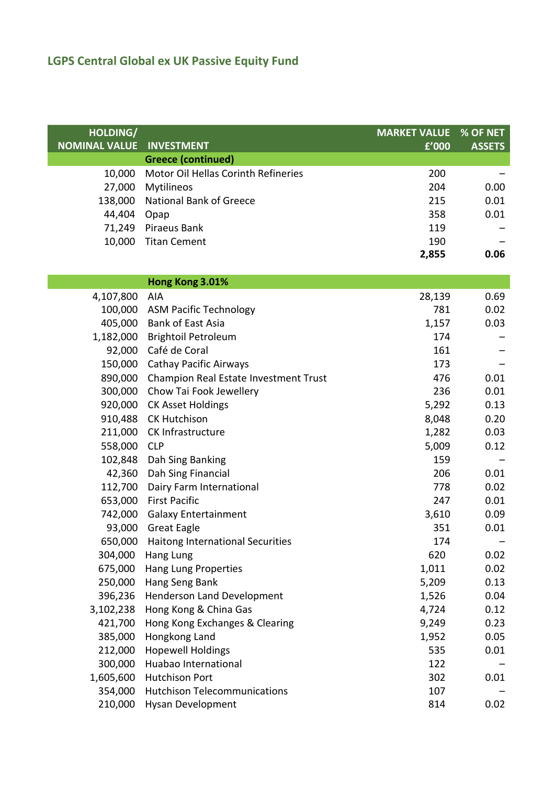| HOLDING/             |                                          | <b>MARKET VALUE</b> | % OF NET      |
|----------------------|------------------------------------------|---------------------|---------------|
| <b>NOMINAL VALUE</b> | <b>INVESTMENT</b>                        | f'000               | <b>ASSETS</b> |
|                      | <b>Greece (continued)</b>                |                     |               |
| 10,000               | Motor Oil Hellas Corinth Refineries      | 200                 |               |
| 27,000               | Mytilineos                               | 204                 | 0.00          |
| 138,000              | <b>National Bank of Greece</b>           | 215                 | 0.01          |
| 44,404               | Opap                                     | 358                 | 0.01          |
| 71,249               | Piraeus Bank                             | 119                 |               |
| 10,000               | <b>Titan Cement</b>                      | 190                 |               |
|                      |                                          | 2,855               | 0.06          |
|                      |                                          |                     |               |
|                      | Hong Kong 3.01%                          |                     |               |
| 4,107,800            | AIA                                      | 28,139              | 0.69          |
| 100,000              | <b>ASM Pacific Technology</b>            | 781                 | 0.02          |
| 405,000              | <b>Bank of East Asia</b>                 | 1,157               | 0.03          |
| 1,182,000            | <b>Brightoil Petroleum</b>               | 174                 |               |
| 92,000               | Café de Coral                            | 161                 |               |
| 150,000              | <b>Cathay Pacific Airways</b>            | 173                 |               |
| 890,000              | Champion Real Estate Investment Trust    | 476                 | 0.01          |
| 300,000              | Chow Tai Fook Jewellery                  | 236                 | 0.01          |
| 920,000              | <b>CK Asset Holdings</b>                 | 5,292               | 0.13          |
| 910,488              | <b>CK Hutchison</b>                      | 8,048               | 0.20          |
| 211,000              | CK Infrastructure                        | 1,282               | 0.03          |
| 558,000              | <b>CLP</b>                               | 5,009               | 0.12          |
| 102,848              | Dah Sing Banking                         | 159                 |               |
| 42,360               | Dah Sing Financial                       | 206                 | 0.01          |
| 112,700              | Dairy Farm International                 | 778                 | 0.02          |
| 653,000              | <b>First Pacific</b>                     | 247                 | 0.01          |
| 742,000              | <b>Galaxy Entertainment</b>              | 3,610               | 0.09          |
| 93,000               | <b>Great Eagle</b>                       | 351                 | 0.01          |
|                      | 650,000 Haitong International Securities | 174                 |               |
| 304,000              | Hang Lung                                | 620                 | 0.02          |
| 675,000              | Hang Lung Properties                     | 1,011               | 0.02          |
| 250,000              | Hang Seng Bank                           | 5,209               | 0.13          |
| 396,236              | Henderson Land Development               | 1,526               | 0.04          |
| 3,102,238            | Hong Kong & China Gas                    | 4,724               | 0.12          |
| 421,700              | Hong Kong Exchanges & Clearing           | 9,249               | 0.23          |
| 385,000              | Hongkong Land                            | 1,952               | 0.05          |
| 212,000              | <b>Hopewell Holdings</b>                 | 535                 | 0.01          |
| 300,000              | Huabao International                     | 122                 |               |
| 1,605,600            | <b>Hutchison Port</b>                    | 302                 | 0.01          |
| 354,000              | <b>Hutchison Telecommunications</b>      | 107                 |               |
| 210,000              | Hysan Development                        | 814                 | 0.02          |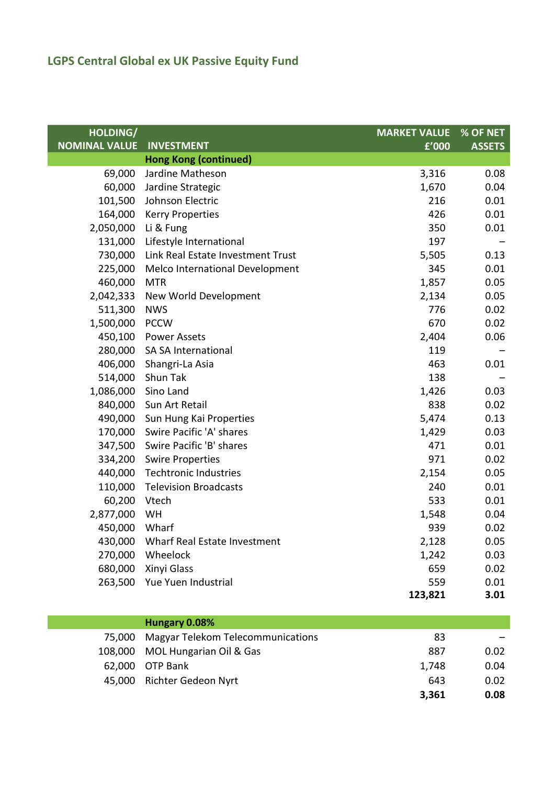| <b>HOLDING/</b><br><b>NOMINAL VALUE</b> | <b>INVESTMENT</b>                 | <b>MARKET VALUE</b><br>f'000 | % OF NET      |
|-----------------------------------------|-----------------------------------|------------------------------|---------------|
|                                         | <b>Hong Kong (continued)</b>      |                              | <b>ASSETS</b> |
| 69,000                                  | Jardine Matheson                  | 3,316                        | 0.08          |
| 60,000                                  | Jardine Strategic                 | 1,670                        | 0.04          |
| 101,500                                 | Johnson Electric                  | 216                          | 0.01          |
| 164,000                                 | <b>Kerry Properties</b>           | 426                          | 0.01          |
| 2,050,000                               | Li & Fung                         | 350                          | 0.01          |
| 131,000                                 | Lifestyle International           | 197                          |               |
| 730,000                                 | Link Real Estate Investment Trust | 5,505                        | 0.13          |
| 225,000                                 | Melco International Development   | 345                          | 0.01          |
| 460,000                                 | <b>MTR</b>                        | 1,857                        | 0.05          |
| 2,042,333                               | New World Development             | 2,134                        | 0.05          |
| 511,300                                 | <b>NWS</b>                        | 776                          | 0.02          |
| 1,500,000                               | <b>PCCW</b>                       | 670                          | 0.02          |
| 450,100                                 | <b>Power Assets</b>               | 2,404                        | 0.06          |
| 280,000                                 | SA SA International               | 119                          |               |
| 406,000                                 | Shangri-La Asia                   | 463                          | 0.01          |
| 514,000                                 | Shun Tak                          | 138                          |               |
| 1,086,000                               | Sino Land                         | 1,426                        | 0.03          |
| 840,000                                 | Sun Art Retail                    | 838                          | 0.02          |
| 490,000                                 | Sun Hung Kai Properties           | 5,474                        | 0.13          |
| 170,000                                 | Swire Pacific 'A' shares          | 1,429                        | 0.03          |
| 347,500                                 | Swire Pacific 'B' shares          | 471                          | 0.01          |
| 334,200                                 | <b>Swire Properties</b>           | 971                          | 0.02          |
| 440,000                                 | <b>Techtronic Industries</b>      | 2,154                        | 0.05          |
| 110,000                                 | <b>Television Broadcasts</b>      | 240                          | 0.01          |
| 60,200                                  | Vtech                             | 533                          | 0.01          |
| 2,877,000                               | WH                                | 1,548                        | 0.04          |
| 450,000                                 | Wharf                             | 939                          | 0.02          |
| 430,000                                 | Wharf Real Estate Investment      | 2,128                        | 0.05          |
| 270,000                                 | Wheelock                          | 1,242                        | 0.03          |
| 680,000                                 | Xinyi Glass                       | 659                          | 0.02          |
| 263,500                                 | Yue Yuen Industrial               | 559                          | 0.01          |
|                                         |                                   | 123,821                      | 3.01          |
|                                         | Hungary 0.08%                     |                              |               |

| <b>Hungary 0.08%</b>                     |       |      |
|------------------------------------------|-------|------|
| 75,000 Magyar Telekom Telecommunications | 83    |      |
| 108,000 MOL Hungarian Oil & Gas          | 887   | 0.02 |
| 62,000 OTP Bank                          | 1.748 | 0.04 |
| 45,000 Richter Gedeon Nyrt               | 643   | 0.02 |
|                                          | 3,361 | 0.08 |
|                                          |       |      |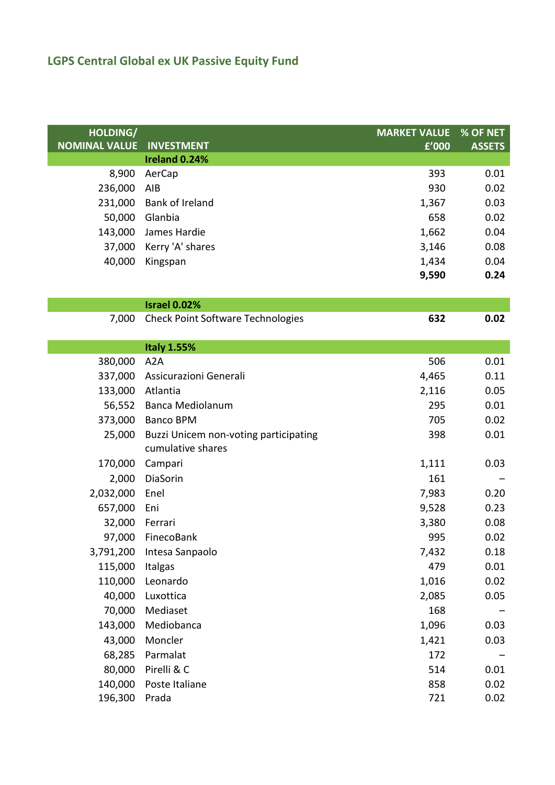| HOLDING/             | <b>INVESTMENT</b>                        | <b>MARKET VALUE</b> | % OF NET      |
|----------------------|------------------------------------------|---------------------|---------------|
| <b>NOMINAL VALUE</b> | Ireland 0.24%                            | f'000               | <b>ASSETS</b> |
| 8,900                | AerCap                                   | 393                 | 0.01          |
| 236,000              | AIB                                      | 930                 | 0.02          |
| 231,000              | Bank of Ireland                          | 1,367               | 0.03          |
| 50,000               | Glanbia                                  | 658                 | 0.02          |
| 143,000              | James Hardie                             | 1,662               | 0.04          |
| 37,000               | Kerry 'A' shares                         | 3,146               | 0.08          |
| 40,000               | Kingspan                                 | 1,434               | 0.04          |
|                      |                                          | 9,590               | 0.24          |
|                      |                                          |                     |               |
|                      | <b>Israel 0.02%</b>                      |                     |               |
| 7,000                | <b>Check Point Software Technologies</b> | 632                 | 0.02          |
|                      |                                          |                     |               |
|                      | <b>Italy 1.55%</b>                       |                     |               |
| 380,000              | A <sub>2</sub> A                         | 506                 | 0.01          |
| 337,000              | Assicurazioni Generali                   | 4,465               | 0.11          |
| 133,000              | Atlantia                                 | 2,116               | 0.05          |
| 56,552               | <b>Banca Mediolanum</b>                  | 295                 | 0.01          |
| 373,000              | <b>Banco BPM</b>                         | 705                 | 0.02          |
| 25,000               | Buzzi Unicem non-voting participating    | 398                 | 0.01          |
|                      | cumulative shares                        |                     |               |
| 170,000              | Campari                                  | 1,111               | 0.03          |
| 2,000                | DiaSorin                                 | 161                 |               |
| 2,032,000            | Enel                                     | 7,983               | 0.20          |
| 657,000              | Eni                                      | 9,528               | 0.23          |
| 32,000               | Ferrari                                  | 3,380               | 0.08          |
|                      | 97,000 FinecoBank                        | 995                 | 0.02          |
| 3,791,200            | Intesa Sanpaolo                          | 7,432               | 0.18          |
| 115,000              | Italgas                                  | 479                 | 0.01          |
| 110,000              | Leonardo                                 | 1,016               | 0.02          |
| 40,000               | Luxottica                                | 2,085               | 0.05          |
| 70,000               | Mediaset                                 | 168                 |               |
| 143,000              | Mediobanca                               | 1,096               | 0.03          |
| 43,000               | Moncler                                  | 1,421               | 0.03          |
| 68,285               | Parmalat                                 | 172                 |               |
| 80,000               | Pirelli & C                              | 514                 | 0.01          |
| 140,000              | Poste Italiane                           | 858                 | 0.02          |
| 196,300              | Prada                                    | 721                 | 0.02          |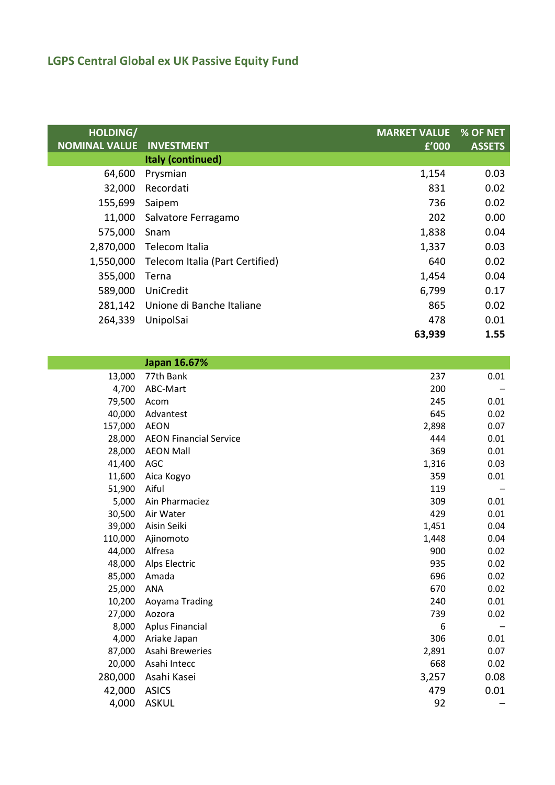| HOLDING/<br><b>NOMINAL VALUE</b> | <b>INVESTMENT</b>               | <b>MARKET VALUE</b><br>f'000 | % OF NET<br><b>ASSETS</b> |
|----------------------------------|---------------------------------|------------------------------|---------------------------|
|                                  | Italy (continued)               |                              |                           |
| 64,600                           | Prysmian                        | 1,154                        | 0.03                      |
| 32,000                           | Recordati                       | 831                          | 0.02                      |
| 155,699                          | Saipem                          | 736                          | 0.02                      |
| 11,000                           | Salvatore Ferragamo             | 202                          | 0.00                      |
| 575,000                          | Snam                            | 1,838                        | 0.04                      |
| 2,870,000                        | Telecom Italia                  | 1,337                        | 0.03                      |
| 1,550,000                        | Telecom Italia (Part Certified) | 640                          | 0.02                      |
| 355,000                          | Terna                           | 1,454                        | 0.04                      |
| 589,000                          | UniCredit                       | 6,799                        | 0.17                      |
| 281,142                          | Unione di Banche Italiane       | 865                          | 0.02                      |
| 264,339                          | UnipolSai                       | 478                          | 0.01                      |
|                                  |                                 | 63,939                       | 1.55                      |

|         | Japan 16.67%                  |       |      |
|---------|-------------------------------|-------|------|
| 13,000  | 77th Bank                     | 237   | 0.01 |
| 4,700   | ABC-Mart                      | 200   |      |
| 79,500  | Acom                          | 245   | 0.01 |
| 40,000  | Advantest                     | 645   | 0.02 |
| 157,000 | <b>AEON</b>                   | 2,898 | 0.07 |
| 28,000  | <b>AEON Financial Service</b> | 444   | 0.01 |
| 28,000  | <b>AEON Mall</b>              | 369   | 0.01 |
| 41,400  | AGC                           | 1,316 | 0.03 |
| 11,600  | Aica Kogyo                    | 359   | 0.01 |
| 51,900  | Aiful                         | 119   |      |
| 5,000   | Ain Pharmaciez                | 309   | 0.01 |
| 30,500  | Air Water                     | 429   | 0.01 |
| 39,000  | Aisin Seiki                   | 1,451 | 0.04 |
| 110,000 | Ajinomoto                     | 1,448 | 0.04 |
| 44,000  | Alfresa                       | 900   | 0.02 |
| 48,000  | Alps Electric                 | 935   | 0.02 |
| 85,000  | Amada                         | 696   | 0.02 |
| 25,000  | <b>ANA</b>                    | 670   | 0.02 |
| 10,200  | Aoyama Trading                | 240   | 0.01 |
| 27,000  | Aozora                        | 739   | 0.02 |
| 8,000   | <b>Aplus Financial</b>        | 6     |      |
| 4,000   | Ariake Japan                  | 306   | 0.01 |
| 87,000  | Asahi Breweries               | 2,891 | 0.07 |
| 20,000  | Asahi Intecc                  | 668   | 0.02 |
| 280,000 | Asahi Kasei                   | 3,257 | 0.08 |
| 42,000  | <b>ASICS</b>                  | 479   | 0.01 |
| 4,000   | <b>ASKUL</b>                  | 92    |      |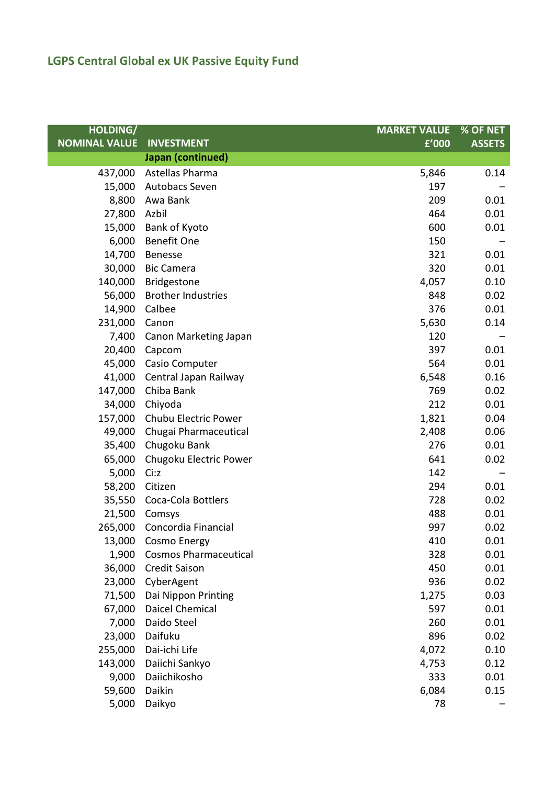| <b>HOLDING/</b>      |                              | <b>MARKET VALUE</b> | % OF NET      |
|----------------------|------------------------------|---------------------|---------------|
| <b>NOMINAL VALUE</b> | <b>INVESTMENT</b>            | f'000               | <b>ASSETS</b> |
|                      | Japan (continued)            |                     |               |
| 437,000              | Astellas Pharma              | 5,846               | 0.14          |
| 15,000               | Autobacs Seven               | 197                 |               |
| 8,800                | Awa Bank                     | 209                 | 0.01          |
| 27,800               | Azbil                        | 464                 | 0.01          |
| 15,000               | Bank of Kyoto                | 600                 | 0.01          |
| 6,000                | <b>Benefit One</b>           | 150                 |               |
| 14,700               | <b>Benesse</b>               | 321                 | 0.01          |
| 30,000               | <b>Bic Camera</b>            | 320                 | 0.01          |
| 140,000              | Bridgestone                  | 4,057               | 0.10          |
| 56,000               | <b>Brother Industries</b>    | 848                 | 0.02          |
| 14,900               | Calbee                       | 376                 | 0.01          |
| 231,000              | Canon                        | 5,630               | 0.14          |
| 7,400                | Canon Marketing Japan        | 120                 |               |
| 20,400               | Capcom                       | 397                 | 0.01          |
| 45,000               | Casio Computer               | 564                 | 0.01          |
| 41,000               | Central Japan Railway        | 6,548               | 0.16          |
| 147,000              | Chiba Bank                   | 769                 | 0.02          |
| 34,000               | Chiyoda                      | 212                 | 0.01          |
| 157,000              | Chubu Electric Power         | 1,821               | 0.04          |
| 49,000               | Chugai Pharmaceutical        | 2,408               | 0.06          |
| 35,400               | Chugoku Bank                 | 276                 | 0.01          |
| 65,000               | Chugoku Electric Power       | 641                 | 0.02          |
| 5,000                | Ci:z                         | 142                 |               |
| 58,200               | Citizen                      | 294                 | 0.01          |
| 35,550               | Coca-Cola Bottlers           | 728                 | 0.02          |
| 21,500               | Comsys                       | 488                 | 0.01          |
| 265,000              | Concordia Financial          | 997                 | 0.02          |
| 13,000               | Cosmo Energy                 | 410                 | 0.01          |
| 1,900                | <b>Cosmos Pharmaceutical</b> | 328                 | 0.01          |
| 36,000               | <b>Credit Saison</b>         | 450                 | 0.01          |
| 23,000               | CyberAgent                   | 936                 | 0.02          |
| 71,500               | Dai Nippon Printing          | 1,275               | 0.03          |
| 67,000               | Daicel Chemical              | 597                 | 0.01          |
| 7,000                | Daido Steel                  | 260                 | 0.01          |
| 23,000               | Daifuku                      | 896                 | 0.02          |
| 255,000              | Dai-ichi Life                | 4,072               | 0.10          |
| 143,000              | Daiichi Sankyo               | 4,753               | 0.12          |
| 9,000                | Daiichikosho                 | 333                 | 0.01          |
| 59,600               | Daikin                       | 6,084               | 0.15          |
| 5,000                | Daikyo                       | 78                  |               |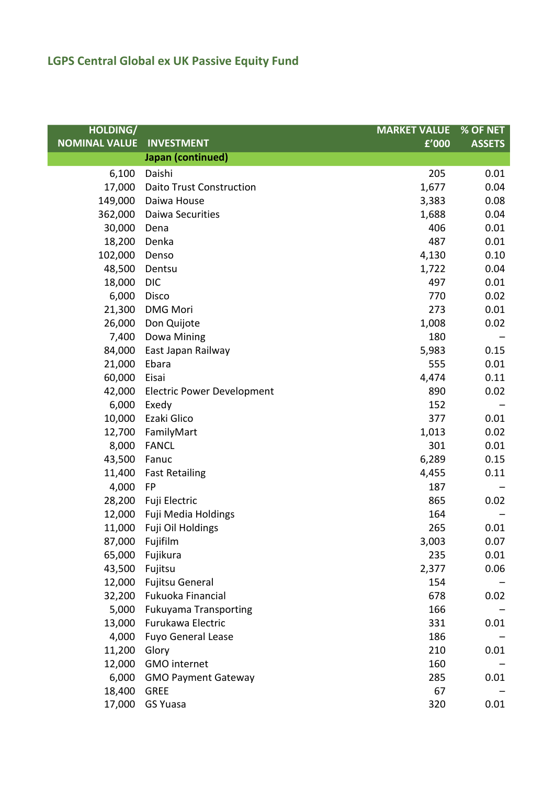| <b>HOLDING/</b>      |                                   | <b>MARKET VALUE</b> | % OF NET      |
|----------------------|-----------------------------------|---------------------|---------------|
| <b>NOMINAL VALUE</b> | <b>INVESTMENT</b>                 | £'000               | <b>ASSETS</b> |
|                      | Japan (continued)                 |                     |               |
| 6,100                | Daishi                            | 205                 | 0.01          |
| 17,000               | <b>Daito Trust Construction</b>   | 1,677               | 0.04          |
| 149,000              | Daiwa House                       | 3,383               | 0.08          |
| 362,000              | Daiwa Securities                  | 1,688               | 0.04          |
| 30,000               | Dena                              | 406                 | 0.01          |
| 18,200               | Denka                             | 487                 | 0.01          |
| 102,000              | Denso                             | 4,130               | 0.10          |
| 48,500               | Dentsu                            | 1,722               | 0.04          |
| 18,000               | <b>DIC</b>                        | 497                 | 0.01          |
| 6,000                | Disco                             | 770                 | 0.02          |
| 21,300               | <b>DMG Mori</b>                   | 273                 | 0.01          |
| 26,000               | Don Quijote                       | 1,008               | 0.02          |
| 7,400                | Dowa Mining                       | 180                 |               |
| 84,000               | East Japan Railway                | 5,983               | 0.15          |
| 21,000               | Ebara                             | 555                 | 0.01          |
| 60,000               | Eisai                             | 4,474               | 0.11          |
| 42,000               | <b>Electric Power Development</b> | 890                 | 0.02          |
| 6,000                | Exedy                             | 152                 |               |
| 10,000               | Ezaki Glico                       | 377                 | 0.01          |
| 12,700               | FamilyMart                        | 1,013               | 0.02          |
| 8,000                | <b>FANCL</b>                      | 301                 | 0.01          |
| 43,500               | Fanuc                             | 6,289               | 0.15          |
| 11,400               | <b>Fast Retailing</b>             | 4,455               | 0.11          |
| 4,000                | FP                                | 187                 |               |
| 28,200               | Fuji Electric                     | 865                 | 0.02          |
| 12,000               | Fuji Media Holdings               | 164                 |               |
| 11,000               | Fuji Oil Holdings                 | 265                 | 0.01          |
| 87,000               | Fujifilm                          | 3,003               | 0.07          |
| 65,000               | Fujikura                          | 235                 | 0.01          |
| 43,500               | Fujitsu                           | 2,377               | 0.06          |
| 12,000               | <b>Fujitsu General</b>            | 154                 |               |
|                      | 32,200 Fukuoka Financial          | 678                 | 0.02          |
| 5,000                | <b>Fukuyama Transporting</b>      | 166                 |               |
| 13,000               | Furukawa Electric                 | 331                 | 0.01          |
| 4,000                | <b>Fuyo General Lease</b>         | 186                 |               |
| 11,200               | Glory                             | 210                 | 0.01          |
| 12,000               | GMO internet                      | 160                 |               |
| 6,000                | <b>GMO Payment Gateway</b>        | 285                 | 0.01          |
| 18,400               | <b>GREE</b>                       | 67                  |               |
| 17,000               | <b>GS Yuasa</b>                   | 320                 | 0.01          |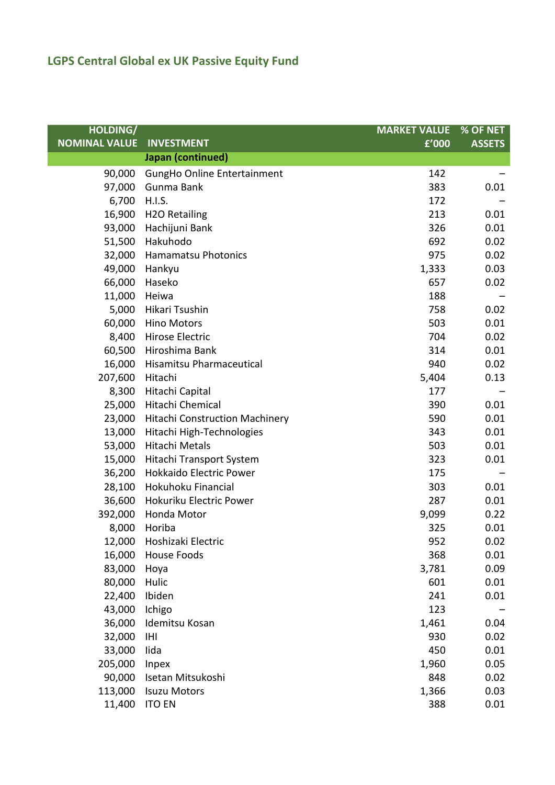| <b>HOLDING/</b>      |                                       | <b>MARKET VALUE</b> | % OF NET      |
|----------------------|---------------------------------------|---------------------|---------------|
| <b>NOMINAL VALUE</b> | <b>INVESTMENT</b>                     | £'000               | <b>ASSETS</b> |
|                      | Japan (continued)                     |                     |               |
| 90,000               | GungHo Online Entertainment           | 142                 |               |
| 97,000               | Gunma Bank                            | 383                 | 0.01          |
| 6,700                | <b>H.I.S.</b>                         | 172                 |               |
| 16,900               | <b>H2O Retailing</b>                  | 213                 | 0.01          |
| 93,000               | Hachijuni Bank                        | 326                 | 0.01          |
| 51,500               | Hakuhodo                              | 692                 | 0.02          |
| 32,000               | <b>Hamamatsu Photonics</b>            | 975                 | 0.02          |
| 49,000               | Hankyu                                | 1,333               | 0.03          |
| 66,000               | Haseko                                | 657                 | 0.02          |
| 11,000               | Heiwa                                 | 188                 |               |
| 5,000                | Hikari Tsushin                        | 758                 | 0.02          |
| 60,000               | <b>Hino Motors</b>                    | 503                 | 0.01          |
| 8,400                | Hirose Electric                       | 704                 | 0.02          |
| 60,500               | Hiroshima Bank                        | 314                 | 0.01          |
| 16,000               | Hisamitsu Pharmaceutical              | 940                 | 0.02          |
| 207,600              | Hitachi                               | 5,404               | 0.13          |
| 8,300                | Hitachi Capital                       | 177                 |               |
| 25,000               | Hitachi Chemical                      | 390                 | 0.01          |
| 23,000               | <b>Hitachi Construction Machinery</b> | 590                 | 0.01          |
| 13,000               | Hitachi High-Technologies             | 343                 | 0.01          |
| 53,000               | Hitachi Metals                        | 503                 | 0.01          |
| 15,000               | Hitachi Transport System              | 323                 | 0.01          |
| 36,200               | <b>Hokkaido Electric Power</b>        | 175                 |               |
| 28,100               | Hokuhoku Financial                    | 303                 | 0.01          |
| 36,600               | Hokuriku Electric Power               | 287                 | 0.01          |
| 392,000              | Honda Motor                           | 9,099               | 0.22          |
| 8,000                | Horiba                                | 325                 | 0.01          |
| 12,000               | Hoshizaki Electric                    | 952                 | 0.02          |
| 16,000               | House Foods                           | 368                 | 0.01          |
| 83,000               | Hoya                                  | 3,781               | 0.09          |
| 80,000               | Hulic                                 | 601                 | 0.01          |
| 22,400               | Ibiden                                | 241                 | 0.01          |
| 43,000               | Ichigo                                | 123                 |               |
| 36,000               | Idemitsu Kosan                        | 1,461               | 0.04          |
| 32,000               | IHI                                   | 930                 | 0.02          |
| 33,000               | lida                                  | 450                 | 0.01          |
| 205,000              | Inpex                                 | 1,960               | 0.05          |
| 90,000               | Isetan Mitsukoshi                     | 848                 | 0.02          |
| 113,000              | <b>Isuzu Motors</b>                   | 1,366               | 0.03          |
| 11,400               | <b>ITO EN</b>                         | 388                 | 0.01          |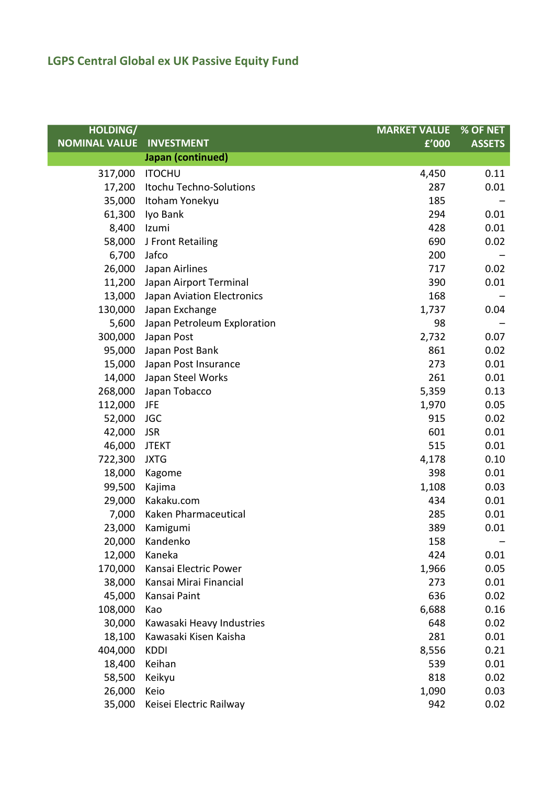| <b>HOLDING/</b>      |                             | <b>MARKET VALUE</b> | % OF NET      |
|----------------------|-----------------------------|---------------------|---------------|
| <b>NOMINAL VALUE</b> | <b>INVESTMENT</b>           | £'000               | <b>ASSETS</b> |
|                      | Japan (continued)           |                     |               |
| 317,000              | <b>ITOCHU</b>               | 4,450               | 0.11          |
| 17,200               | Itochu Techno-Solutions     | 287                 | 0.01          |
| 35,000               | Itoham Yonekyu              | 185                 |               |
| 61,300               | Iyo Bank                    | 294                 | 0.01          |
| 8,400                | Izumi                       | 428                 | 0.01          |
| 58,000               | J Front Retailing           | 690                 | 0.02          |
| 6,700                | Jafco                       | 200                 |               |
| 26,000               | Japan Airlines              | 717                 | 0.02          |
| 11,200               | Japan Airport Terminal      | 390                 | 0.01          |
| 13,000               | Japan Aviation Electronics  | 168                 |               |
| 130,000              | Japan Exchange              | 1,737               | 0.04          |
| 5,600                | Japan Petroleum Exploration | 98                  |               |
| 300,000              | Japan Post                  | 2,732               | 0.07          |
| 95,000               | Japan Post Bank             | 861                 | 0.02          |
| 15,000               | Japan Post Insurance        | 273                 | 0.01          |
| 14,000               | Japan Steel Works           | 261                 | 0.01          |
| 268,000              | Japan Tobacco               | 5,359               | 0.13          |
| 112,000              | <b>JFE</b>                  | 1,970               | 0.05          |
| 52,000               | <b>JGC</b>                  | 915                 | 0.02          |
| 42,000               | <b>JSR</b>                  | 601                 | 0.01          |
| 46,000               | <b>JTEKT</b>                | 515                 | 0.01          |
| 722,300              | <b>JXTG</b>                 | 4,178               | 0.10          |
| 18,000               | Kagome                      | 398                 | 0.01          |
| 99,500               | Kajima                      | 1,108               | 0.03          |
| 29,000               | Kakaku.com                  | 434                 | 0.01          |
| 7,000                | Kaken Pharmaceutical        | 285                 | 0.01          |
| 23,000               | Kamigumi                    | 389                 | 0.01          |
| 20,000               | Kandenko                    | 158                 |               |
| 12,000               | Kaneka                      | 424                 | 0.01          |
| 170,000              | Kansai Electric Power       | 1,966               | 0.05          |
| 38,000               | Kansai Mirai Financial      | 273                 | 0.01          |
| 45,000               | Kansai Paint                | 636                 | 0.02          |
| 108,000              | Kao                         | 6,688               | 0.16          |
| 30,000               | Kawasaki Heavy Industries   | 648                 | 0.02          |
| 18,100               | Kawasaki Kisen Kaisha       | 281                 | 0.01          |
| 404,000              | <b>KDDI</b>                 | 8,556               | 0.21          |
| 18,400               | Keihan                      | 539                 | 0.01          |
| 58,500               | Keikyu                      | 818                 | 0.02          |
| 26,000               | Keio                        | 1,090               | 0.03          |
| 35,000               | Keisei Electric Railway     | 942                 | 0.02          |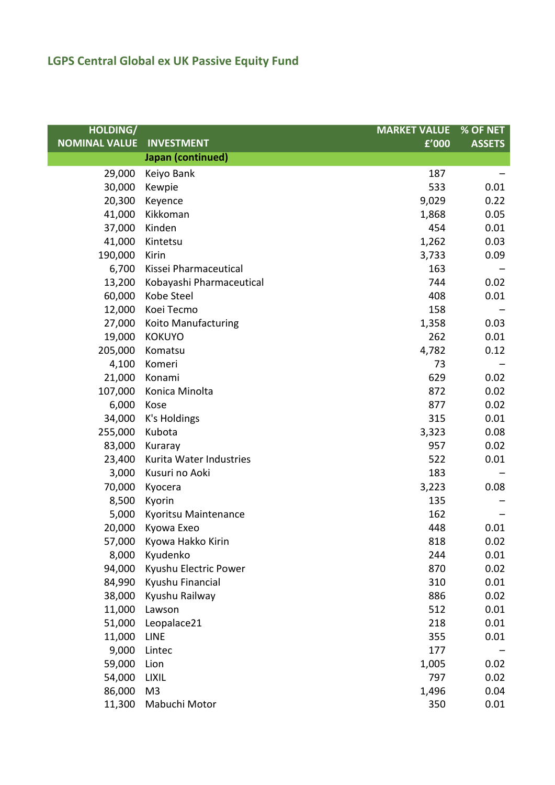| <b>HOLDING/</b>      |                          | <b>MARKET VALUE</b> | % OF NET      |
|----------------------|--------------------------|---------------------|---------------|
| <b>NOMINAL VALUE</b> | <b>INVESTMENT</b>        | £'000               | <b>ASSETS</b> |
|                      | Japan (continued)        |                     |               |
| 29,000               | Keiyo Bank               | 187                 |               |
| 30,000               | Kewpie                   | 533                 | 0.01          |
| 20,300               | Keyence                  | 9,029               | 0.22          |
| 41,000               | Kikkoman                 | 1,868               | 0.05          |
| 37,000               | Kinden                   | 454                 | 0.01          |
| 41,000               | Kintetsu                 | 1,262               | 0.03          |
| 190,000              | Kirin                    | 3,733               | 0.09          |
| 6,700                | Kissei Pharmaceutical    | 163                 |               |
| 13,200               | Kobayashi Pharmaceutical | 744                 | 0.02          |
| 60,000               | Kobe Steel               | 408                 | 0.01          |
| 12,000               | Koei Tecmo               | 158                 |               |
| 27,000               | Koito Manufacturing      | 1,358               | 0.03          |
| 19,000               | <b>KOKUYO</b>            | 262                 | 0.01          |
| 205,000              | Komatsu                  | 4,782               | 0.12          |
| 4,100                | Komeri                   | 73                  |               |
| 21,000               | Konami                   | 629                 | 0.02          |
| 107,000              | Konica Minolta           | 872                 | 0.02          |
| 6,000                | Kose                     | 877                 | 0.02          |
| 34,000               | K's Holdings             | 315                 | 0.01          |
| 255,000              | Kubota                   | 3,323               | 0.08          |
| 83,000               | Kuraray                  | 957                 | 0.02          |
| 23,400               | Kurita Water Industries  | 522                 | 0.01          |
| 3,000                | Kusuri no Aoki           | 183                 |               |
| 70,000               | Kyocera                  | 3,223               | 0.08          |
| 8,500                | Kyorin                   | 135                 |               |
| 5,000                | Kyoritsu Maintenance     | 162                 |               |
| 20,000               | Kyowa Exeo               | 448                 | 0.01          |
|                      | 57,000 Kyowa Hakko Kirin | 818                 | 0.02          |
| 8,000                | Kyudenko                 | 244                 | 0.01          |
| 94,000               | Kyushu Electric Power    | 870                 | 0.02          |
| 84,990               | Kyushu Financial         | 310                 | 0.01          |
| 38,000               | Kyushu Railway           | 886                 | 0.02          |
| 11,000               | Lawson                   | 512                 | 0.01          |
| 51,000               | Leopalace21              | 218                 | 0.01          |
| 11,000               | <b>LINE</b>              | 355                 | 0.01          |
| 9,000                | Lintec                   | 177                 |               |
| 59,000               | Lion                     | 1,005               | 0.02          |
| 54,000               | <b>LIXIL</b>             | 797                 | 0.02          |
| 86,000               | M <sub>3</sub>           | 1,496               | 0.04          |
| 11,300               | Mabuchi Motor            | 350                 | 0.01          |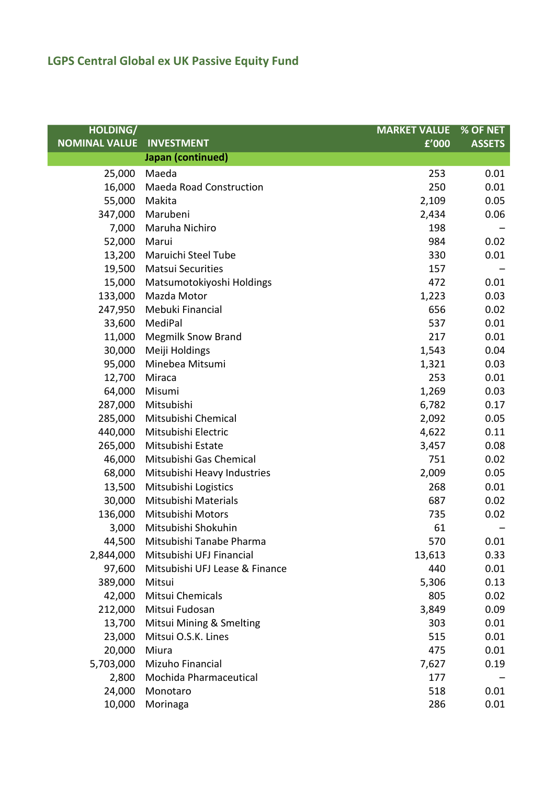| <b>HOLDING/</b>      |                                | <b>MARKET VALUE</b> | % OF NET      |
|----------------------|--------------------------------|---------------------|---------------|
| <b>NOMINAL VALUE</b> | <b>INVESTMENT</b>              | £'000               | <b>ASSETS</b> |
|                      | Japan (continued)              |                     |               |
| 25,000               | Maeda                          | 253                 | 0.01          |
| 16,000               | <b>Maeda Road Construction</b> | 250                 | 0.01          |
| 55,000               | Makita                         | 2,109               | 0.05          |
| 347,000              | Marubeni                       | 2,434               | 0.06          |
| 7,000                | Maruha Nichiro                 | 198                 |               |
| 52,000               | Marui                          | 984                 | 0.02          |
| 13,200               | Maruichi Steel Tube            | 330                 | 0.01          |
| 19,500               | <b>Matsui Securities</b>       | 157                 |               |
| 15,000               | Matsumotokiyoshi Holdings      | 472                 | 0.01          |
| 133,000              | Mazda Motor                    | 1,223               | 0.03          |
| 247,950              | Mebuki Financial               | 656                 | 0.02          |
| 33,600               | MediPal                        | 537                 | 0.01          |
| 11,000               | <b>Megmilk Snow Brand</b>      | 217                 | 0.01          |
| 30,000               | Meiji Holdings                 | 1,543               | 0.04          |
| 95,000               | Minebea Mitsumi                | 1,321               | 0.03          |
| 12,700               | Miraca                         | 253                 | 0.01          |
| 64,000               | Misumi                         | 1,269               | 0.03          |
| 287,000              | Mitsubishi                     | 6,782               | 0.17          |
| 285,000              | Mitsubishi Chemical            | 2,092               | 0.05          |
| 440,000              | Mitsubishi Electric            | 4,622               | 0.11          |
| 265,000              | Mitsubishi Estate              | 3,457               | 0.08          |
| 46,000               | Mitsubishi Gas Chemical        | 751                 | 0.02          |
| 68,000               | Mitsubishi Heavy Industries    | 2,009               | 0.05          |
| 13,500               | Mitsubishi Logistics           | 268                 | 0.01          |
| 30,000               | Mitsubishi Materials           | 687                 | 0.02          |
| 136,000              | Mitsubishi Motors              | 735                 | 0.02          |
| 3,000                | Mitsubishi Shokuhin            | 61                  |               |
| 44,500               | Mitsubishi Tanabe Pharma       | 570                 | 0.01          |
| 2,844,000            | Mitsubishi UFJ Financial       | 13,613              | 0.33          |
| 97,600               | Mitsubishi UFJ Lease & Finance | 440                 | 0.01          |
| 389,000              | Mitsui                         | 5,306               | 0.13          |
| 42,000               | Mitsui Chemicals               | 805                 | 0.02          |
| 212,000              | Mitsui Fudosan                 | 3,849               | 0.09          |
| 13,700               | Mitsui Mining & Smelting       | 303                 | 0.01          |
| 23,000               | Mitsui O.S.K. Lines            | 515                 | 0.01          |
| 20,000               | Miura                          | 475                 | 0.01          |
| 5,703,000            | Mizuho Financial               | 7,627               | 0.19          |
| 2,800                | Mochida Pharmaceutical         | 177                 |               |
| 24,000               | Monotaro                       | 518                 | 0.01          |
| 10,000               | Morinaga                       | 286                 | 0.01          |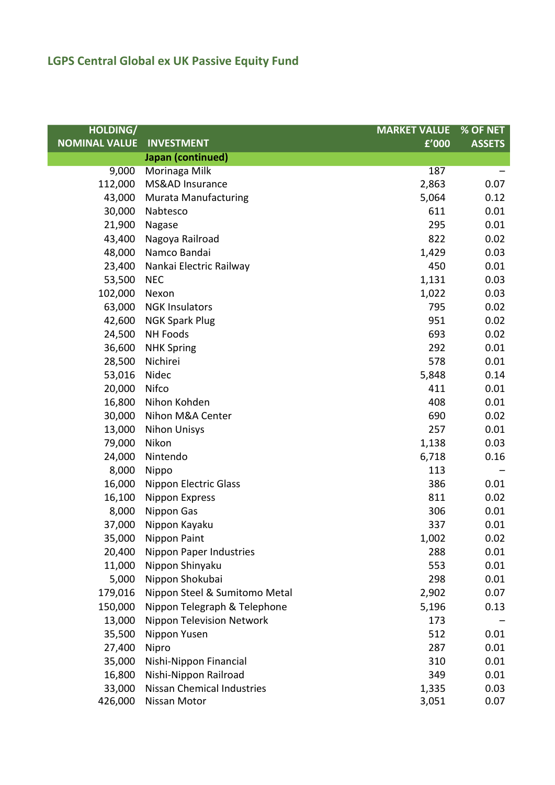| <b>HOLDING/</b>      |                                   | <b>MARKET VALUE</b> | % OF NET      |
|----------------------|-----------------------------------|---------------------|---------------|
| <b>NOMINAL VALUE</b> | <b>INVESTMENT</b>                 | £'000               | <b>ASSETS</b> |
|                      | Japan (continued)                 |                     |               |
| 9,000                | Morinaga Milk                     | 187                 |               |
| 112,000              | MS&AD Insurance                   | 2,863               | 0.07          |
| 43,000               | <b>Murata Manufacturing</b>       | 5,064               | 0.12          |
| 30,000               | Nabtesco                          | 611                 | 0.01          |
| 21,900               | Nagase                            | 295                 | 0.01          |
| 43,400               | Nagoya Railroad                   | 822                 | 0.02          |
| 48,000               | Namco Bandai                      | 1,429               | 0.03          |
| 23,400               | Nankai Electric Railway           | 450                 | 0.01          |
| 53,500               | <b>NEC</b>                        | 1,131               | 0.03          |
| 102,000              | Nexon                             | 1,022               | 0.03          |
| 63,000               | <b>NGK Insulators</b>             | 795                 | 0.02          |
| 42,600               | <b>NGK Spark Plug</b>             | 951                 | 0.02          |
| 24,500               | <b>NH Foods</b>                   | 693                 | 0.02          |
| 36,600               | <b>NHK Spring</b>                 | 292                 | 0.01          |
| 28,500               | Nichirei                          | 578                 | 0.01          |
| 53,016               | Nidec                             | 5,848               | 0.14          |
| 20,000               | Nifco                             | 411                 | 0.01          |
| 16,800               | Nihon Kohden                      | 408                 | 0.01          |
| 30,000               | Nihon M&A Center                  | 690                 | 0.02          |
| 13,000               | <b>Nihon Unisys</b>               | 257                 | 0.01          |
| 79,000               | Nikon                             | 1,138               | 0.03          |
| 24,000               | Nintendo                          | 6,718               | 0.16          |
| 8,000                | Nippo                             | 113                 |               |
| 16,000               | <b>Nippon Electric Glass</b>      | 386                 | 0.01          |
| 16,100               | <b>Nippon Express</b>             | 811                 | 0.02          |
| 8,000                | Nippon Gas                        | 306                 | 0.01          |
| 37,000               | Nippon Kayaku                     | 337                 | 0.01          |
|                      | 35,000 Nippon Paint               | 1,002               | 0.02          |
| 20,400               | <b>Nippon Paper Industries</b>    | 288                 | 0.01          |
| 11,000               | Nippon Shinyaku                   | 553                 | 0.01          |
| 5,000                | Nippon Shokubai                   | 298                 | 0.01          |
| 179,016              | Nippon Steel & Sumitomo Metal     | 2,902               | 0.07          |
| 150,000              | Nippon Telegraph & Telephone      | 5,196               | 0.13          |
| 13,000               | <b>Nippon Television Network</b>  | 173                 |               |
| 35,500               | Nippon Yusen                      | 512                 | 0.01          |
| 27,400               | Nipro                             | 287                 | 0.01          |
| 35,000               | Nishi-Nippon Financial            | 310                 | 0.01          |
| 16,800               | Nishi-Nippon Railroad             | 349                 | 0.01          |
| 33,000               | <b>Nissan Chemical Industries</b> | 1,335               | 0.03          |
| 426,000              | Nissan Motor                      | 3,051               | 0.07          |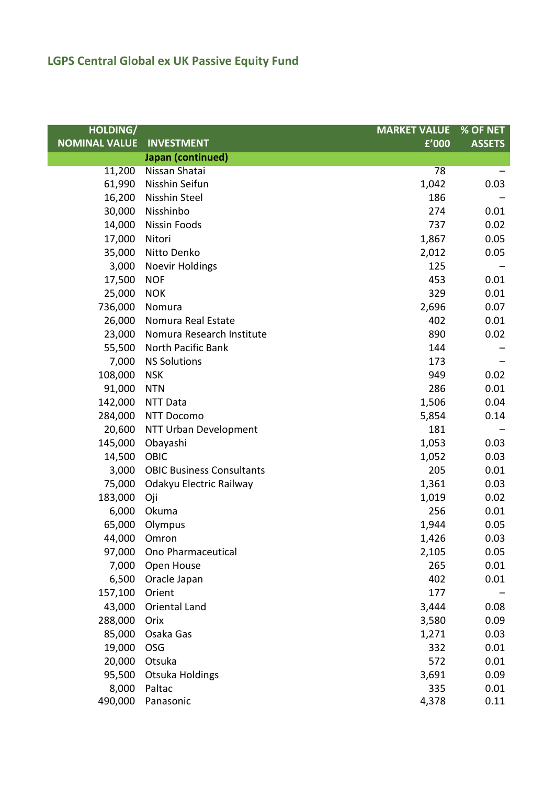| <b>HOLDING/</b>      |                                  | <b>MARKET VALUE</b> | % OF NET      |
|----------------------|----------------------------------|---------------------|---------------|
| <b>NOMINAL VALUE</b> | <b>INVESTMENT</b>                | £'000               | <b>ASSETS</b> |
|                      | Japan (continued)                |                     |               |
| 11,200               | Nissan Shatai                    | 78                  |               |
| 61,990               | Nisshin Seifun                   | 1,042               | 0.03          |
| 16,200               | Nisshin Steel                    | 186                 |               |
| 30,000               | Nisshinbo                        | 274                 | 0.01          |
| 14,000               | Nissin Foods                     | 737                 | 0.02          |
| 17,000               | Nitori                           | 1,867               | 0.05          |
| 35,000               | Nitto Denko                      | 2,012               | 0.05          |
| 3,000                | <b>Noevir Holdings</b>           | 125                 |               |
| 17,500               | <b>NOF</b>                       | 453                 | 0.01          |
| 25,000               | <b>NOK</b>                       | 329                 | 0.01          |
| 736,000              | Nomura                           | 2,696               | 0.07          |
| 26,000               | Nomura Real Estate               | 402                 | 0.01          |
| 23,000               | Nomura Research Institute        | 890                 | 0.02          |
| 55,500               | North Pacific Bank               | 144                 |               |
| 7,000                | <b>NS Solutions</b>              | 173                 |               |
| 108,000              | <b>NSK</b>                       | 949                 | 0.02          |
| 91,000               | <b>NTN</b>                       | 286                 | 0.01          |
| 142,000              | NTT Data                         | 1,506               | 0.04          |
| 284,000              | NTT Docomo                       | 5,854               | 0.14          |
| 20,600               | NTT Urban Development            | 181                 |               |
| 145,000              | Obayashi                         | 1,053               | 0.03          |
| 14,500               | OBIC                             | 1,052               | 0.03          |
| 3,000                | <b>OBIC Business Consultants</b> | 205                 | 0.01          |
| 75,000               | Odakyu Electric Railway          | 1,361               | 0.03          |
| 183,000              | Oji                              | 1,019               | 0.02          |
| 6,000                | Okuma                            | 256                 | 0.01          |
| 65,000               | Olympus                          | 1,944               | 0.05          |
| 44,000 Omron         |                                  | 1,426               | 0.03          |
| 97,000               | Ono Pharmaceutical               | 2,105               | 0.05          |
| 7,000                | Open House                       | 265                 | 0.01          |
| 6,500                | Oracle Japan                     | 402                 | 0.01          |
| 157,100              | Orient                           | 177                 |               |
| 43,000               | Oriental Land                    | 3,444               | 0.08          |
| 288,000              | Orix                             | 3,580               | 0.09          |
| 85,000               | Osaka Gas                        | 1,271               | 0.03          |
| 19,000               | OSG                              | 332                 | 0.01          |
| 20,000               | Otsuka                           | 572                 | 0.01          |
| 95,500               | <b>Otsuka Holdings</b>           | 3,691               | 0.09          |
| 8,000                | Paltac                           | 335                 | 0.01          |
| 490,000              | Panasonic                        | 4,378               | 0.11          |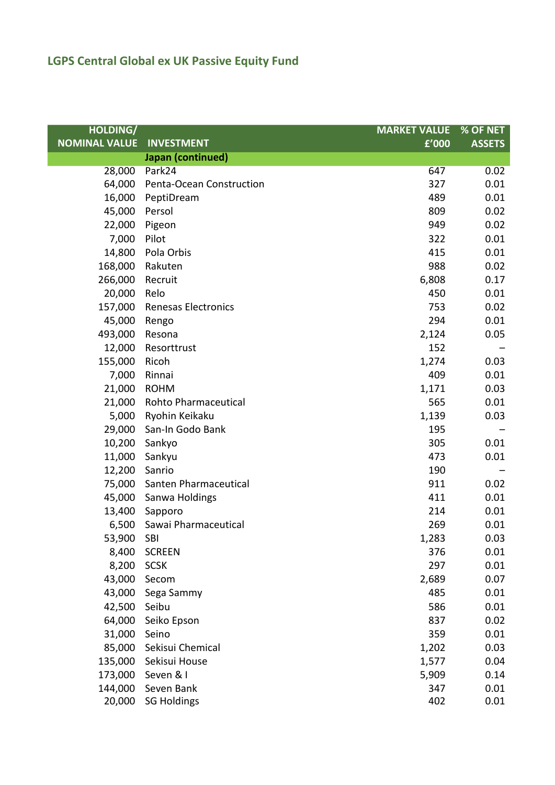| <b>HOLDING/</b>      |                            | <b>MARKET VALUE</b> | % OF NET      |
|----------------------|----------------------------|---------------------|---------------|
| <b>NOMINAL VALUE</b> | <b>INVESTMENT</b>          | £'000               | <b>ASSETS</b> |
|                      | Japan (continued)          |                     |               |
| 28,000               | Park24                     | 647                 | 0.02          |
| 64,000               | Penta-Ocean Construction   | 327                 | 0.01          |
| 16,000               | PeptiDream                 | 489                 | 0.01          |
| 45,000               | Persol                     | 809                 | 0.02          |
| 22,000               | Pigeon                     | 949                 | 0.02          |
| 7,000                | Pilot                      | 322                 | 0.01          |
| 14,800               | Pola Orbis                 | 415                 | 0.01          |
| 168,000              | Rakuten                    | 988                 | 0.02          |
| 266,000              | Recruit                    | 6,808               | 0.17          |
| 20,000               | Relo                       | 450                 | 0.01          |
| 157,000              | <b>Renesas Electronics</b> | 753                 | 0.02          |
| 45,000               | Rengo                      | 294                 | 0.01          |
| 493,000              | Resona                     | 2,124               | 0.05          |
| 12,000               | Resorttrust                | 152                 |               |
| 155,000              | Ricoh                      | 1,274               | 0.03          |
| 7,000                | Rinnai                     | 409                 | 0.01          |
| 21,000               | <b>ROHM</b>                | 1,171               | 0.03          |
| 21,000               | Rohto Pharmaceutical       | 565                 | 0.01          |
| 5,000                | Ryohin Keikaku             | 1,139               | 0.03          |
| 29,000               | San-In Godo Bank           | 195                 |               |
| 10,200               | Sankyo                     | 305                 | 0.01          |
| 11,000               | Sankyu                     | 473                 | 0.01          |
| 12,200               | Sanrio                     | 190                 |               |
| 75,000               | Santen Pharmaceutical      | 911                 | 0.02          |
| 45,000               | Sanwa Holdings             | 411                 | 0.01          |
|                      | 13,400 Sapporo             | 214                 | 0.01          |
| 6,500                | Sawai Pharmaceutical       | 269                 | 0.01          |
| 53,900               | SBI                        | 1,283               | 0.03          |
| 8,400                | <b>SCREEN</b>              | 376                 | 0.01          |
| 8,200                | <b>SCSK</b>                | 297                 | 0.01          |
| 43,000               | Secom                      | 2,689               | 0.07          |
| 43,000               | Sega Sammy                 | 485                 | 0.01          |
| 42,500               | Seibu                      | 586                 | 0.01          |
| 64,000               | Seiko Epson                | 837                 | 0.02          |
| 31,000               | Seino                      | 359                 | 0.01          |
| 85,000               | Sekisui Chemical           | 1,202               | 0.03          |
| 135,000              | Sekisui House              | 1,577               | 0.04          |
| 173,000              | Seven & I                  | 5,909               | 0.14          |
| 144,000              | Seven Bank                 | 347                 | 0.01          |
| 20,000               | <b>SG Holdings</b>         | 402                 | 0.01          |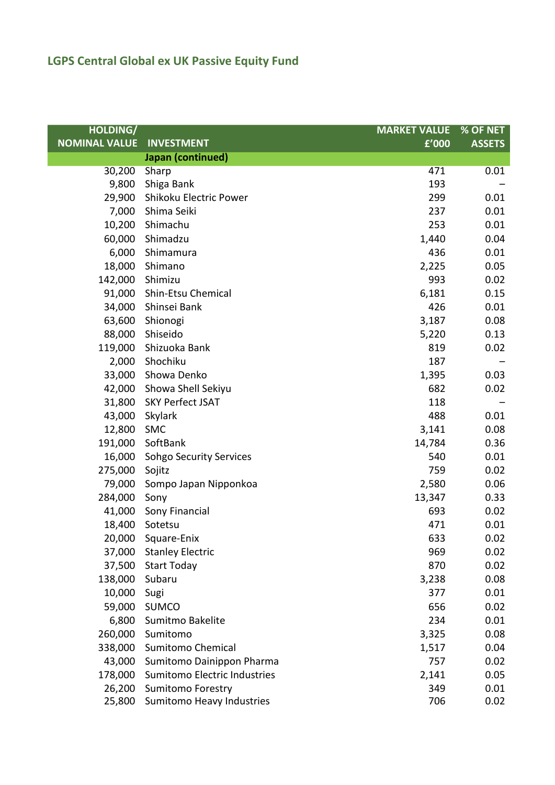| <b>HOLDING/</b>      |                                | <b>MARKET VALUE</b> | % OF NET      |
|----------------------|--------------------------------|---------------------|---------------|
| <b>NOMINAL VALUE</b> | <b>INVESTMENT</b>              | £'000               | <b>ASSETS</b> |
|                      | Japan (continued)              |                     |               |
| 30,200               | Sharp                          | 471                 | 0.01          |
| 9,800                | Shiga Bank                     | 193                 |               |
| 29,900               | Shikoku Electric Power         | 299                 | 0.01          |
| 7,000                | Shima Seiki                    | 237                 | 0.01          |
| 10,200               | Shimachu                       | 253                 | 0.01          |
| 60,000               | Shimadzu                       | 1,440               | 0.04          |
| 6,000                | Shimamura                      | 436                 | 0.01          |
| 18,000               | Shimano                        | 2,225               | 0.05          |
| 142,000              | Shimizu                        | 993                 | 0.02          |
| 91,000               | Shin-Etsu Chemical             | 6,181               | 0.15          |
| 34,000               | Shinsei Bank                   | 426                 | 0.01          |
| 63,600               | Shionogi                       | 3,187               | 0.08          |
| 88,000               | Shiseido                       | 5,220               | 0.13          |
| 119,000              | Shizuoka Bank                  | 819                 | 0.02          |
| 2,000                | Shochiku                       | 187                 |               |
| 33,000               | Showa Denko                    | 1,395               | 0.03          |
| 42,000               | Showa Shell Sekiyu             | 682                 | 0.02          |
| 31,800               | <b>SKY Perfect JSAT</b>        | 118                 |               |
| 43,000               | Skylark                        | 488                 | 0.01          |
| 12,800               | <b>SMC</b>                     | 3,141               | 0.08          |
| 191,000              | SoftBank                       | 14,784              | 0.36          |
| 16,000               | <b>Sohgo Security Services</b> | 540                 | 0.01          |
| 275,000              | Sojitz                         | 759                 | 0.02          |
| 79,000               | Sompo Japan Nipponkoa          | 2,580               | 0.06          |
| 284,000              | Sony                           | 13,347              | 0.33          |
| 41,000               | Sony Financial                 | 693                 | 0.02          |
| 18,400               | Sotetsu                        | 471                 | 0.01          |
|                      | 20,000 Square-Enix             | 633                 | 0.02          |
| 37,000               | <b>Stanley Electric</b>        | 969                 | 0.02          |
| 37,500               | <b>Start Today</b>             | 870                 | 0.02          |
| 138,000              | Subaru                         | 3,238               | 0.08          |
| 10,000               | Sugi                           | 377                 | 0.01          |
| 59,000               | <b>SUMCO</b>                   | 656                 | 0.02          |
| 6,800                | Sumitmo Bakelite               | 234                 | 0.01          |
| 260,000              | Sumitomo                       | 3,325               | 0.08          |
| 338,000              | <b>Sumitomo Chemical</b>       | 1,517               | 0.04          |
| 43,000               | Sumitomo Dainippon Pharma      | 757                 | 0.02          |
| 178,000              | Sumitomo Electric Industries   | 2,141               | 0.05          |
| 26,200               | <b>Sumitomo Forestry</b>       | 349                 | 0.01          |
| 25,800               | Sumitomo Heavy Industries      | 706                 | 0.02          |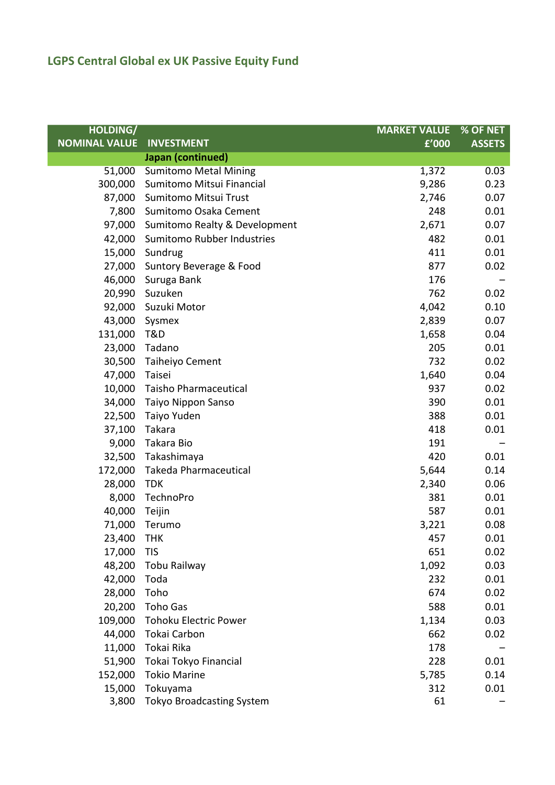| <b>HOLDING/</b>      |                                  | <b>MARKET VALUE</b> | % OF NET      |
|----------------------|----------------------------------|---------------------|---------------|
| <b>NOMINAL VALUE</b> | <b>INVESTMENT</b>                | f'000               | <b>ASSETS</b> |
|                      | Japan (continued)                |                     |               |
| 51,000               | <b>Sumitomo Metal Mining</b>     | 1,372               | 0.03          |
| 300,000              | Sumitomo Mitsui Financial        | 9,286               | 0.23          |
| 87,000               | Sumitomo Mitsui Trust            | 2,746               | 0.07          |
| 7,800                | Sumitomo Osaka Cement            | 248                 | 0.01          |
| 97,000               | Sumitomo Realty & Development    | 2,671               | 0.07          |
| 42,000               | Sumitomo Rubber Industries       | 482                 | 0.01          |
| 15,000               | Sundrug                          | 411                 | 0.01          |
| 27,000               | Suntory Beverage & Food          | 877                 | 0.02          |
| 46,000               | Suruga Bank                      | 176                 |               |
| 20,990               | Suzuken                          | 762                 | 0.02          |
| 92,000               | Suzuki Motor                     | 4,042               | 0.10          |
| 43,000               | Sysmex                           | 2,839               | 0.07          |
| 131,000              | T&D                              | 1,658               | 0.04          |
| 23,000               | Tadano                           | 205                 | 0.01          |
| 30,500               | Taiheiyo Cement                  | 732                 | 0.02          |
| 47,000               | Taisei                           | 1,640               | 0.04          |
| 10,000               | <b>Taisho Pharmaceutical</b>     | 937                 | 0.02          |
| 34,000               | Taiyo Nippon Sanso               | 390                 | 0.01          |
| 22,500               | Taiyo Yuden                      | 388                 | 0.01          |
| 37,100               | Takara                           | 418                 | 0.01          |
| 9,000                | Takara Bio                       | 191                 |               |
| 32,500               | Takashimaya                      | 420                 | 0.01          |
| 172,000              | <b>Takeda Pharmaceutical</b>     | 5,644               | 0.14          |
| 28,000               | <b>TDK</b>                       | 2,340               | 0.06          |
| 8,000                | TechnoPro                        | 381                 | 0.01          |
| 40,000               | Teijin                           | 587                 | 0.01          |
| 71,000               | Terumo                           | 3,221               | 0.08          |
| 23,400               | <b>THK</b>                       | 457                 | 0.01          |
| 17,000               | <b>TIS</b>                       | 651                 | 0.02          |
| 48,200               | Tobu Railway                     | 1,092               | 0.03          |
| 42,000               | Toda                             | 232                 | 0.01          |
| 28,000               | Toho                             | 674                 | 0.02          |
| 20,200               | <b>Toho Gas</b>                  | 588                 | 0.01          |
| 109,000              | <b>Tohoku Electric Power</b>     | 1,134               | 0.03          |
| 44,000               | Tokai Carbon                     | 662                 | 0.02          |
| 11,000               | Tokai Rika                       | 178                 |               |
| 51,900               | Tokai Tokyo Financial            | 228                 | 0.01          |
| 152,000              | <b>Tokio Marine</b>              | 5,785               | 0.14          |
| 15,000               | Tokuyama                         | 312                 | 0.01          |
| 3,800                | <b>Tokyo Broadcasting System</b> | 61                  |               |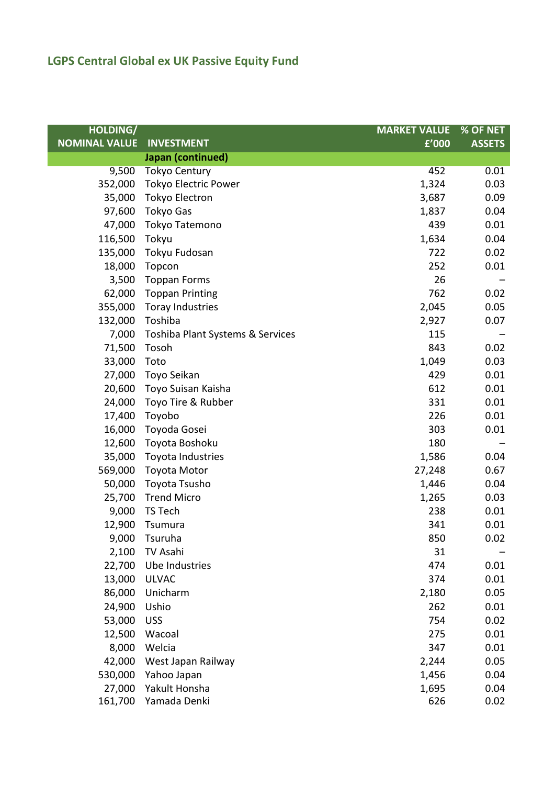| <b>HOLDING/</b>      |                                  | <b>MARKET VALUE</b> | % OF NET      |
|----------------------|----------------------------------|---------------------|---------------|
| <b>NOMINAL VALUE</b> | <b>INVESTMENT</b>                | £'000               | <b>ASSETS</b> |
|                      | Japan (continued)                |                     |               |
| 9,500                | <b>Tokyo Century</b>             | 452                 | 0.01          |
| 352,000              | <b>Tokyo Electric Power</b>      | 1,324               | 0.03          |
| 35,000               | Tokyo Electron                   | 3,687               | 0.09          |
| 97,600               | <b>Tokyo Gas</b>                 | 1,837               | 0.04          |
| 47,000               | Tokyo Tatemono                   | 439                 | 0.01          |
| 116,500              | Tokyu                            | 1,634               | 0.04          |
| 135,000              | Tokyu Fudosan                    | 722                 | 0.02          |
| 18,000               | Topcon                           | 252                 | 0.01          |
| 3,500                | <b>Toppan Forms</b>              | 26                  |               |
| 62,000               | <b>Toppan Printing</b>           | 762                 | 0.02          |
| 355,000              | <b>Toray Industries</b>          | 2,045               | 0.05          |
| 132,000              | Toshiba                          | 2,927               | 0.07          |
| 7,000                | Toshiba Plant Systems & Services | 115                 |               |
| 71,500               | Tosoh                            | 843                 | 0.02          |
| 33,000               | Toto                             | 1,049               | 0.03          |
| 27,000               | Toyo Seikan                      | 429                 | 0.01          |
|                      | 20,600 Toyo Suisan Kaisha        | 612                 | 0.01          |
| 24,000               | Toyo Tire & Rubber               | 331                 | 0.01          |
| 17,400               | Toyobo                           | 226                 | 0.01          |
| 16,000               | Toyoda Gosei                     | 303                 | 0.01          |
| 12,600               | Toyota Boshoku                   | 180                 |               |
| 35,000               | Toyota Industries                | 1,586               | 0.04          |
| 569,000              | <b>Toyota Motor</b>              | 27,248              | 0.67          |
| 50,000               | Toyota Tsusho                    | 1,446               | 0.04          |
| 25,700               | <b>Trend Micro</b>               | 1,265               | 0.03          |
| 9,000                | TS Tech                          | 238                 | 0.01          |
| 12,900               | Tsumura                          | 341                 | 0.01          |
| 9,000                | Tsuruha                          | 850                 | 0.02          |
| 2,100                | TV Asahi                         | 31                  |               |
| 22,700               | Ube Industries                   | 474                 | 0.01          |
| 13,000               | <b>ULVAC</b>                     | 374                 | 0.01          |
| 86,000               | Unicharm                         | 2,180               | 0.05          |
| 24,900               | Ushio                            | 262                 | 0.01          |
| 53,000               | <b>USS</b>                       | 754                 | 0.02          |
| 12,500               | Wacoal                           | 275                 | 0.01          |
| 8,000                | Welcia                           | 347                 | 0.01          |
| 42,000               | West Japan Railway               | 2,244               | 0.05          |
| 530,000              | Yahoo Japan                      | 1,456               | 0.04          |
| 27,000               | Yakult Honsha                    | 1,695               | 0.04          |
| 161,700              | Yamada Denki                     | 626                 | 0.02          |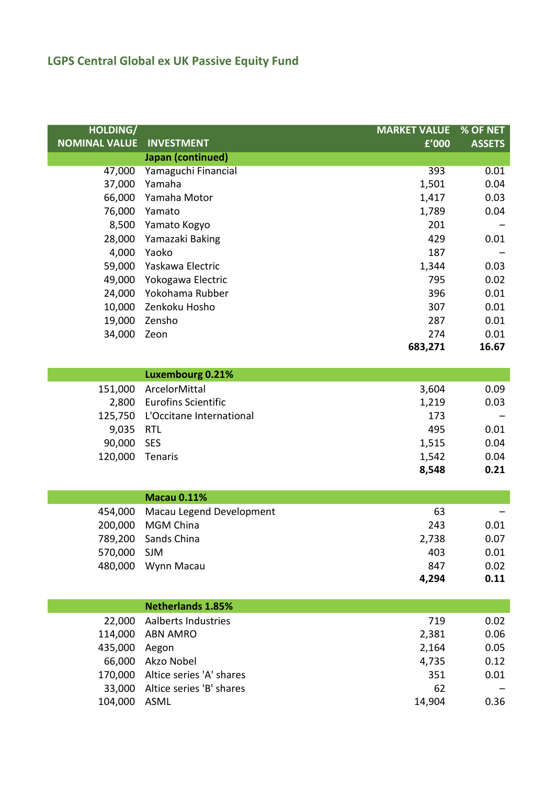| <b>HOLDING/</b>      |                            | <b>MARKET VALUE</b> | % OF NET      |
|----------------------|----------------------------|---------------------|---------------|
| <b>NOMINAL VALUE</b> | <b>INVESTMENT</b>          | £'000               | <b>ASSETS</b> |
|                      | Japan (continued)          |                     |               |
| 47,000               | Yamaguchi Financial        | 393                 | 0.01          |
| 37,000               | Yamaha                     | 1,501               | 0.04          |
| 66,000               | Yamaha Motor               | 1,417               | 0.03          |
| 76,000               | Yamato                     | 1,789               | 0.04          |
| 8,500                | Yamato Kogyo               | 201                 |               |
| 28,000               | Yamazaki Baking            | 429                 | 0.01          |
| 4,000                | Yaoko                      | 187                 |               |
| 59,000               | Yaskawa Electric           | 1,344               | 0.03          |
| 49,000               | Yokogawa Electric          | 795                 | 0.02          |
| 24,000               | Yokohama Rubber            | 396                 | 0.01          |
| 10,000               | Zenkoku Hosho              | 307                 | 0.01          |
| 19,000               | Zensho                     | 287                 | 0.01          |
| 34,000               | Zeon                       | 274                 | 0.01          |
|                      |                            | 683,271             | 16.67         |
|                      | <b>Luxembourg 0.21%</b>    |                     |               |
| 151,000              | ArcelorMittal              | 3,604               | 0.09          |
| 2,800                | <b>Eurofins Scientific</b> | 1,219               | 0.03          |
| 125,750              | L'Occitane International   | 173                 |               |
| 9,035                | <b>RTL</b>                 | 495                 | 0.01          |
| 90,000               | <b>SES</b>                 | 1,515               | 0.04          |
| 120,000              | Tenaris                    | 1,542               | 0.04          |
|                      |                            | 8,548               | 0.21          |
|                      |                            |                     |               |
|                      | <b>Macau 0.11%</b>         |                     |               |
| 454,000              | Macau Legend Development   | 63                  |               |
| 200,000              | <b>MGM China</b>           | 243                 | 0.01          |
| 789,200              | Sands China                | 2,738               | 0.07          |
| 570,000              | SJM                        | 403                 | 0.01          |
| 480,000              | Wynn Macau                 | 847                 | 0.02          |
|                      |                            | 4,294               | 0.11          |
|                      | <b>Netherlands 1.85%</b>   |                     |               |
| 22,000               | <b>Aalberts Industries</b> | 719                 | 0.02          |
| 114,000              | <b>ABN AMRO</b>            | 2,381               | 0.06          |
| 435,000              | Aegon                      | 2,164               | 0.05          |
| 66,000               | Akzo Nobel                 | 4,735               | 0.12          |
| 170,000              | Altice series 'A' shares   | 351                 | 0.01          |
| 33,000               | Altice series 'B' shares   | 62                  |               |
| 104,000              | ASML                       | 14,904              | 0.36          |
|                      |                            |                     |               |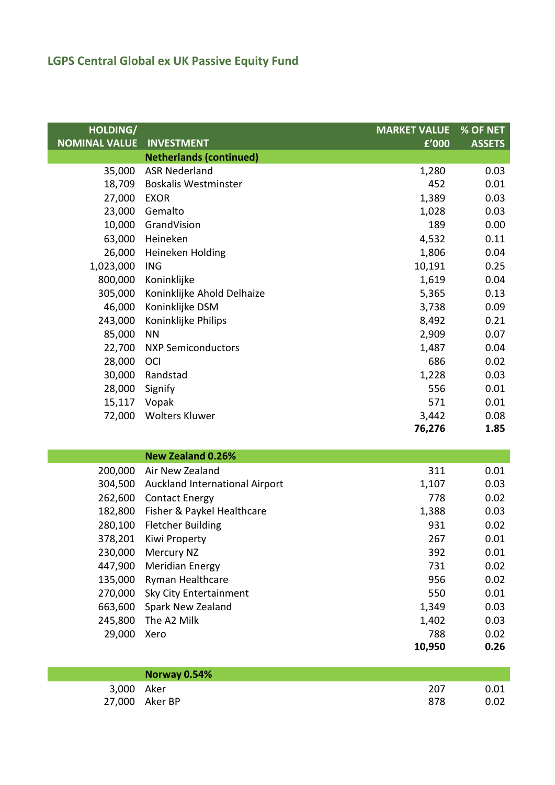l

| HOLDING/             |                                | <b>MARKET VALUE</b> | % OF NET      |
|----------------------|--------------------------------|---------------------|---------------|
| <b>NOMINAL VALUE</b> | <b>INVESTMENT</b>              | f'000               | <b>ASSETS</b> |
|                      | <b>Netherlands (continued)</b> |                     |               |
|                      | 35,000 ASR Nederland           | 1,280               | 0.03          |
| 18,709               | <b>Boskalis Westminster</b>    | 452                 | 0.01          |
| 27,000               | <b>EXOR</b>                    | 1,389               | 0.03          |
| 23,000               | Gemalto                        | 1,028               | 0.03          |
| 10,000               | GrandVision                    | 189                 | 0.00          |
| 63,000               | Heineken                       | 4,532               | 0.11          |
| 26,000               | Heineken Holding               | 1,806               | 0.04          |
| 1,023,000            | <b>ING</b>                     | 10,191              | 0.25          |
| 800,000              | Koninklijke                    | 1,619               | 0.04          |
| 305,000              | Koninklijke Ahold Delhaize     | 5,365               | 0.13          |
| 46,000               | Koninklijke DSM                | 3,738               | 0.09          |
| 243,000              | Koninklijke Philips            | 8,492               | 0.21          |
| 85,000               | <b>NN</b>                      | 2,909               | 0.07          |
| 22,700               | <b>NXP Semiconductors</b>      | 1,487               | 0.04          |
| 28,000               | <b>OCI</b>                     | 686                 | 0.02          |
| 30,000               | Randstad                       | 1,228               | 0.03          |
| 28,000               | Signify                        | 556                 | 0.01          |
| 15,117 Vopak         |                                | 571                 | 0.01          |
| 72,000               | <b>Wolters Kluwer</b>          | 3,442               | 0.08          |
|                      |                                | 76,276              | 1.85          |
|                      | <b>New Zealand 0.26%</b>       |                     |               |

|         | New Zealand U.Z6%              |        |      |
|---------|--------------------------------|--------|------|
| 200,000 | Air New Zealand                | 311    | 0.01 |
| 304,500 | Auckland International Airport | 1,107  | 0.03 |
| 262,600 | <b>Contact Energy</b>          | 778    | 0.02 |
| 182,800 | Fisher & Paykel Healthcare     | 1,388  | 0.03 |
| 280,100 | <b>Fletcher Building</b>       | 931    | 0.02 |
| 378,201 | Kiwi Property                  | 267    | 0.01 |
| 230,000 | Mercury NZ                     | 392    | 0.01 |
| 447,900 | <b>Meridian Energy</b>         | 731    | 0.02 |
| 135,000 | <b>Ryman Healthcare</b>        | 956    | 0.02 |
| 270,000 | Sky City Entertainment         | 550    | 0.01 |
| 663,600 | Spark New Zealand              | 1,349  | 0.03 |
| 245,800 | The A2 Milk                    | 1,402  | 0.03 |
| 29,000  | Xero                           | 788    | 0.02 |
|         |                                | 10,950 | 0.26 |

|            | Norway 0.54%   |     |      |
|------------|----------------|-----|------|
| 3,000 Aker |                | 207 | 0.01 |
|            | 27,000 Aker BP | 878 | 0.02 |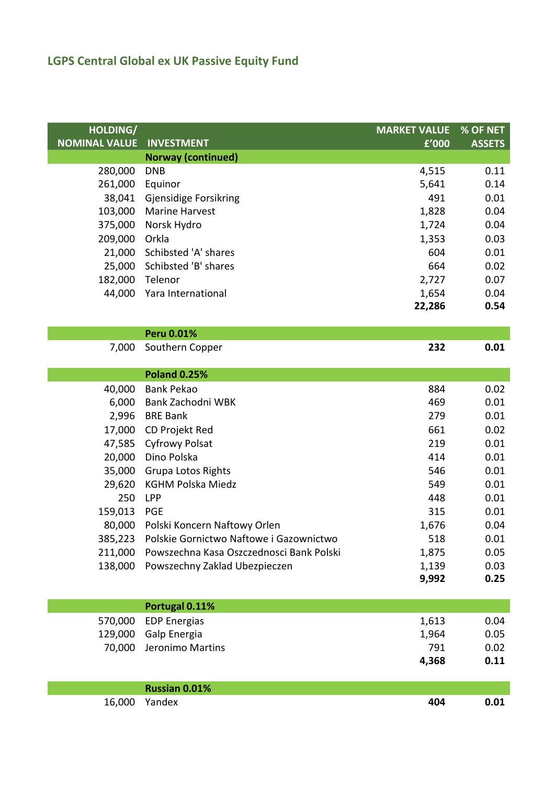| HOLDING/             |                                          | <b>MARKET VALUE</b> | % OF NET      |
|----------------------|------------------------------------------|---------------------|---------------|
| <b>NOMINAL VALUE</b> | <b>INVESTMENT</b>                        | f'000               | <b>ASSETS</b> |
|                      | <b>Norway (continued)</b>                |                     |               |
| 280,000              | <b>DNB</b>                               | 4,515               | 0.11          |
| 261,000              | Equinor                                  | 5,641               | 0.14          |
| 38,041               | <b>Gjensidige Forsikring</b>             | 491                 | 0.01          |
| 103,000              | <b>Marine Harvest</b>                    | 1,828               | 0.04          |
| 375,000              | Norsk Hydro                              | 1,724               | 0.04          |
| 209,000              | Orkla                                    | 1,353               | 0.03          |
| 21,000               | Schibsted 'A' shares                     | 604                 | 0.01          |
| 25,000               | Schibsted 'B' shares                     | 664                 | 0.02          |
| 182,000              | Telenor                                  | 2,727               | 0.07          |
| 44,000               | Yara International                       | 1,654               | 0.04          |
|                      |                                          | 22,286              | 0.54          |
|                      | <b>Peru 0.01%</b>                        |                     |               |
| 7,000                | Southern Copper                          | 232                 | 0.01          |
|                      |                                          |                     |               |
|                      | <b>Poland 0.25%</b>                      |                     |               |
| 40,000               | <b>Bank Pekao</b>                        | 884                 | 0.02          |
| 6,000                | Bank Zachodni WBK                        | 469                 | 0.01          |
| 2,996                | <b>BRE Bank</b>                          | 279                 | 0.01          |
| 17,000               | CD Projekt Red                           | 661                 | 0.02          |
| 47,585               | <b>Cyfrowy Polsat</b>                    | 219                 | 0.01          |
| 20,000               | Dino Polska                              | 414                 | 0.01          |
| 35,000               | <b>Grupa Lotos Rights</b>                | 546                 | 0.01          |
| 29,620               | <b>KGHM Polska Miedz</b>                 | 549                 | 0.01          |
| 250                  | <b>LPP</b>                               | 448                 | 0.01          |
| 159,013              | <b>PGE</b>                               | 315                 | 0.01          |
| 80,000               | Polski Koncern Naftowy Orlen             | 1,676               | 0.04          |
| 385,223              | Polskie Gornictwo Naftowe i Gazownictwo  | 518                 | 0.01          |
| 211,000              | Powszechna Kasa Oszczednosci Bank Polski | 1,875               | 0.05          |
| 138,000              | Powszechny Zaklad Ubezpieczen            | 1,139               | 0.03          |
|                      |                                          | 9,992               | 0.25          |
|                      | Portugal 0.11%                           |                     |               |
| 570,000              | <b>EDP Energias</b>                      | 1,613               | 0.04          |
| 129,000              | Galp Energia                             | 1,964               | 0.05          |
| 70,000               | Jeronimo Martins                         | 791                 | 0.02          |
|                      |                                          | 4,368               | 0.11          |
|                      |                                          |                     |               |
|                      | Russian 0.01%                            |                     |               |
| 16,000               | Yandex                                   | 404                 | 0.01          |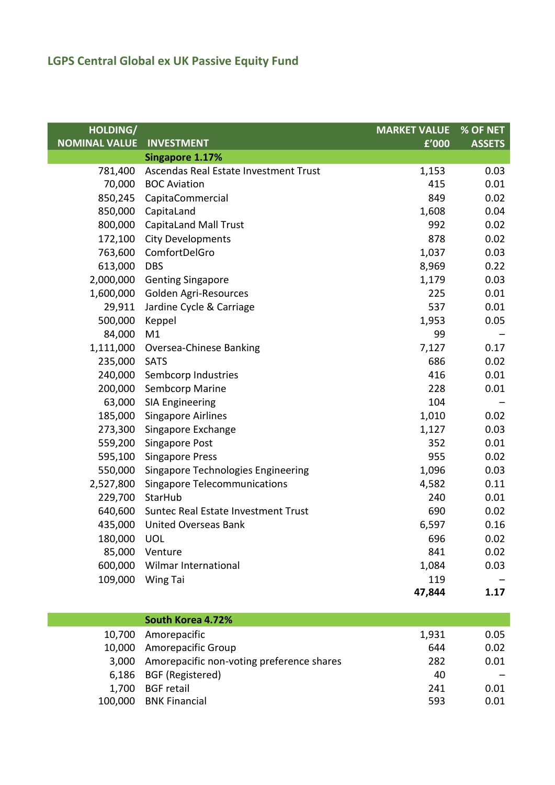| HOLDING/             |                                       | <b>MARKET VALUE</b> | % OF NET      |
|----------------------|---------------------------------------|---------------------|---------------|
| <b>NOMINAL VALUE</b> | <b>INVESTMENT</b>                     | £'000               | <b>ASSETS</b> |
|                      | Singapore 1.17%                       |                     |               |
| 781,400              | Ascendas Real Estate Investment Trust | 1,153               | 0.03          |
|                      | 70,000 BOC Aviation                   | 415                 | 0.01          |
| 850,245              | CapitaCommercial                      | 849                 | 0.02          |
| 850,000              | CapitaLand                            | 1,608               | 0.04          |
| 800,000              | <b>CapitaLand Mall Trust</b>          | 992                 | 0.02          |
| 172,100              | <b>City Developments</b>              | 878                 | 0.02          |
| 763,600              | ComfortDelGro                         | 1,037               | 0.03          |
| 613,000              | <b>DBS</b>                            | 8,969               | 0.22          |
| 2,000,000            | <b>Genting Singapore</b>              | 1,179               | 0.03          |
| 1,600,000            | Golden Agri-Resources                 | 225                 | 0.01          |
| 29,911               | Jardine Cycle & Carriage              | 537                 | 0.01          |
| 500,000              | Keppel                                | 1,953               | 0.05          |
| 84,000               | M1                                    | 99                  |               |
| 1,111,000            | Oversea-Chinese Banking               | 7,127               | 0.17          |
| 235,000              | SATS                                  | 686                 | 0.02          |
| 240,000              | Sembcorp Industries                   | 416                 | 0.01          |
|                      | 200,000 Sembcorp Marine               | 228                 | 0.01          |
| 63,000               | <b>SIA Engineering</b>                | 104                 |               |
| 185,000              | <b>Singapore Airlines</b>             | 1,010               | 0.02          |
| 273,300              | Singapore Exchange                    | 1,127               | 0.03          |
| 559,200              | <b>Singapore Post</b>                 | 352                 | 0.01          |
| 595,100              | <b>Singapore Press</b>                | 955                 | 0.02          |
| 550,000              | Singapore Technologies Engineering    | 1,096               | 0.03          |
| 2,527,800            | <b>Singapore Telecommunications</b>   | 4,582               | 0.11          |
| 229,700              | StarHub                               | 240                 | 0.01          |
| 640,600              | Suntec Real Estate Investment Trust   | 690                 | 0.02          |
| 435,000              | <b>United Overseas Bank</b>           | 6,597               | 0.16          |
| 180,000              | <b>UOL</b>                            | 696                 | 0.02          |
| 85,000               | Venture                               | 841                 | 0.02          |
| 600,000              | Wilmar International                  | 1,084               | 0.03          |
| 109,000              | Wing Tai                              | 119                 |               |
|                      |                                       | 47,844              | 1.17          |

|         | South Korea 4.72%                               |       |      |
|---------|-------------------------------------------------|-------|------|
|         | 10,700 Amorepacific                             | 1,931 | 0.05 |
|         | 10,000 Amorepacific Group                       | 644   | 0.02 |
|         | 3,000 Amorepacific non-voting preference shares | 282   | 0.01 |
|         | 6,186 BGF (Registered)                          | 40    |      |
| 1,700   | <b>BGF</b> retail                               | 241   | 0.01 |
| 100,000 | <b>BNK Financial</b>                            | 593   | 0.01 |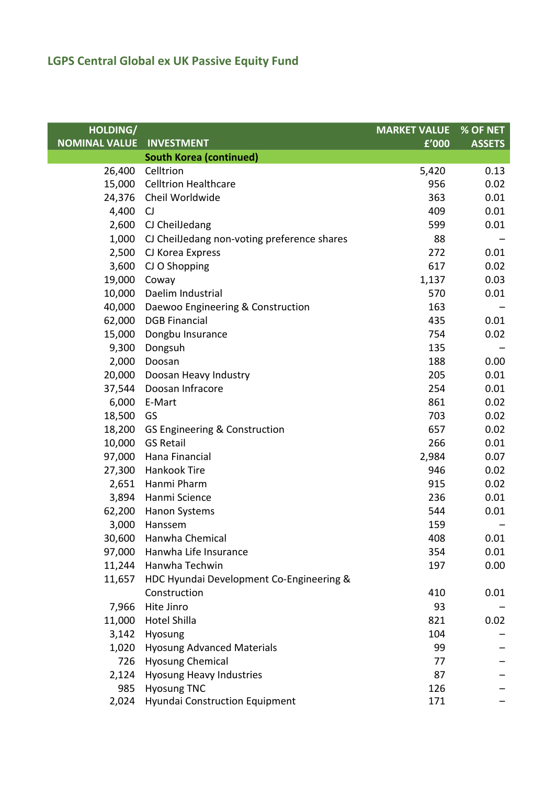| HOLDING/             |                                             | <b>MARKET VALUE</b> | $%$ OF NET    |
|----------------------|---------------------------------------------|---------------------|---------------|
| <b>NOMINAL VALUE</b> | <b>INVESTMENT</b>                           | f'000               | <b>ASSETS</b> |
|                      | <b>South Korea (continued)</b>              |                     |               |
| 26,400               | Celltrion                                   | 5,420               | 0.13          |
| 15,000               | <b>Celltrion Healthcare</b>                 | 956                 | 0.02          |
|                      | 24,376 Cheil Worldwide                      | 363                 | 0.01          |
| 4,400                | CJ                                          | 409                 | 0.01          |
| 2,600                | CJ CheilJedang                              | 599                 | 0.01          |
| 1,000                | CJ CheilJedang non-voting preference shares | 88                  |               |
| 2,500                | CJ Korea Express                            | 272                 | 0.01          |
| 3,600                | CJ O Shopping                               | 617                 | 0.02          |
| 19,000               | Coway                                       | 1,137               | 0.03          |
|                      | 10,000 Daelim Industrial                    | 570                 | 0.01          |
| 40,000               | Daewoo Engineering & Construction           | 163                 |               |
| 62,000               | <b>DGB Financial</b>                        | 435                 | 0.01          |
| 15,000               | Dongbu Insurance                            | 754                 | 0.02          |
| 9,300                | Dongsuh                                     | 135                 |               |
| 2,000                | Doosan                                      | 188                 | 0.00          |
| 20,000               | Doosan Heavy Industry                       | 205                 | 0.01          |
| 37,544               | Doosan Infracore                            | 254                 | 0.01          |
| 6,000                | E-Mart                                      | 861                 | 0.02          |
| 18,500               | GS                                          | 703                 | 0.02          |
| 18,200               | GS Engineering & Construction               | 657                 | 0.02          |
|                      | 10,000 GS Retail                            | 266                 | 0.01          |
| 97,000               | Hana Financial                              | 2,984               | 0.07          |
|                      | 27,300 Hankook Tire                         | 946                 | 0.02          |
|                      | 2,651 Hanmi Pharm                           | 915                 | 0.02          |
| 3,894                | Hanmi Science                               | 236                 | 0.01          |
|                      | 62,200 Hanon Systems                        | 544                 | 0.01          |
| 3,000                | Hanssem                                     | 159                 |               |
|                      | 30,600 Hanwha Chemical                      | 408                 | 0.01          |
| 97,000               | Hanwha Life Insurance                       | 354                 | 0.01          |
|                      | 11,244 Hanwha Techwin                       | 197                 | 0.00          |
| 11,657               | HDC Hyundai Development Co-Engineering &    |                     |               |
|                      | Construction                                | 410                 | 0.01          |
| 7,966                | Hite Jinro                                  | 93                  |               |
| 11,000               | <b>Hotel Shilla</b>                         | 821                 | 0.02          |
|                      | 3,142 Hyosung                               | 104                 |               |
| 1,020                | <b>Hyosung Advanced Materials</b>           | 99                  |               |
|                      | 726 Hyosung Chemical                        | 77                  |               |
| 2,124                | <b>Hyosung Heavy Industries</b>             | 87                  |               |
| 985                  | <b>Hyosung TNC</b>                          | 126                 |               |
|                      | 2,024 Hyundai Construction Equipment        | 171                 |               |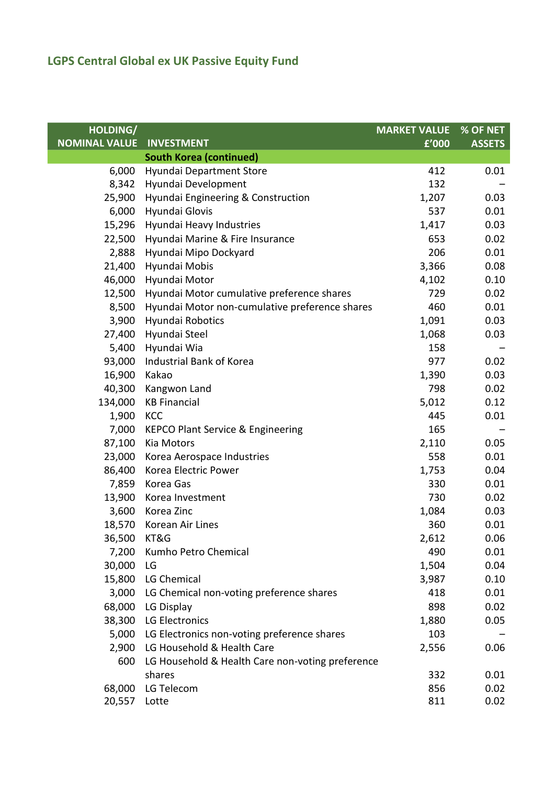| HOLDING/             |                                                  | <b>MARKET VALUE</b> | % OF NET      |
|----------------------|--------------------------------------------------|---------------------|---------------|
| <b>NOMINAL VALUE</b> | <b>INVESTMENT</b>                                | f'000               | <b>ASSETS</b> |
|                      | <b>South Korea (continued)</b>                   |                     |               |
| 6,000                | Hyundai Department Store                         | 412                 | 0.01          |
| 8,342                | Hyundai Development                              | 132                 |               |
| 25,900               | Hyundai Engineering & Construction               | 1,207               | 0.03          |
| 6,000                | Hyundai Glovis                                   | 537                 | 0.01          |
| 15,296               | Hyundai Heavy Industries                         | 1,417               | 0.03          |
| 22,500               | Hyundai Marine & Fire Insurance                  | 653                 | 0.02          |
| 2,888                | Hyundai Mipo Dockyard                            | 206                 | 0.01          |
| 21,400               | Hyundai Mobis                                    | 3,366               | 0.08          |
| 46,000               | Hyundai Motor                                    | 4,102               | 0.10          |
| 12,500               | Hyundai Motor cumulative preference shares       | 729                 | 0.02          |
| 8,500                | Hyundai Motor non-cumulative preference shares   | 460                 | 0.01          |
| 3,900                | Hyundai Robotics                                 | 1,091               | 0.03          |
| 27,400               | Hyundai Steel                                    | 1,068               | 0.03          |
| 5,400                | Hyundai Wia                                      | 158                 |               |
| 93,000               | Industrial Bank of Korea                         | 977                 | 0.02          |
| 16,900               | Kakao                                            | 1,390               | 0.03          |
| 40,300               | Kangwon Land                                     | 798                 | 0.02          |
| 134,000              | <b>KB Financial</b>                              | 5,012               | 0.12          |
| 1,900                | KCC                                              | 445                 | 0.01          |
| 7,000                | <b>KEPCO Plant Service &amp; Engineering</b>     | 165                 |               |
| 87,100               | Kia Motors                                       | 2,110               | 0.05          |
| 23,000               | Korea Aerospace Industries                       | 558                 | 0.01          |
| 86,400               | Korea Electric Power                             | 1,753               | 0.04          |
| 7,859                | Korea Gas                                        | 330                 | 0.01          |
| 13,900               | Korea Investment                                 | 730                 | 0.02          |
| 3,600                | Korea Zinc                                       | 1,084               | 0.03          |
| 18,570               | Korean Air Lines                                 | 360                 | 0.01          |
| 36,500               | KT&G                                             | 2,612               | 0.06          |
| 7,200                | Kumho Petro Chemical                             | 490                 | 0.01          |
| 30,000               | LG                                               | 1,504               | 0.04          |
| 15,800               | LG Chemical                                      | 3,987               | 0.10          |
| 3,000                | LG Chemical non-voting preference shares         | 418                 | 0.01          |
| 68,000               | LG Display                                       | 898                 | 0.02          |
| 38,300               | LG Electronics                                   | 1,880               | 0.05          |
| 5,000                | LG Electronics non-voting preference shares      | 103                 |               |
| 2,900                | LG Household & Health Care                       | 2,556               | 0.06          |
| 600                  | LG Household & Health Care non-voting preference |                     |               |
|                      | shares                                           | 332                 | 0.01          |
| 68,000               | LG Telecom                                       | 856                 | 0.02          |
| 20,557 Lotte         |                                                  | 811                 | 0.02          |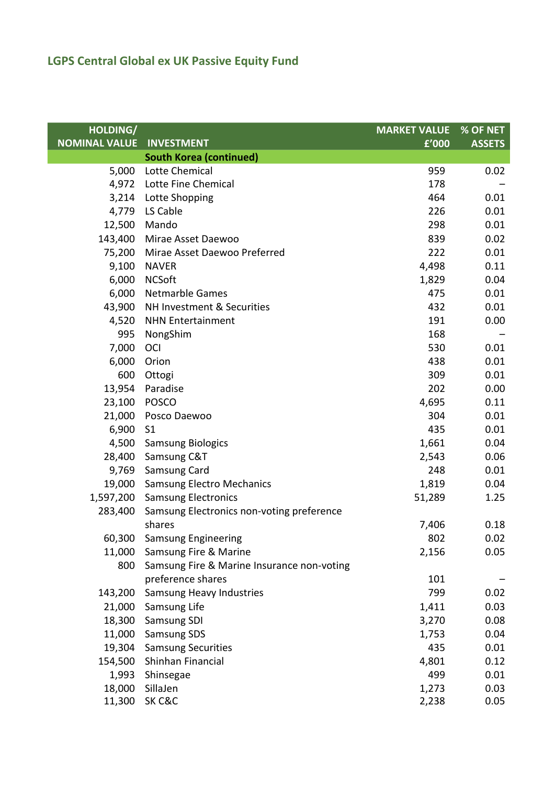| HOLDING/             |                                            | <b>MARKET VALUE</b> | % OF NET      |
|----------------------|--------------------------------------------|---------------------|---------------|
| <b>NOMINAL VALUE</b> | <b>INVESTMENT</b>                          | f'000               | <b>ASSETS</b> |
|                      | <b>South Korea (continued)</b>             |                     |               |
| 5,000                | <b>Lotte Chemical</b>                      | 959                 | 0.02          |
|                      | 4,972 Lotte Fine Chemical                  | 178                 |               |
|                      | 3,214 Lotte Shopping                       | 464                 | 0.01          |
| 4,779                | LS Cable                                   | 226                 | 0.01          |
| 12,500               | Mando                                      | 298                 | 0.01          |
| 143,400              | Mirae Asset Daewoo                         | 839                 | 0.02          |
| 75,200               | Mirae Asset Daewoo Preferred               | 222                 | 0.01          |
| 9,100                | <b>NAVER</b>                               | 4,498               | 0.11          |
| 6,000                | <b>NCSoft</b>                              | 1,829               | 0.04          |
| 6,000                | <b>Netmarble Games</b>                     | 475                 | 0.01          |
| 43,900               | NH Investment & Securities                 | 432                 | 0.01          |
| 4,520                | <b>NHN Entertainment</b>                   | 191                 | 0.00          |
| 995                  | NongShim                                   | 168                 |               |
| 7,000                | OCI                                        | 530                 | 0.01          |
| 6,000                | Orion                                      | 438                 | 0.01          |
| 600                  | Ottogi                                     | 309                 | 0.01          |
| 13,954               | Paradise                                   | 202                 | 0.00          |
| 23,100               | <b>POSCO</b>                               | 4,695               | 0.11          |
| 21,000               | Posco Daewoo                               | 304                 | 0.01          |
| 6,900                | S <sub>1</sub>                             | 435                 | 0.01          |
| 4,500                | <b>Samsung Biologics</b>                   | 1,661               | 0.04          |
| 28,400               | Samsung C&T                                | 2,543               | 0.06          |
|                      | 9,769 Samsung Card                         | 248                 | 0.01          |
|                      | 19,000 Samsung Electro Mechanics           | 1,819               | 0.04          |
|                      | 1,597,200 Samsung Electronics              | 51,289              | 1.25          |
| 283,400              | Samsung Electronics non-voting preference  |                     |               |
|                      | shares                                     | 7,406               | 0.18          |
|                      | 60,300 Samsung Engineering                 | 802                 | 0.02          |
| 11,000               | Samsung Fire & Marine                      | 2,156               | 0.05          |
| 800                  | Samsung Fire & Marine Insurance non-voting |                     |               |
|                      | preference shares                          | 101                 |               |
| 143,200              | Samsung Heavy Industries                   | 799                 | 0.02          |
| 21,000               | Samsung Life                               | 1,411               | 0.03          |
| 18,300               | Samsung SDI                                | 3,270               | 0.08          |
| 11,000               | <b>Samsung SDS</b>                         | 1,753               | 0.04          |
| 19,304               | <b>Samsung Securities</b>                  | 435                 | 0.01          |
| 154,500              | Shinhan Financial                          | 4,801               | 0.12          |
| 1,993                | Shinsegae                                  | 499                 | 0.01          |
| 18,000               | SillaJen                                   | 1,273               | 0.03          |
| 11,300               | SK C&C                                     | 2,238               | 0.05          |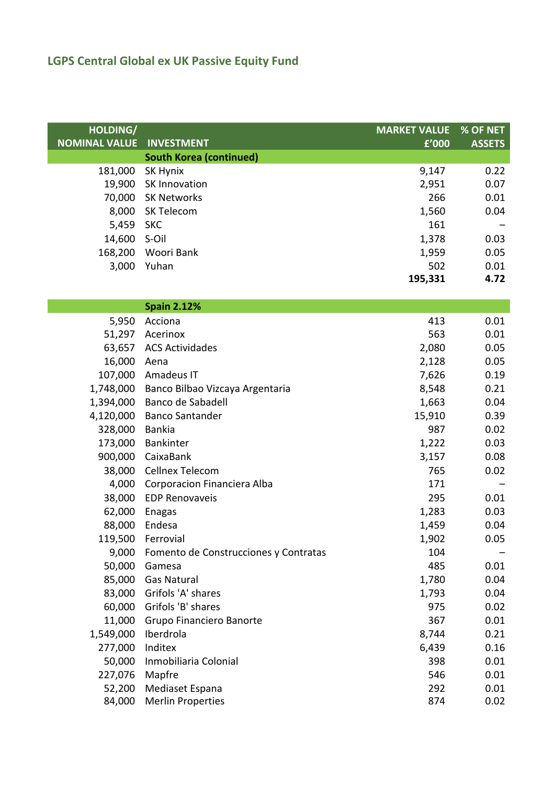| HOLDING/             |                                       | <b>MARKET VALUE</b> | % OF NET      |
|----------------------|---------------------------------------|---------------------|---------------|
| <b>NOMINAL VALUE</b> | <b>INVESTMENT</b>                     | f'000               | <b>ASSETS</b> |
|                      | <b>South Korea (continued)</b>        |                     |               |
| 181,000              | SK Hynix                              | 9,147               | 0.22          |
| 19,900               | <b>SK Innovation</b>                  | 2,951               | 0.07          |
| 70,000               | <b>SK Networks</b>                    | 266                 | 0.01          |
| 8,000                | SK Telecom                            | 1,560               | 0.04          |
| 5,459                | <b>SKC</b>                            | 161                 |               |
| 14,600               | S-Oil                                 | 1,378               | 0.03          |
| 168,200              | Woori Bank                            | 1,959               | 0.05          |
| 3,000                | Yuhan                                 | 502                 | 0.01          |
|                      |                                       | 195,331             | 4.72          |
|                      |                                       |                     |               |
|                      | <b>Spain 2.12%</b>                    |                     |               |
| 5,950                | Acciona                               | 413                 | 0.01          |
| 51,297               | Acerinox                              | 563                 | 0.01          |
| 63,657               | <b>ACS Actividades</b>                | 2,080               | 0.05          |
| 16,000               | Aena                                  | 2,128               | 0.05          |
| 107,000              | Amadeus IT                            | 7,626               | 0.19          |
| 1,748,000            | Banco Bilbao Vizcaya Argentaria       | 8,548               | 0.21          |
| 1,394,000            | Banco de Sabadell                     | 1,663               | 0.04          |
| 4,120,000            | <b>Banco Santander</b>                | 15,910              | 0.39          |
| 328,000              | <b>Bankia</b>                         | 987                 | 0.02          |
| 173,000              | Bankinter                             | 1,222               | 0.03          |
| 900,000              | CaixaBank                             | 3,157               | 0.08          |
| 38,000               | Cellnex Telecom                       | 765                 | 0.02          |
| 4,000                | Corporacion Financiera Alba           | 171                 |               |
| 38,000               | <b>EDP Renovaveis</b>                 | 295                 | 0.01          |
| 62,000               | <b>Enagas</b>                         | 1,283               | 0.03          |
| 88,000               | Endesa                                | 1,459               | 0.04          |
|                      | 119,500 Ferrovial                     | 1,902               | 0.05          |
| 9,000                | Fomento de Construcciones y Contratas | 104                 |               |
| 50,000               | Gamesa                                | 485                 | 0.01          |
| 85,000               | <b>Gas Natural</b>                    | 1,780               | 0.04          |
| 83,000               | Grifols 'A' shares                    | 1,793               | 0.04          |
| 60,000               | Grifols 'B' shares                    | 975                 | 0.02          |
| 11,000               | Grupo Financiero Banorte              | 367                 | 0.01          |
| 1,549,000            | Iberdrola                             | 8,744               | 0.21          |
| 277,000              | Inditex                               | 6,439               | 0.16          |
| 50,000               | Inmobiliaria Colonial                 | 398                 | 0.01          |
| 227,076              | Mapfre                                | 546                 | 0.01          |
| 52,200               | Mediaset Espana                       | 292                 | 0.01          |
| 84,000               | <b>Merlin Properties</b>              | 874                 | 0.02          |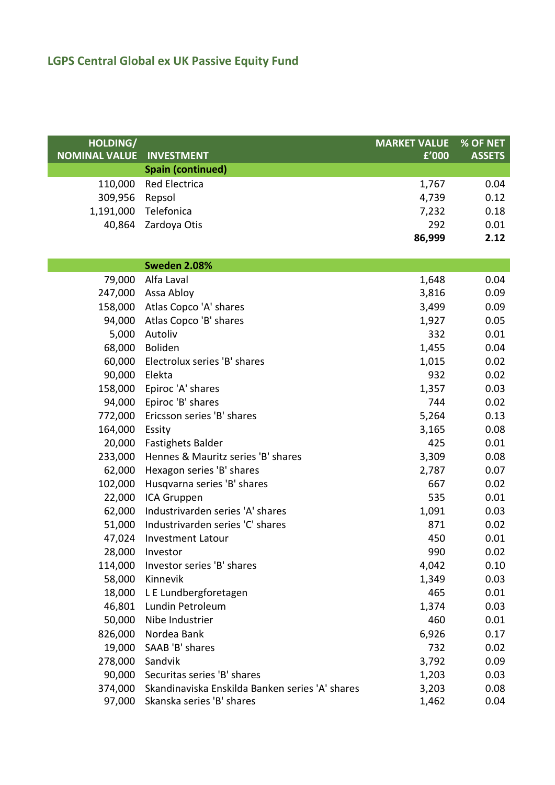| HOLDING/             |                                                 | <b>MARKET VALUE</b> | % OF NET      |
|----------------------|-------------------------------------------------|---------------------|---------------|
| <b>NOMINAL VALUE</b> | <b>INVESTMENT</b>                               | f'000               | <b>ASSETS</b> |
|                      | <b>Spain (continued)</b>                        |                     |               |
| 110,000              | <b>Red Electrica</b>                            | 1,767               | 0.04          |
| 309,956              | Repsol                                          | 4,739               | 0.12          |
| 1,191,000            | Telefonica                                      | 7,232               | 0.18          |
| 40,864               | Zardoya Otis                                    | 292                 | 0.01          |
|                      |                                                 | 86,999              | 2.12          |
|                      |                                                 |                     |               |
|                      | <b>Sweden 2.08%</b>                             |                     |               |
| 79,000               | Alfa Laval                                      | 1,648               | 0.04          |
| 247,000              | Assa Abloy                                      | 3,816               | 0.09          |
| 158,000              | Atlas Copco 'A' shares                          | 3,499               | 0.09          |
| 94,000               | Atlas Copco 'B' shares                          | 1,927               | 0.05          |
| 5,000                | Autoliv                                         | 332                 | 0.01          |
| 68,000               | Boliden                                         | 1,455               | 0.04          |
| 60,000               | Electrolux series 'B' shares                    | 1,015               | 0.02          |
| 90,000               | Elekta                                          | 932                 | 0.02          |
| 158,000              | Epiroc 'A' shares                               | 1,357               | 0.03          |
| 94,000               | Epiroc 'B' shares                               | 744                 | 0.02          |
| 772,000              | Ericsson series 'B' shares                      | 5,264               | 0.13          |
| 164,000              | Essity                                          | 3,165               | 0.08          |
| 20,000               | <b>Fastighets Balder</b>                        | 425                 | 0.01          |
| 233,000              | Hennes & Mauritz series 'B' shares              | 3,309               | 0.08          |
| 62,000               | Hexagon series 'B' shares                       | 2,787               | 0.07          |
| 102,000              | Husqvarna series 'B' shares                     | 667                 | 0.02          |
| 22,000               | ICA Gruppen                                     | 535                 | 0.01          |
| 62,000               | Industrivarden series 'A' shares                | 1,091               | 0.03          |
| 51,000               | Industrivarden series 'C' shares                | 871                 | 0.02          |
| 47,024               | <b>Investment Latour</b>                        | 450                 | 0.01          |
| 28,000               | Investor                                        | 990                 | 0.02          |
| 114,000              | Investor series 'B' shares                      | 4,042               | 0.10          |
| 58,000               | Kinnevik                                        | 1,349               | 0.03          |
| 18,000               | L E Lundbergforetagen                           | 465                 | 0.01          |
| 46,801               | Lundin Petroleum                                | 1,374               | 0.03          |
| 50,000               | Nibe Industrier                                 | 460                 | 0.01          |
| 826,000              | Nordea Bank                                     | 6,926               | 0.17          |
| 19,000               | SAAB 'B' shares                                 | 732                 | 0.02          |
| 278,000              | Sandvik                                         | 3,792               | 0.09          |
| 90,000               | Securitas series 'B' shares                     | 1,203               | 0.03          |
| 374,000              | Skandinaviska Enskilda Banken series 'A' shares | 3,203               | 0.08          |
| 97,000               | Skanska series 'B' shares                       | 1,462               | 0.04          |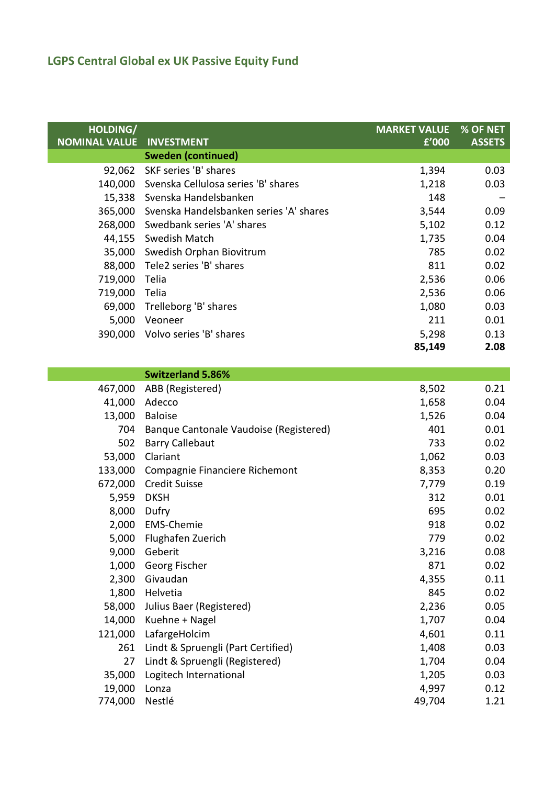| HOLDING/<br><b>NOMINAL VALUE</b><br><b>INVESTMENT</b> | <b>MARKET VALUE</b><br>f'000 | % OF NET<br><b>ASSETS</b> |
|-------------------------------------------------------|------------------------------|---------------------------|
| <b>Sweden (continued)</b>                             |                              |                           |
| 92,062 SKF series 'B' shares                          | 1,394                        | 0.03                      |
| 140,000 Svenska Cellulosa series 'B' shares           | 1,218                        | 0.03                      |
| 15,338 Svenska Handelsbanken                          | 148                          |                           |
| 365,000 Svenska Handelsbanken series 'A' shares       | 3,544                        | 0.09                      |
| 268,000 Swedbank series 'A' shares                    | 5,102                        | 0.12                      |
| 44,155<br>Swedish Match                               | 1,735                        | 0.04                      |
| 35,000<br>Swedish Orphan Biovitrum                    | 785                          | 0.02                      |
| Tele2 series 'B' shares<br>88,000                     | 811                          | 0.02                      |
| Telia                                                 | 2,536                        | 0.06                      |
| Telia                                                 | 2,536                        | 0.06                      |
| Trelleborg 'B' shares<br>69,000                       | 1,080                        | 0.03                      |
| Veoneer                                               | 211                          | 0.01                      |
| Volvo series 'B' shares<br>390,000                    | 5,298                        | 0.13                      |
|                                                       | 85,149                       | 2.08                      |
| <b>Switzerland 5.86%</b>                              |                              |                           |
|                                                       |                              |                           |

| 467,000 | ABB (Registered)                       | 8,502  | 0.21 |
|---------|----------------------------------------|--------|------|
| 41,000  | Adecco                                 | 1,658  | 0.04 |
| 13,000  | <b>Baloise</b>                         | 1,526  | 0.04 |
| 704     | Banque Cantonale Vaudoise (Registered) | 401    | 0.01 |
| 502     | <b>Barry Callebaut</b>                 | 733    | 0.02 |
| 53,000  | Clariant                               | 1,062  | 0.03 |
| 133,000 | Compagnie Financiere Richemont         | 8,353  | 0.20 |
| 672,000 | <b>Credit Suisse</b>                   | 7,779  | 0.19 |
| 5,959   | <b>DKSH</b>                            | 312    | 0.01 |
| 8,000   | Dufry                                  | 695    | 0.02 |
| 2,000   | <b>EMS-Chemie</b>                      | 918    | 0.02 |
| 5,000   | Flughafen Zuerich                      | 779    | 0.02 |
| 9,000   | Geberit                                | 3,216  | 0.08 |
| 1,000   | Georg Fischer                          | 871    | 0.02 |
| 2,300   | Givaudan                               | 4,355  | 0.11 |
| 1,800   | Helvetia                               | 845    | 0.02 |
| 58,000  | Julius Baer (Registered)               | 2,236  | 0.05 |
| 14,000  | Kuehne + Nagel                         | 1,707  | 0.04 |
| 121,000 | LafargeHolcim                          | 4,601  | 0.11 |
| 261     | Lindt & Spruengli (Part Certified)     | 1,408  | 0.03 |
| 27      | Lindt & Spruengli (Registered)         | 1,704  | 0.04 |
| 35,000  | Logitech International                 | 1,205  | 0.03 |
| 19,000  | Lonza                                  | 4,997  | 0.12 |
| 774,000 | Nestlé                                 | 49,704 | 1.21 |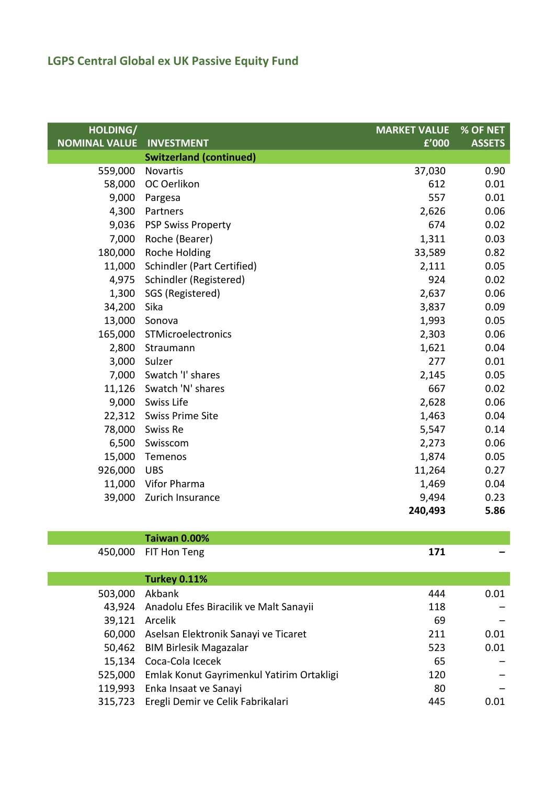| HOLDING/             |                                           | <b>MARKET VALUE</b> | % OF NET      |
|----------------------|-------------------------------------------|---------------------|---------------|
| <b>NOMINAL VALUE</b> | <b>INVESTMENT</b>                         | f'000               | <b>ASSETS</b> |
|                      | <b>Switzerland (continued)</b>            |                     |               |
| 559,000              | Novartis                                  | 37,030              | 0.90          |
| 58,000               | OC Oerlikon                               | 612                 | 0.01          |
| 9,000                | Pargesa                                   | 557                 | 0.01          |
| 4,300                | Partners                                  | 2,626               | 0.06          |
| 9,036                | <b>PSP Swiss Property</b>                 | 674                 | 0.02          |
| 7,000                | Roche (Bearer)                            | 1,311               | 0.03          |
| 180,000              | Roche Holding                             | 33,589              | 0.82          |
| 11,000               | <b>Schindler (Part Certified)</b>         | 2,111               | 0.05          |
| 4,975                | Schindler (Registered)                    | 924                 | 0.02          |
| 1,300                | SGS (Registered)                          | 2,637               | 0.06          |
| 34,200               | Sika                                      | 3,837               | 0.09          |
| 13,000               | Sonova                                    | 1,993               | 0.05          |
| 165,000              | STMicroelectronics                        | 2,303               | 0.06          |
| 2,800                | Straumann                                 | 1,621               | 0.04          |
| 3,000                | Sulzer                                    | 277                 | 0.01          |
| 7,000                | Swatch 'I' shares                         | 2,145               | 0.05          |
| 11,126               | Swatch 'N' shares                         | 667                 | 0.02          |
| 9,000                | Swiss Life                                | 2,628               | 0.06          |
| 22,312               | <b>Swiss Prime Site</b>                   | 1,463               | 0.04          |
| 78,000               | Swiss Re                                  | 5,547               | 0.14          |
| 6,500                | Swisscom                                  | 2,273               | 0.06          |
| 15,000               | Temenos                                   | 1,874               | 0.05          |
| 926,000              | <b>UBS</b>                                | 11,264              | 0.27          |
| 11,000               | Vifor Pharma                              | 1,469               | 0.04          |
| 39,000               | Zurich Insurance                          | 9,494               | 0.23          |
|                      |                                           | 240,493             | 5.86          |
|                      |                                           |                     |               |
|                      | <b>Taiwan 0.00%</b>                       |                     |               |
| 450,000              | FIT Hon Teng                              | 171                 |               |
|                      |                                           |                     |               |
|                      | <b>Turkey 0.11%</b>                       |                     |               |
| 503,000              | Akbank                                    | 444                 | 0.01          |
| 43,924               | Anadolu Efes Biracilik ve Malt Sanayii    | 118                 |               |
| 39,121               | Arcelik                                   | 69                  |               |
| 60,000               | Aselsan Elektronik Sanayi ve Ticaret      | 211                 | 0.01          |
| 50,462               | <b>BIM Birlesik Magazalar</b>             | 523                 | 0.01          |
| 15,134               | Coca-Cola Icecek                          | 65                  |               |
| 525,000              | Emlak Konut Gayrimenkul Yatirim Ortakligi | 120                 |               |
|                      | 119 993 Fnka Insaat ve Sanavi             | 80                  |               |

119,993 Enka Insaat ve Sanayi 80 a.C. (1998) 80 a.C. (1998) 80 a.C. (1998) 80 315,723 Eregli Demir ve Celik Fabrikalari 445 0.01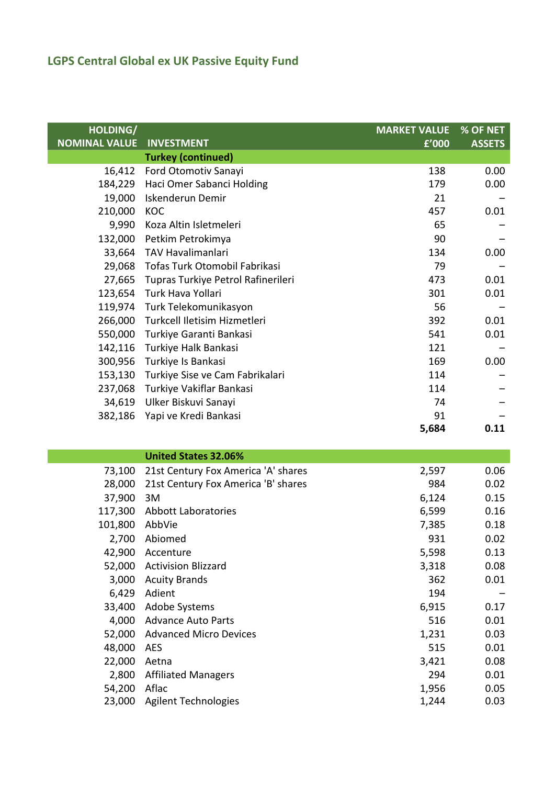I

| HOLDING/             |                                    | <b>MARKET VALUE</b> | % OF NET      |
|----------------------|------------------------------------|---------------------|---------------|
| <b>NOMINAL VALUE</b> | <b>INVESTMENT</b>                  | £'000               | <b>ASSETS</b> |
|                      | <b>Turkey (continued)</b>          |                     |               |
| 16,412               | Ford Otomotiv Sanayi               | 138                 | 0.00          |
| 184,229              | Haci Omer Sabanci Holding          | 179                 | 0.00          |
| 19,000               | Iskenderun Demir                   | 21                  |               |
| 210,000              | KOC                                | 457                 | 0.01          |
| 9,990                | Koza Altin Isletmeleri             | 65                  |               |
| 132,000              | Petkim Petrokimya                  | 90                  |               |
| 33,664               | <b>TAV Havalimanlari</b>           | 134                 | 0.00          |
| 29,068               | Tofas Turk Otomobil Fabrikasi      | 79                  |               |
| 27,665               | Tupras Turkiye Petrol Rafinerileri | 473                 | 0.01          |
| 123,654              | Turk Hava Yollari                  | 301                 | 0.01          |
| 119,974              | Turk Telekomunikasyon              | 56                  |               |
| 266,000              | Turkcell Iletisim Hizmetleri       | 392                 | 0.01          |
| 550,000              | Turkiye Garanti Bankasi            | 541                 | 0.01          |
| 142,116              | Turkiye Halk Bankasi               | 121                 |               |
| 300,956              | Turkiye Is Bankasi                 | 169                 | 0.00          |
| 153,130              | Turkiye Sise ve Cam Fabrikalari    | 114                 |               |
| 237,068              | Turkiye Vakiflar Bankasi           | 114                 |               |
| 34,619               | Ulker Biskuvi Sanayi               | 74                  |               |
| 382,186              | Yapi ve Kredi Bankasi              | 91                  |               |
|                      |                                    | 5,684               | 0.11          |

|  | <b>United States 32.06%</b> |  |  |
|--|-----------------------------|--|--|
|  |                             |  |  |

| 73,100  | 21st Century Fox America 'A' shares | 2,597 | 0.06 |
|---------|-------------------------------------|-------|------|
| 28,000  | 21st Century Fox America 'B' shares | 984   | 0.02 |
| 37,900  | 3M                                  | 6,124 | 0.15 |
| 117,300 | Abbott Laboratories                 | 6,599 | 0.16 |
| 101,800 | AbbVie                              | 7,385 | 0.18 |
| 2,700   | Abiomed                             | 931   | 0.02 |
| 42,900  | Accenture                           | 5,598 | 0.13 |
| 52,000  | <b>Activision Blizzard</b>          | 3,318 | 0.08 |
| 3,000   | <b>Acuity Brands</b>                | 362   | 0.01 |
| 6,429   | Adient                              | 194   |      |
| 33,400  | Adobe Systems                       | 6,915 | 0.17 |
| 4,000   | <b>Advance Auto Parts</b>           | 516   | 0.01 |
| 52,000  | <b>Advanced Micro Devices</b>       | 1,231 | 0.03 |
| 48,000  | <b>AES</b>                          | 515   | 0.01 |
| 22,000  | Aetna                               | 3,421 | 0.08 |
| 2,800   | <b>Affiliated Managers</b>          | 294   | 0.01 |
| 54,200  | Aflac                               | 1,956 | 0.05 |
| 23,000  | <b>Agilent Technologies</b>         | 1,244 | 0.03 |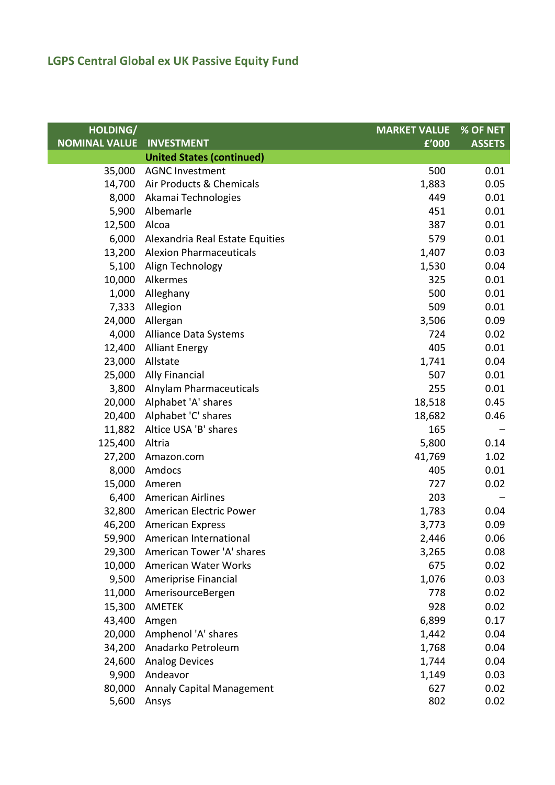| HOLDING/             |                                  | <b>MARKET VALUE</b> | % OF NET      |
|----------------------|----------------------------------|---------------------|---------------|
| <b>NOMINAL VALUE</b> | <b>INVESTMENT</b>                | £'000               | <b>ASSETS</b> |
|                      | <b>United States (continued)</b> |                     |               |
| 35,000               | <b>AGNC Investment</b>           | 500                 | 0.01          |
| 14,700               | Air Products & Chemicals         | 1,883               | 0.05          |
| 8,000                | Akamai Technologies              | 449                 | 0.01          |
| 5,900                | Albemarle                        | 451                 | 0.01          |
| 12,500               | Alcoa                            | 387                 | 0.01          |
| 6,000                | Alexandria Real Estate Equities  | 579                 | 0.01          |
|                      | 13,200 Alexion Pharmaceuticals   | 1,407               | 0.03          |
| 5,100                | Align Technology                 | 1,530               | 0.04          |
| 10,000               | Alkermes                         | 325                 | 0.01          |
| 1,000                | Alleghany                        | 500                 | 0.01          |
| 7,333                | Allegion                         | 509                 | 0.01          |
| 24,000               | Allergan                         | 3,506               | 0.09          |
| 4,000                | Alliance Data Systems            | 724                 | 0.02          |
| 12,400               | <b>Alliant Energy</b>            | 405                 | 0.01          |
| 23,000               | Allstate                         | 1,741               | 0.04          |
| 25,000               | <b>Ally Financial</b>            | 507                 | 0.01          |
|                      | 3,800 Alnylam Pharmaceuticals    | 255                 | 0.01          |
| 20,000               | Alphabet 'A' shares              | 18,518              | 0.45          |
| 20,400               | Alphabet 'C' shares              | 18,682              | 0.46          |
| 11,882               | Altice USA 'B' shares            | 165                 |               |
| 125,400              | Altria                           | 5,800               | 0.14          |
| 27,200               | Amazon.com                       | 41,769              | 1.02          |
| 8,000                | Amdocs                           | 405                 | 0.01          |
| 15,000               | Ameren                           | 727                 | 0.02          |
| 6,400                | American Airlines                | 203                 |               |
|                      | 32,800 American Electric Power   | 1,783               | 0.04          |
| 46,200               | <b>American Express</b>          | 3,773               | 0.09          |
|                      | 59,900 American International    | 2,446               | 0.06          |
| 29,300               | American Tower 'A' shares        | 3,265               | 0.08          |
| 10,000               | American Water Works             | 675                 | 0.02          |
| 9,500                | Ameriprise Financial             | 1,076               | 0.03          |
| 11,000               | AmerisourceBergen                | 778                 | 0.02          |
| 15,300               | AMETEK                           | 928                 | 0.02          |
| 43,400               | Amgen                            | 6,899               | 0.17          |
| 20,000               | Amphenol 'A' shares              | 1,442               | 0.04          |
| 34,200               | Anadarko Petroleum               | 1,768               | 0.04          |
| 24,600               | <b>Analog Devices</b>            | 1,744               | 0.04          |
| 9,900                | Andeavor                         | 1,149               | 0.03          |
| 80,000               | <b>Annaly Capital Management</b> | 627                 | 0.02          |
| 5,600                | Ansys                            | 802                 | 0.02          |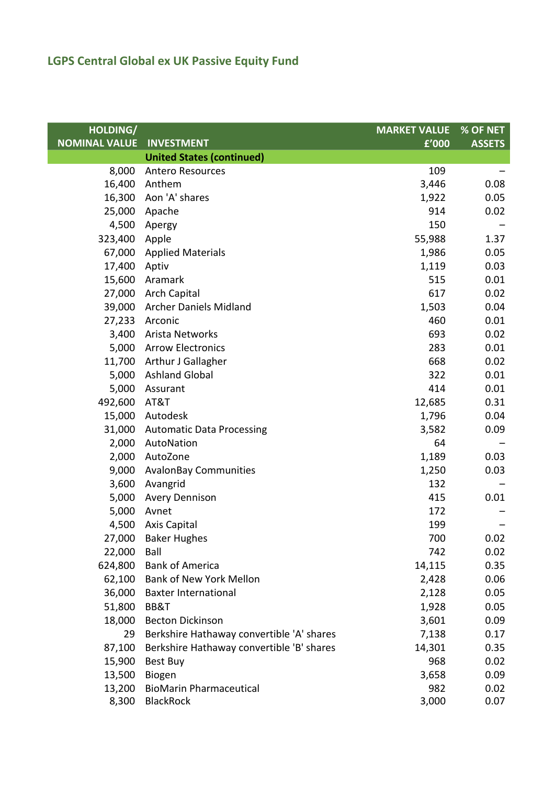| HOLDING/             |                                           | <b>MARKET VALUE</b> | % OF NET      |
|----------------------|-------------------------------------------|---------------------|---------------|
| <b>NOMINAL VALUE</b> | <b>INVESTMENT</b>                         | f'000               | <b>ASSETS</b> |
|                      | <b>United States (continued)</b>          |                     |               |
| 8,000                | <b>Antero Resources</b>                   | 109                 |               |
| 16,400               | Anthem                                    | 3,446               | 0.08          |
| 16,300               | Aon 'A' shares                            | 1,922               | 0.05          |
| 25,000               | Apache                                    | 914                 | 0.02          |
| 4,500                | Apergy                                    | 150                 |               |
| 323,400              | Apple                                     | 55,988              | 1.37          |
| 67,000               | <b>Applied Materials</b>                  | 1,986               | 0.05          |
| 17,400               | Aptiv                                     | 1,119               | 0.03          |
| 15,600               | Aramark                                   | 515                 | 0.01          |
|                      | 27,000 Arch Capital                       | 617                 | 0.02          |
|                      | 39,000 Archer Daniels Midland             | 1,503               | 0.04          |
|                      | 27,233 Arconic                            | 460                 | 0.01          |
| 3,400                | Arista Networks                           | 693                 | 0.02          |
| 5,000                | <b>Arrow Electronics</b>                  | 283                 | 0.01          |
| 11,700               | <b>Arthur J Gallagher</b>                 | 668                 | 0.02          |
| 5,000                | <b>Ashland Global</b>                     | 322                 | 0.01          |
| 5,000                | Assurant                                  | 414                 | 0.01          |
| 492,600              | AT&T                                      | 12,685              | 0.31          |
| 15,000               | Autodesk                                  | 1,796               | 0.04          |
| 31,000               | <b>Automatic Data Processing</b>          | 3,582               | 0.09          |
| 2,000                | AutoNation                                | 64                  |               |
| 2,000                | AutoZone                                  | 1,189               | 0.03          |
| 9,000                | <b>AvalonBay Communities</b>              | 1,250               | 0.03          |
| 3,600                | Avangrid                                  | 132                 |               |
| 5,000                | <b>Avery Dennison</b>                     | 415                 | 0.01          |
| 5,000                | Avnet                                     | 172                 |               |
| 4,500                | <b>Axis Capital</b>                       | 199                 |               |
|                      | 27,000 Baker Hughes                       | 700                 | 0.02          |
| 22,000               | Ball                                      | 742                 | 0.02          |
| 624,800              | <b>Bank of America</b>                    | 14,115              | 0.35          |
| 62,100               | <b>Bank of New York Mellon</b>            | 2,428               | 0.06          |
| 36,000               | <b>Baxter International</b>               | 2,128               | 0.05          |
| 51,800               | BB&T                                      | 1,928               | 0.05          |
| 18,000               | <b>Becton Dickinson</b>                   | 3,601               | 0.09          |
| 29                   | Berkshire Hathaway convertible 'A' shares | 7,138               | 0.17          |
| 87,100               | Berkshire Hathaway convertible 'B' shares | 14,301              | 0.35          |
| 15,900               | <b>Best Buy</b>                           | 968                 | 0.02          |
| 13,500               | Biogen                                    | 3,658               | 0.09          |
| 13,200               | <b>BioMarin Pharmaceutical</b>            | 982                 | 0.02          |
| 8,300                | BlackRock                                 | 3,000               | 0.07          |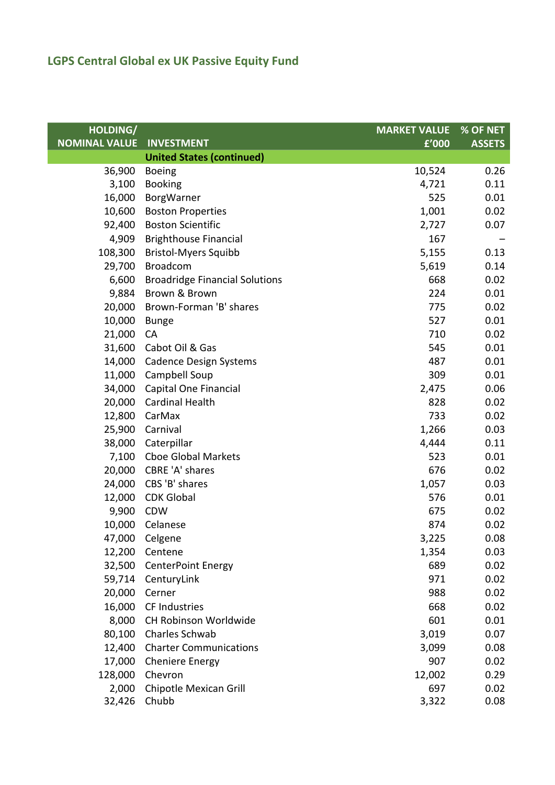| HOLDING/             |                                       | <b>MARKET VALUE</b> | % OF NET      |
|----------------------|---------------------------------------|---------------------|---------------|
| <b>NOMINAL VALUE</b> | <b>INVESTMENT</b>                     | £'000               | <b>ASSETS</b> |
|                      | <b>United States (continued)</b>      |                     |               |
| 36,900               | <b>Boeing</b>                         | 10,524              | 0.26          |
| 3,100                | <b>Booking</b>                        | 4,721               | 0.11          |
| 16,000               | BorgWarner                            | 525                 | 0.01          |
| 10,600               | <b>Boston Properties</b>              | 1,001               | 0.02          |
| 92,400               | <b>Boston Scientific</b>              | 2,727               | 0.07          |
| 4,909                | <b>Brighthouse Financial</b>          | 167                 |               |
| 108,300              | <b>Bristol-Myers Squibb</b>           | 5,155               | 0.13          |
| 29,700               | <b>Broadcom</b>                       | 5,619               | 0.14          |
| 6,600                | <b>Broadridge Financial Solutions</b> | 668                 | 0.02          |
| 9,884                | Brown & Brown                         | 224                 | 0.01          |
| 20,000               | Brown-Forman 'B' shares               | 775                 | 0.02          |
| 10,000               | <b>Bunge</b>                          | 527                 | 0.01          |
| 21,000               | <b>CA</b>                             | 710                 | 0.02          |
| 31,600               | Cabot Oil & Gas                       | 545                 | 0.01          |
| 14,000               | <b>Cadence Design Systems</b>         | 487                 | 0.01          |
| 11,000               | Campbell Soup                         | 309                 | 0.01          |
| 34,000               | Capital One Financial                 | 2,475               | 0.06          |
| 20,000               | <b>Cardinal Health</b>                | 828                 | 0.02          |
| 12,800               | CarMax                                | 733                 | 0.02          |
| 25,900               | Carnival                              | 1,266               | 0.03          |
| 38,000               | Caterpillar                           | 4,444               | 0.11          |
| 7,100                | <b>Cboe Global Markets</b>            | 523                 | 0.01          |
| 20,000               | CBRE 'A' shares                       | 676                 | 0.02          |
| 24,000               | CBS 'B' shares                        | 1,057               | 0.03          |
| 12,000               | <b>CDK Global</b>                     | 576                 | 0.01          |
| 9,900                | CDW                                   | 675                 | 0.02          |
| 10,000               | Celanese                              | 874                 | 0.02          |
|                      | 47,000 Celgene                        | 3,225               | 0.08          |
| 12,200               | Centene                               | 1,354               | 0.03          |
| 32,500               | <b>CenterPoint Energy</b>             | 689                 | 0.02          |
|                      | 59,714 CenturyLink                    | 971                 | 0.02          |
| 20,000               | Cerner                                | 988                 | 0.02          |
| 16,000               | CF Industries                         | 668                 | 0.02          |
| 8,000                | CH Robinson Worldwide                 | 601                 | 0.01          |
| 80,100               | Charles Schwab                        | 3,019               | 0.07          |
| 12,400               | <b>Charter Communications</b>         | 3,099               | 0.08          |
| 17,000               | <b>Cheniere Energy</b>                | 907                 | 0.02          |
| 128,000              | Chevron                               | 12,002              | 0.29          |
| 2,000                | Chipotle Mexican Grill                | 697                 | 0.02          |
| 32,426               | Chubb                                 | 3,322               | 0.08          |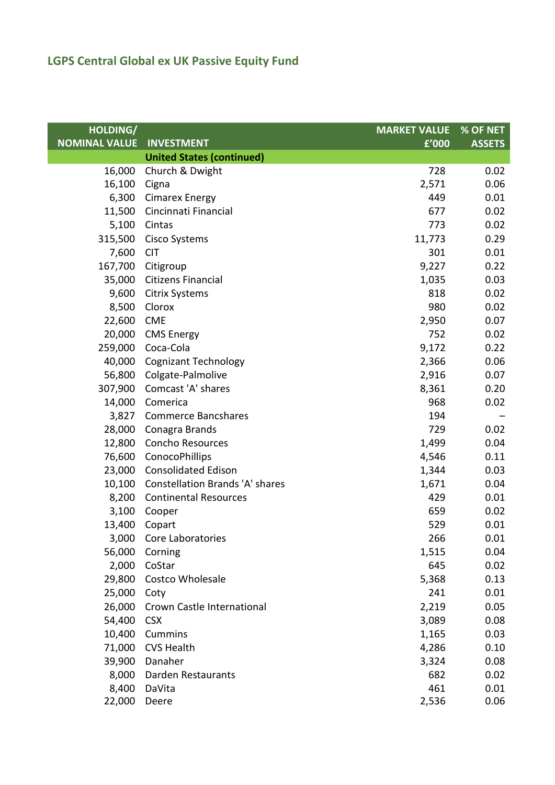| HOLDING/             |                                        | <b>MARKET VALUE</b> | % OF NET      |
|----------------------|----------------------------------------|---------------------|---------------|
| <b>NOMINAL VALUE</b> | <b>INVESTMENT</b>                      | f'000               | <b>ASSETS</b> |
|                      | <b>United States (continued)</b>       |                     |               |
| 16,000               | Church & Dwight                        | 728                 | 0.02          |
| 16,100               | Cigna                                  | 2,571               | 0.06          |
|                      | 6,300 Cimarex Energy                   | 449                 | 0.01          |
| 11,500               | Cincinnati Financial                   | 677                 | 0.02          |
| 5,100                | Cintas                                 | 773                 | 0.02          |
| 315,500              | Cisco Systems                          | 11,773              | 0.29          |
| 7,600                | <b>CIT</b>                             | 301                 | 0.01          |
| 167,700              | Citigroup                              | 9,227               | 0.22          |
| 35,000               | Citizens Financial                     | 1,035               | 0.03          |
| 9,600                | <b>Citrix Systems</b>                  | 818                 | 0.02          |
| 8,500                | Clorox                                 | 980                 | 0.02          |
| 22,600               | <b>CME</b>                             | 2,950               | 0.07          |
| 20,000               | <b>CMS Energy</b>                      | 752                 | 0.02          |
| 259,000              | Coca-Cola                              | 9,172               | 0.22          |
| 40,000               | <b>Cognizant Technology</b>            | 2,366               | 0.06          |
| 56,800               | Colgate-Palmolive                      | 2,916               | 0.07          |
| 307,900              | Comcast 'A' shares                     | 8,361               | 0.20          |
| 14,000               | Comerica                               | 968                 | 0.02          |
|                      | 3,827 Commerce Bancshares              | 194                 |               |
| 28,000               | Conagra Brands                         | 729                 | 0.02          |
| 12,800               | Concho Resources                       | 1,499               | 0.04          |
| 76,600               | ConocoPhillips                         | 4,546               | 0.11          |
| 23,000               | <b>Consolidated Edison</b>             | 1,344               | 0.03          |
| 10,100               | <b>Constellation Brands 'A' shares</b> | 1,671               | 0.04          |
| 8,200                | <b>Continental Resources</b>           | 429                 | 0.01          |
| 3,100                | Cooper                                 | 659                 | 0.02          |
| 13,400               | Copart                                 | 529                 | 0.01          |
|                      | 3,000 Core Laboratories                | 266                 | 0.01          |
| 56,000               | Corning                                | 1,515               | 0.04          |
| 2,000                | CoStar                                 | 645                 | 0.02          |
| 29,800               | Costco Wholesale                       | 5,368               | 0.13          |
| 25,000               | Coty                                   | 241                 | 0.01          |
| 26,000               | <b>Crown Castle International</b>      | 2,219               | 0.05          |
| 54,400               | <b>CSX</b>                             | 3,089               | 0.08          |
| 10,400               | Cummins                                | 1,165               | 0.03          |
| 71,000               | <b>CVS Health</b>                      | 4,286               | 0.10          |
| 39,900               | Danaher                                | 3,324               | 0.08          |
| 8,000                | Darden Restaurants                     | 682                 | 0.02          |
| 8,400                | DaVita                                 | 461                 | 0.01          |
| 22,000               | Deere                                  | 2,536               | 0.06          |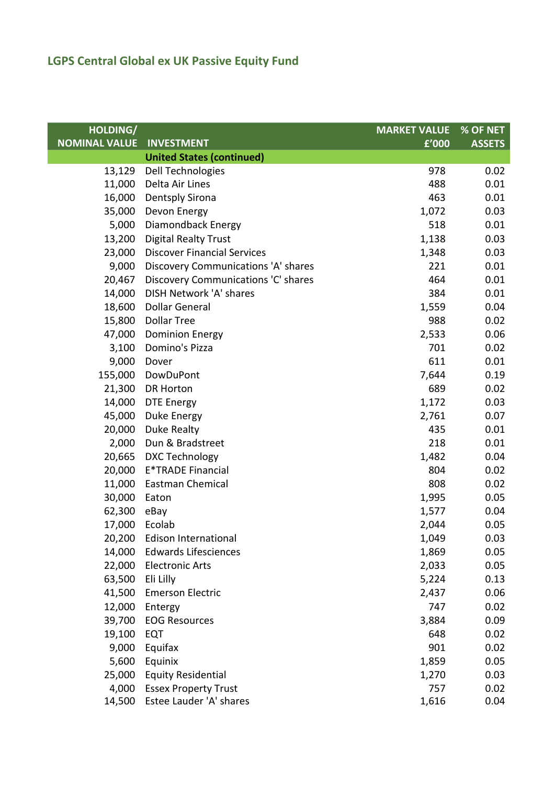| HOLDING/             |                                     | <b>MARKET VALUE</b> | % OF NET      |
|----------------------|-------------------------------------|---------------------|---------------|
| <b>NOMINAL VALUE</b> | <b>INVESTMENT</b>                   | £'000               | <b>ASSETS</b> |
|                      | <b>United States (continued)</b>    |                     |               |
| 13,129               | Dell Technologies                   | 978                 | 0.02          |
| 11,000               | Delta Air Lines                     | 488                 | 0.01          |
| 16,000               | <b>Dentsply Sirona</b>              | 463                 | 0.01          |
| 35,000               | Devon Energy                        | 1,072               | 0.03          |
| 5,000                | Diamondback Energy                  | 518                 | 0.01          |
| 13,200               | <b>Digital Realty Trust</b>         | 1,138               | 0.03          |
| 23,000               | <b>Discover Financial Services</b>  | 1,348               | 0.03          |
| 9,000                | Discovery Communications 'A' shares | 221                 | 0.01          |
| 20,467               | Discovery Communications 'C' shares | 464                 | 0.01          |
| 14,000               | DISH Network 'A' shares             | 384                 | 0.01          |
| 18,600               | <b>Dollar General</b>               | 1,559               | 0.04          |
| 15,800               | <b>Dollar Tree</b>                  | 988                 | 0.02          |
| 47,000               | <b>Dominion Energy</b>              | 2,533               | 0.06          |
| 3,100                | Domino's Pizza                      | 701                 | 0.02          |
| 9,000                | Dover                               | 611                 | 0.01          |
| 155,000              | DowDuPont                           | 7,644               | 0.19          |
| 21,300               | <b>DR Horton</b>                    | 689                 | 0.02          |
| 14,000               | <b>DTE Energy</b>                   | 1,172               | 0.03          |
| 45,000               | Duke Energy                         | 2,761               | 0.07          |
| 20,000               | Duke Realty                         | 435                 | 0.01          |
| 2,000                | Dun & Bradstreet                    | 218                 | 0.01          |
| 20,665               | <b>DXC Technology</b>               | 1,482               | 0.04          |
| 20,000               | <b>E*TRADE Financial</b>            | 804                 | 0.02          |
| 11,000               | <b>Eastman Chemical</b>             | 808                 | 0.02          |
| 30,000               | Eaton                               | 1,995               | 0.05          |
| 62,300               | eBay                                | 1,577               | 0.04          |
| 17,000               | Ecolab                              | 2,044               | 0.05          |
|                      | 20,200 Edison International         | 1,049               | 0.03          |
| 14,000               | <b>Edwards Lifesciences</b>         | 1,869               | 0.05          |
| 22,000               | <b>Electronic Arts</b>              | 2,033               | 0.05          |
| 63,500               | Eli Lilly                           | 5,224               | 0.13          |
| 41,500               | <b>Emerson Electric</b>             | 2,437               | 0.06          |
| 12,000               | Entergy                             | 747                 | 0.02          |
| 39,700               | <b>EOG Resources</b>                | 3,884               | 0.09          |
| 19,100               | <b>EQT</b>                          | 648                 | 0.02          |
| 9,000                | Equifax                             | 901                 | 0.02          |
| 5,600                | Equinix                             | 1,859               | 0.05          |
| 25,000               | <b>Equity Residential</b>           | 1,270               | 0.03          |
| 4,000                | <b>Essex Property Trust</b>         | 757                 | 0.02          |
| 14,500               | Estee Lauder 'A' shares             | 1,616               | 0.04          |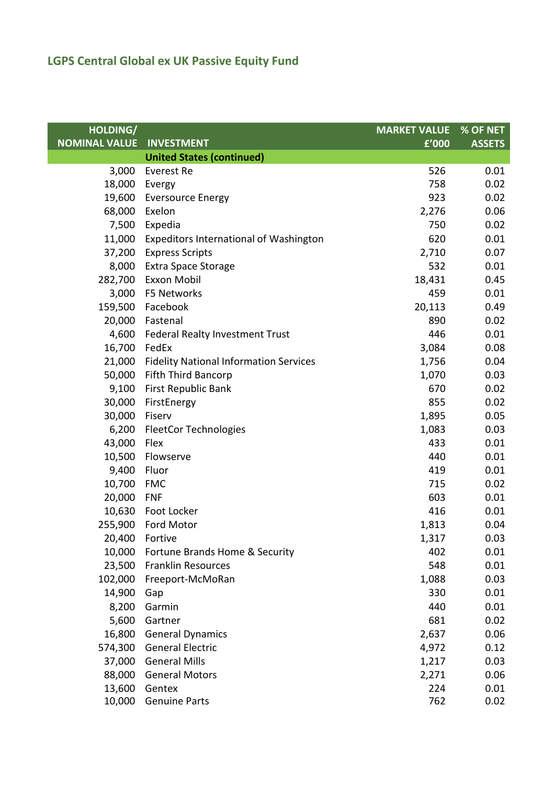| HOLDING/             |                                               | <b>MARKET VALUE</b> | $%$ OF NET    |
|----------------------|-----------------------------------------------|---------------------|---------------|
| <b>NOMINAL VALUE</b> | <b>INVESTMENT</b>                             | f'000               | <b>ASSETS</b> |
|                      | <b>United States (continued)</b>              |                     |               |
| 3,000                | <b>Everest Re</b>                             | 526                 | 0.01          |
| 18,000               | Evergy                                        | 758                 | 0.02          |
| 19,600               | <b>Eversource Energy</b>                      | 923                 | 0.02          |
| 68,000               | Exelon                                        | 2,276               | 0.06          |
| 7,500                | Expedia                                       | 750                 | 0.02          |
| 11,000               | <b>Expeditors International of Washington</b> | 620                 | 0.01          |
| 37,200               | <b>Express Scripts</b>                        | 2,710               | 0.07          |
| 8,000                | <b>Extra Space Storage</b>                    | 532                 | 0.01          |
| 282,700              | <b>Exxon Mobil</b>                            | 18,431              | 0.45          |
| 3,000                | F5 Networks                                   | 459                 | 0.01          |
| 159,500              | Facebook                                      | 20,113              | 0.49          |
|                      | 20,000 Fastenal                               | 890                 | 0.02          |
| 4,600                | <b>Federal Realty Investment Trust</b>        | 446                 | 0.01          |
| 16,700               | FedEx                                         | 3,084               | 0.08          |
| 21,000               | <b>Fidelity National Information Services</b> | 1,756               | 0.04          |
| 50,000               | <b>Fifth Third Bancorp</b>                    | 1,070               | 0.03          |
| 9,100                | <b>First Republic Bank</b>                    | 670                 | 0.02          |
| 30,000               | FirstEnergy                                   | 855                 | 0.02          |
| 30,000               | Fiserv                                        | 1,895               | 0.05          |
| 6,200                | <b>FleetCor Technologies</b>                  | 1,083               | 0.03          |
| 43,000               | Flex                                          | 433                 | 0.01          |
| 10,500               | Flowserve                                     | 440                 | 0.01          |
| 9,400                | Fluor                                         | 419                 | 0.01          |
| 10,700               | FMC                                           | 715                 | 0.02          |
| 20,000               | <b>FNF</b>                                    | 603                 | 0.01          |
|                      | 10,630 Foot Locker                            | 416                 | 0.01          |
| 255,900              | Ford Motor                                    | 1,813               | 0.04          |
|                      | 20,400 Fortive                                | 1,317               | 0.03          |
| 10,000               | Fortune Brands Home & Security                | 402                 | 0.01          |
| 23,500               | <b>Franklin Resources</b>                     | 548                 | 0.01          |
| 102,000              | Freeport-McMoRan                              | 1,088               | 0.03          |
| 14,900               | Gap                                           | 330                 | 0.01          |
| 8,200                | Garmin                                        | 440                 | 0.01          |
| 5,600                | Gartner                                       | 681                 | 0.02          |
| 16,800               | <b>General Dynamics</b>                       | 2,637               | 0.06          |
| 574,300              | <b>General Electric</b>                       | 4,972               | 0.12          |
| 37,000               | <b>General Mills</b>                          | 1,217               | 0.03          |
| 88,000               | <b>General Motors</b>                         | 2,271               | 0.06          |
| 13,600               | Gentex                                        | 224                 | 0.01          |
| 10,000               | <b>Genuine Parts</b>                          | 762                 | 0.02          |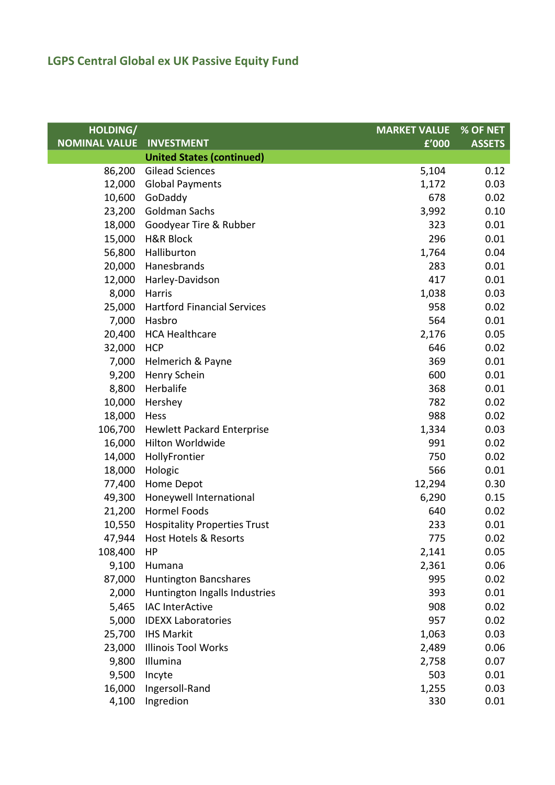| HOLDING/             |                                     | <b>MARKET VALUE</b> | % OF NET      |
|----------------------|-------------------------------------|---------------------|---------------|
| <b>NOMINAL VALUE</b> | <b>INVESTMENT</b>                   | $\overline{f'000}$  | <b>ASSETS</b> |
|                      | <b>United States (continued)</b>    |                     |               |
| 86,200               | <b>Gilead Sciences</b>              | 5,104               | 0.12          |
| 12,000               | <b>Global Payments</b>              | 1,172               | 0.03          |
| 10,600               | GoDaddy                             | 678                 | 0.02          |
| 23,200               | Goldman Sachs                       | 3,992               | 0.10          |
| 18,000               | Goodyear Tire & Rubber              | 323                 | 0.01          |
| 15,000               | <b>H&amp;R Block</b>                | 296                 | 0.01          |
| 56,800               | Halliburton                         | 1,764               | 0.04          |
| 20,000               | Hanesbrands                         | 283                 | 0.01          |
| 12,000               | Harley-Davidson                     | 417                 | 0.01          |
| 8,000                | Harris                              | 1,038               | 0.03          |
| 25,000               | <b>Hartford Financial Services</b>  | 958                 | 0.02          |
| 7,000                | Hasbro                              | 564                 | 0.01          |
| 20,400               | <b>HCA Healthcare</b>               | 2,176               | 0.05          |
| 32,000               | <b>HCP</b>                          | 646                 | 0.02          |
| 7,000                | Helmerich & Payne                   | 369                 | 0.01          |
| 9,200                | Henry Schein                        | 600                 | 0.01          |
| 8,800                | Herbalife                           | 368                 | 0.01          |
| 10,000               | Hershey                             | 782                 | 0.02          |
| 18,000               | Hess                                | 988                 | 0.02          |
| 106,700              | <b>Hewlett Packard Enterprise</b>   | 1,334               | 0.03          |
| 16,000               | Hilton Worldwide                    | 991                 | 0.02          |
| 14,000               | HollyFrontier                       | 750                 | 0.02          |
| 18,000               | Hologic                             | 566                 | 0.01          |
| 77,400               | Home Depot                          | 12,294              | 0.30          |
| 49,300               | Honeywell International             | 6,290               | 0.15          |
| 21,200               | <b>Hormel Foods</b>                 | 640                 | 0.02          |
| 10,550               | <b>Hospitality Properties Trust</b> | 233                 | 0.01          |
|                      | 47,944 Host Hotels & Resorts        | 775                 | 0.02          |
| 108,400              | HP                                  | 2,141               | 0.05          |
| 9,100                | Humana                              | 2,361               | 0.06          |
| 87,000               | <b>Huntington Bancshares</b>        | 995                 | 0.02          |
| 2,000                | Huntington Ingalls Industries       | 393                 | 0.01          |
| 5,465                | <b>IAC InterActive</b>              | 908                 | 0.02          |
| 5,000                | <b>IDEXX Laboratories</b>           | 957                 | 0.02          |
| 25,700               | <b>IHS Markit</b>                   | 1,063               | 0.03          |
| 23,000               | <b>Illinois Tool Works</b>          | 2,489               | 0.06          |
| 9,800                | Illumina                            | 2,758               | 0.07          |
| 9,500                | Incyte                              | 503                 | 0.01          |
| 16,000               | Ingersoll-Rand                      | 1,255               | 0.03          |
| 4,100                | Ingredion                           | 330                 | 0.01          |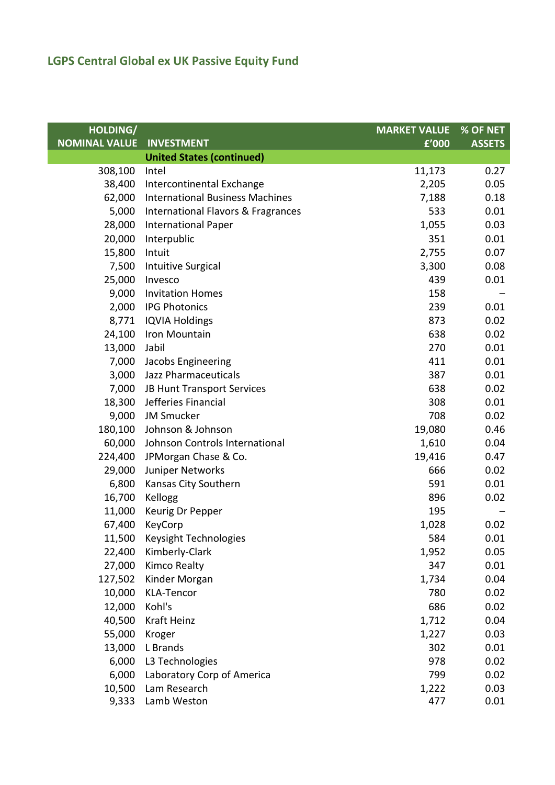| HOLDING/             |                                               | <b>MARKET VALUE</b> | % OF NET      |
|----------------------|-----------------------------------------------|---------------------|---------------|
| <b>NOMINAL VALUE</b> | <b>INVESTMENT</b>                             | £'000               | <b>ASSETS</b> |
|                      | <b>United States (continued)</b>              |                     |               |
| 308,100              | Intel                                         | 11,173              | 0.27          |
| 38,400               | Intercontinental Exchange                     | 2,205               | 0.05          |
| 62,000               | <b>International Business Machines</b>        | 7,188               | 0.18          |
| 5,000                | <b>International Flavors &amp; Fragrances</b> | 533                 | 0.01          |
| 28,000               | <b>International Paper</b>                    | 1,055               | 0.03          |
| 20,000               | Interpublic                                   | 351                 | 0.01          |
| 15,800               | Intuit                                        | 2,755               | 0.07          |
| 7,500                | <b>Intuitive Surgical</b>                     | 3,300               | 0.08          |
| 25,000               | Invesco                                       | 439                 | 0.01          |
| 9,000                | <b>Invitation Homes</b>                       | 158                 |               |
| 2,000                | <b>IPG Photonics</b>                          | 239                 | 0.01          |
| 8,771                | <b>IQVIA Holdings</b>                         | 873                 | 0.02          |
| 24,100               | Iron Mountain                                 | 638                 | 0.02          |
| 13,000               | Jabil                                         | 270                 | 0.01          |
| 7,000                | Jacobs Engineering                            | 411                 | 0.01          |
| 3,000                | Jazz Pharmaceuticals                          | 387                 | 0.01          |
| 7,000                | JB Hunt Transport Services                    | 638                 | 0.02          |
| 18,300               | Jefferies Financial                           | 308                 | 0.01          |
| 9,000                | <b>JM Smucker</b>                             | 708                 | 0.02          |
| 180,100              | Johnson & Johnson                             | 19,080              | 0.46          |
| 60,000               | Johnson Controls International                | 1,610               | 0.04          |
| 224,400              | JPMorgan Chase & Co.                          | 19,416              | 0.47          |
| 29,000               | Juniper Networks                              | 666                 | 0.02          |
| 6,800                | Kansas City Southern                          | 591                 | 0.01          |
| 16,700               | Kellogg                                       | 896                 | 0.02          |
| 11,000               | Keurig Dr Pepper                              | 195                 |               |
| 67,400               | KeyCorp                                       | 1,028               | 0.02          |
|                      | 11,500 Keysight Technologies                  | 584                 | 0.01          |
| 22,400               | Kimberly-Clark                                | 1,952               | 0.05          |
| 27,000               | <b>Kimco Realty</b>                           | 347                 | 0.01          |
| 127,502              | Kinder Morgan                                 | 1,734               | 0.04          |
| 10,000               | <b>KLA-Tencor</b>                             | 780                 | 0.02          |
| 12,000               | Kohl's                                        | 686                 | 0.02          |
| 40,500               | Kraft Heinz                                   | 1,712               | 0.04          |
| 55,000               | Kroger                                        | 1,227               | 0.03          |
| 13,000               | L Brands                                      | 302                 | 0.01          |
| 6,000                | L3 Technologies                               | 978                 | 0.02          |
| 6,000                | Laboratory Corp of America                    | 799                 | 0.02          |
| 10,500               | Lam Research                                  | 1,222               | 0.03          |
| 9,333                | Lamb Weston                                   | 477                 | 0.01          |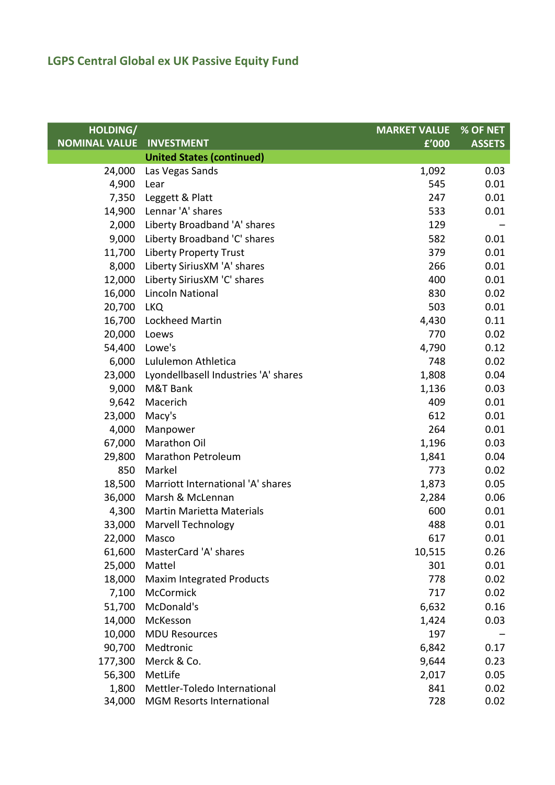| HOLDING/             |                                      | <b>MARKET VALUE</b> | % OF NET      |
|----------------------|--------------------------------------|---------------------|---------------|
| <b>NOMINAL VALUE</b> | <b>INVESTMENT</b>                    | £'000               | <b>ASSETS</b> |
|                      | <b>United States (continued)</b>     |                     |               |
| 24,000               | Las Vegas Sands                      | 1,092               | 0.03          |
| 4,900                | Lear                                 | 545                 | 0.01          |
| 7,350                | Leggett & Platt                      | 247                 | 0.01          |
| 14,900               | Lennar 'A' shares                    | 533                 | 0.01          |
| 2,000                | Liberty Broadband 'A' shares         | 129                 |               |
| 9,000                | Liberty Broadband 'C' shares         | 582                 | 0.01          |
| 11,700               | <b>Liberty Property Trust</b>        | 379                 | 0.01          |
| 8,000                | Liberty SiriusXM 'A' shares          | 266                 | 0.01          |
| 12,000               | Liberty SiriusXM 'C' shares          | 400                 | 0.01          |
| 16,000               | <b>Lincoln National</b>              | 830                 | 0.02          |
| 20,700               | <b>LKQ</b>                           | 503                 | 0.01          |
| 16,700               | Lockheed Martin                      | 4,430               | 0.11          |
| 20,000               | Loews                                | 770                 | 0.02          |
| 54,400               | Lowe's                               | 4,790               | 0.12          |
| 6,000                | Lululemon Athletica                  | 748                 | 0.02          |
| 23,000               | Lyondellbasell Industries 'A' shares | 1,808               | 0.04          |
| 9,000                | M&T Bank                             | 1,136               | 0.03          |
| 9,642                | Macerich                             | 409                 | 0.01          |
| 23,000               | Macy's                               | 612                 | 0.01          |
| 4,000                | Manpower                             | 264                 | 0.01          |
| 67,000               | Marathon Oil                         | 1,196               | 0.03          |
| 29,800               | <b>Marathon Petroleum</b>            | 1,841               | 0.04          |
| 850                  | Markel                               | 773                 | 0.02          |
| 18,500               | Marriott International 'A' shares    | 1,873               | 0.05          |
| 36,000               | Marsh & McLennan                     | 2,284               | 0.06          |
| 4,300                | <b>Martin Marietta Materials</b>     | 600                 | 0.01          |
| 33,000               | <b>Marvell Technology</b>            | 488                 | 0.01          |
| 22,000 Masco         |                                      | 617                 | 0.01          |
| 61,600               | MasterCard 'A' shares                | 10,515              | 0.26          |
| 25,000               | Mattel                               | 301                 | 0.01          |
| 18,000               | <b>Maxim Integrated Products</b>     | 778                 | 0.02          |
| 7,100                | McCormick                            | 717                 | 0.02          |
| 51,700               | McDonald's                           | 6,632               | 0.16          |
| 14,000               | McKesson                             | 1,424               | 0.03          |
| 10,000               | <b>MDU Resources</b>                 | 197                 |               |
| 90,700               | Medtronic                            | 6,842               | 0.17          |
| 177,300              | Merck & Co.                          | 9,644               | 0.23          |
| 56,300               | MetLife                              | 2,017               | 0.05          |
| 1,800                | Mettler-Toledo International         | 841                 | 0.02          |
| 34,000               | MGM Resorts International            | 728                 | 0.02          |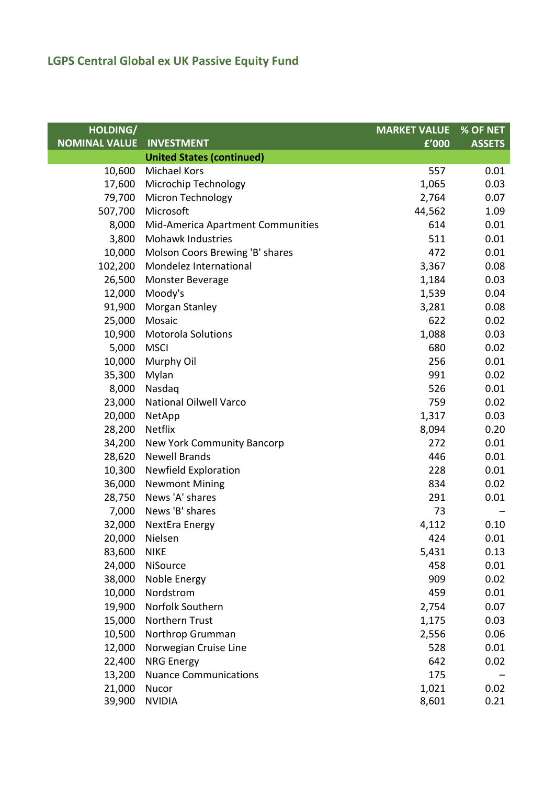| HOLDING/             |                                   | <b>MARKET VALUE</b> | % OF NET      |
|----------------------|-----------------------------------|---------------------|---------------|
| <b>NOMINAL VALUE</b> | <b>INVESTMENT</b>                 | £'000               | <b>ASSETS</b> |
|                      | <b>United States (continued)</b>  |                     |               |
| 10,600               | <b>Michael Kors</b>               | 557                 | 0.01          |
| 17,600               | Microchip Technology              | 1,065               | 0.03          |
| 79,700               | <b>Micron Technology</b>          | 2,764               | 0.07          |
| 507,700              | Microsoft                         | 44,562              | 1.09          |
| 8,000                | Mid-America Apartment Communities | 614                 | 0.01          |
| 3,800                | <b>Mohawk Industries</b>          | 511                 | 0.01          |
| 10,000               | Molson Coors Brewing 'B' shares   | 472                 | 0.01          |
| 102,200              | Mondelez International            | 3,367               | 0.08          |
| 26,500               | Monster Beverage                  | 1,184               | 0.03          |
| 12,000               | Moody's                           | 1,539               | 0.04          |
| 91,900               | Morgan Stanley                    | 3,281               | 0.08          |
| 25,000               | Mosaic                            | 622                 | 0.02          |
| 10,900               | <b>Motorola Solutions</b>         | 1,088               | 0.03          |
| 5,000                | <b>MSCI</b>                       | 680                 | 0.02          |
| 10,000               | Murphy Oil                        | 256                 | 0.01          |
| 35,300               | Mylan                             | 991                 | 0.02          |
| 8,000                | Nasdaq                            | 526                 | 0.01          |
| 23,000               | National Oilwell Varco            | 759                 | 0.02          |
| 20,000               | NetApp                            | 1,317               | 0.03          |
| 28,200               | <b>Netflix</b>                    | 8,094               | 0.20          |
| 34,200               | New York Community Bancorp        | 272                 | 0.01          |
| 28,620               | <b>Newell Brands</b>              | 446                 | 0.01          |
| 10,300               | Newfield Exploration              | 228                 | 0.01          |
| 36,000               | <b>Newmont Mining</b>             | 834                 | 0.02          |
| 28,750               | News 'A' shares                   | 291                 | 0.01          |
|                      | 7,000 News 'B' shares             | 73                  |               |
| 32,000               | NextEra Energy                    | 4,112               | 0.10          |
|                      | 20,000 Nielsen                    | 424                 | 0.01          |
| 83,600               | <b>NIKE</b>                       | 5,431               | 0.13          |
| 24,000               | NiSource                          | 458                 | 0.01          |
| 38,000               | Noble Energy                      | 909                 | 0.02          |
| 10,000               | Nordstrom                         | 459                 | 0.01          |
| 19,900               | Norfolk Southern                  | 2,754               | 0.07          |
| 15,000               | Northern Trust                    | 1,175               | 0.03          |
| 10,500               | Northrop Grumman                  | 2,556               | 0.06          |
| 12,000               | Norwegian Cruise Line             | 528                 | 0.01          |
| 22,400               | <b>NRG Energy</b>                 | 642                 | 0.02          |
| 13,200               | <b>Nuance Communications</b>      | 175                 |               |
| 21,000               | Nucor                             | 1,021               | 0.02          |
| 39,900               | <b>NVIDIA</b>                     | 8,601               | 0.21          |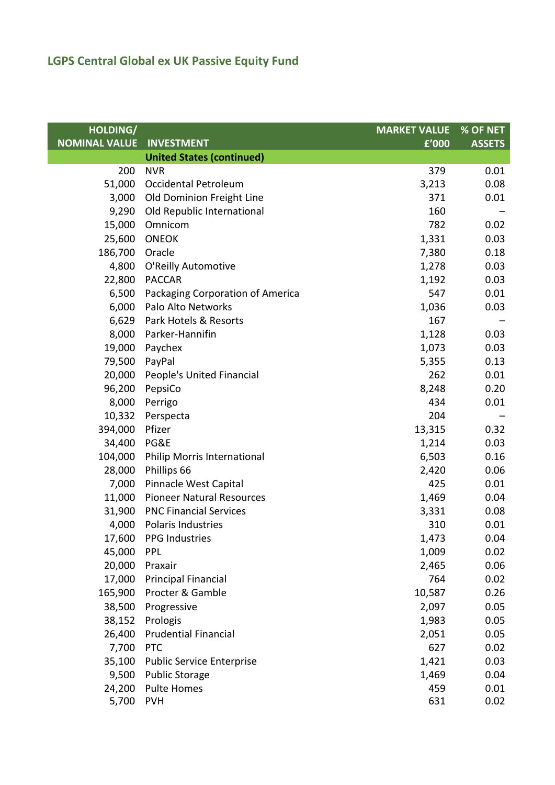| HOLDING/             |                                  | <b>MARKET VALUE</b> | % OF NET      |
|----------------------|----------------------------------|---------------------|---------------|
| <b>NOMINAL VALUE</b> | <b>INVESTMENT</b>                | f'000               | <b>ASSETS</b> |
|                      | <b>United States (continued)</b> |                     |               |
| 200                  | <b>NVR</b>                       | 379                 | 0.01          |
| 51,000               | Occidental Petroleum             | 3,213               | 0.08          |
| 3,000                | Old Dominion Freight Line        | 371                 | 0.01          |
| 9,290                | Old Republic International       | 160                 |               |
| 15,000               | Omnicom                          | 782                 | 0.02          |
| 25,600               | <b>ONEOK</b>                     | 1,331               | 0.03          |
| 186,700              | Oracle                           | 7,380               | 0.18          |
| 4,800                | O'Reilly Automotive              | 1,278               | 0.03          |
| 22,800               | <b>PACCAR</b>                    | 1,192               | 0.03          |
| 6,500                | Packaging Corporation of America | 547                 | 0.01          |
| 6,000                | Palo Alto Networks               | 1,036               | 0.03          |
| 6,629                | Park Hotels & Resorts            | 167                 |               |
| 8,000                | Parker-Hannifin                  | 1,128               | 0.03          |
| 19,000               | Paychex                          | 1,073               | 0.03          |
| 79,500               | PayPal                           | 5,355               | 0.13          |
| 20,000               | People's United Financial        | 262                 | 0.01          |
| 96,200               | PepsiCo                          | 8,248               | 0.20          |
| 8,000                | Perrigo                          | 434                 | 0.01          |
| 10,332               | Perspecta                        | 204                 |               |
| 394,000              | Pfizer                           | 13,315              | 0.32          |
| 34,400               | PG&E                             | 1,214               | 0.03          |
| 104,000              | Philip Morris International      | 6,503               | 0.16          |
| 28,000               | Phillips 66                      | 2,420               | 0.06          |
| 7,000                | Pinnacle West Capital            | 425                 | 0.01          |
| 11,000               | <b>Pioneer Natural Resources</b> | 1,469               | 0.04          |
|                      | 31,900 PNC Financial Services    | 3,331               | 0.08          |
| 4,000                | Polaris Industries               | 310                 | 0.01          |
|                      | 17,600 PPG Industries            | 1,473               | 0.04          |
| 45,000               | <b>PPL</b>                       | 1,009               | 0.02          |
| 20,000               | Praxair                          | 2,465               | 0.06          |
| 17,000               | <b>Principal Financial</b>       | 764                 | 0.02          |
| 165,900              | Procter & Gamble                 | 10,587              | 0.26          |
| 38,500               | Progressive                      | 2,097               | 0.05          |
| 38,152               | Prologis                         | 1,983               | 0.05          |
| 26,400               | <b>Prudential Financial</b>      | 2,051               | 0.05          |
| 7,700                | <b>PTC</b>                       | 627                 | 0.02          |
| 35,100               | <b>Public Service Enterprise</b> | 1,421               | 0.03          |
| 9,500                | <b>Public Storage</b>            | 1,469               | 0.04          |
| 24,200               | <b>Pulte Homes</b>               | 459                 | 0.01          |
| 5,700                | <b>PVH</b>                       | 631                 | 0.02          |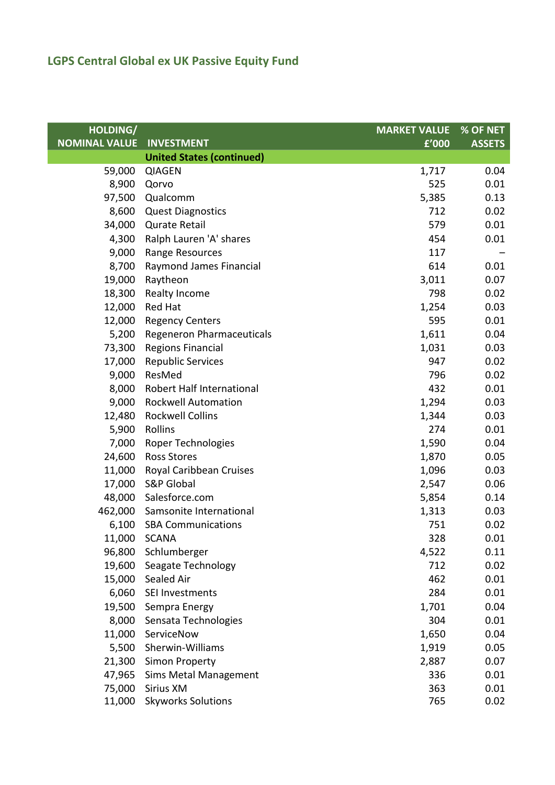| HOLDING/             |                                  | <b>MARKET VALUE</b> | % OF NET      |
|----------------------|----------------------------------|---------------------|---------------|
| <b>NOMINAL VALUE</b> | <b>INVESTMENT</b>                | $E'$ 000            | <b>ASSETS</b> |
|                      | <b>United States (continued)</b> |                     |               |
| 59,000               | <b>QIAGEN</b>                    | 1,717               | 0.04          |
| 8,900                | Qorvo                            | 525                 | 0.01          |
| 97,500               | Qualcomm                         | 5,385               | 0.13          |
| 8,600                | <b>Quest Diagnostics</b>         | 712                 | 0.02          |
| 34,000               | <b>Qurate Retail</b>             | 579                 | 0.01          |
| 4,300                | Ralph Lauren 'A' shares          | 454                 | 0.01          |
| 9,000                | Range Resources                  | 117                 |               |
| 8,700                | Raymond James Financial          | 614                 | 0.01          |
| 19,000               | Raytheon                         | 3,011               | 0.07          |
| 18,300               | Realty Income                    | 798                 | 0.02          |
| 12,000               | <b>Red Hat</b>                   | 1,254               | 0.03          |
| 12,000               | <b>Regency Centers</b>           | 595                 | 0.01          |
| 5,200                | <b>Regeneron Pharmaceuticals</b> | 1,611               | 0.04          |
| 73,300               | <b>Regions Financial</b>         | 1,031               | 0.03          |
| 17,000               | <b>Republic Services</b>         | 947                 | 0.02          |
| 9,000                | ResMed                           | 796                 | 0.02          |
| 8,000                | Robert Half International        | 432                 | 0.01          |
| 9,000                | <b>Rockwell Automation</b>       | 1,294               | 0.03          |
| 12,480               | <b>Rockwell Collins</b>          | 1,344               | 0.03          |
| 5,900                | Rollins                          | 274                 | 0.01          |
| 7,000                | Roper Technologies               | 1,590               | 0.04          |
| 24,600               | <b>Ross Stores</b>               | 1,870               | 0.05          |
| 11,000               | Royal Caribbean Cruises          | 1,096               | 0.03          |
| 17,000               | <b>S&amp;P Global</b>            | 2,547               | 0.06          |
| 48,000               | Salesforce.com                   | 5,854               | 0.14          |
|                      | 462,000 Samsonite International  | 1,313               | 0.03          |
| 6,100                | <b>SBA Communications</b>        | 751                 | 0.02          |
|                      | 11,000 SCANA                     | 328                 | 0.01          |
| 96,800               | Schlumberger                     | 4,522               | 0.11          |
| 19,600               | Seagate Technology               | 712                 | 0.02          |
| 15,000               | Sealed Air                       | 462                 | 0.01          |
| 6,060                | SEI Investments                  | 284                 | 0.01          |
| 19,500               | Sempra Energy                    | 1,701               | 0.04          |
| 8,000                | Sensata Technologies             | 304                 | 0.01          |
| 11,000               | ServiceNow                       | 1,650               | 0.04          |
| 5,500                | Sherwin-Williams                 | 1,919               | 0.05          |
| 21,300               | Simon Property                   | 2,887               | 0.07          |
| 47,965               | <b>Sims Metal Management</b>     | 336                 | 0.01          |
| 75,000               | Sirius XM                        | 363                 | 0.01          |
| 11,000               | <b>Skyworks Solutions</b>        | 765                 | 0.02          |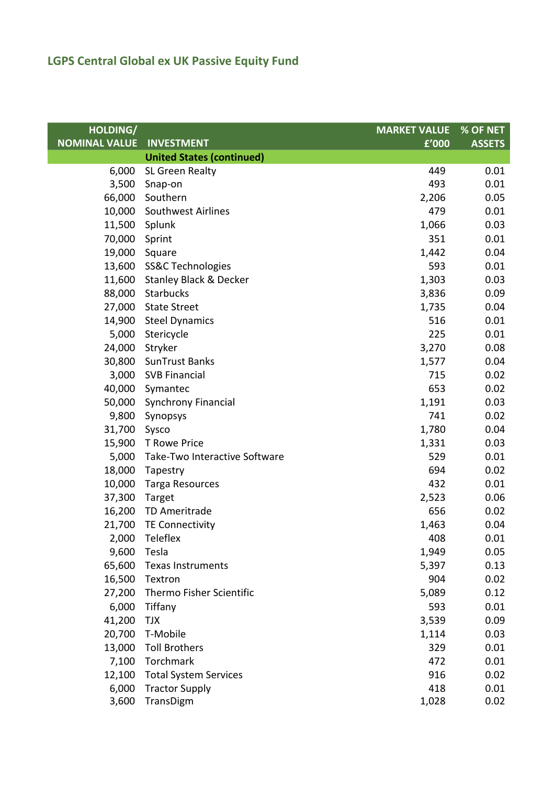| HOLDING/             |                                   | <b>MARKET VALUE</b> | % OF NET      |
|----------------------|-----------------------------------|---------------------|---------------|
| <b>NOMINAL VALUE</b> | <b>INVESTMENT</b>                 | f'000               | <b>ASSETS</b> |
|                      | <b>United States (continued)</b>  |                     |               |
| 6,000                | SL Green Realty                   | 449                 | 0.01          |
| 3,500                | Snap-on                           | 493                 | 0.01          |
| 66,000               | Southern                          | 2,206               | 0.05          |
| 10,000               | Southwest Airlines                | 479                 | 0.01          |
| 11,500               | Splunk                            | 1,066               | 0.03          |
| 70,000 Sprint        |                                   | 351                 | 0.01          |
| 19,000               | Square                            | 1,442               | 0.04          |
|                      | 13,600 SS&C Technologies          | 593                 | 0.01          |
| 11,600               | <b>Stanley Black &amp; Decker</b> | 1,303               | 0.03          |
| 88,000               | Starbucks                         | 3,836               | 0.09          |
| 27,000               | <b>State Street</b>               | 1,735               | 0.04          |
|                      | 14,900 Steel Dynamics             | 516                 | 0.01          |
| 5,000                | Stericycle                        | 225                 | 0.01          |
| 24,000               | Stryker                           | 3,270               | 0.08          |
|                      | 30,800 SunTrust Banks             | 1,577               | 0.04          |
|                      | 3,000 SVB Financial               | 715                 | 0.02          |
|                      | 40,000 Symantec                   | 653                 | 0.02          |
| 50,000               | <b>Synchrony Financial</b>        | 1,191               | 0.03          |
| 9,800                | Synopsys                          | 741                 | 0.02          |
| 31,700               | Sysco                             | 1,780               | 0.04          |
|                      | 15,900 T Rowe Price               | 1,331               | 0.03          |
| 5,000                | Take-Two Interactive Software     | 529                 | 0.01          |
| 18,000               | Tapestry                          | 694                 | 0.02          |
| 10,000               | <b>Targa Resources</b>            | 432                 | 0.01          |
| 37,300               | Target                            | 2,523               | 0.06          |
| 16,200               | TD Ameritrade                     | 656                 | 0.02          |
| 21,700               | <b>TE Connectivity</b>            | 1,463               | 0.04          |
|                      | 2,000 Teleflex                    | 408                 | 0.01          |
| 9,600                | Tesla                             | 1,949               | 0.05          |
| 65,600               | <b>Texas Instruments</b>          | 5,397               | 0.13          |
| 16,500               | Textron                           | 904                 | 0.02          |
| 27,200               | Thermo Fisher Scientific          | 5,089               | 0.12          |
| 6,000                | Tiffany                           | 593                 | 0.01          |
| 41,200               | TJX                               | 3,539               | 0.09          |
| 20,700               | T-Mobile                          | 1,114               | 0.03          |
| 13,000               | <b>Toll Brothers</b>              | 329                 | 0.01          |
| 7,100                | Torchmark                         | 472                 | 0.01          |
| 12,100               | <b>Total System Services</b>      | 916                 | 0.02          |
| 6,000                | <b>Tractor Supply</b>             | 418                 | 0.01          |
| 3,600                | TransDigm                         | 1,028               | 0.02          |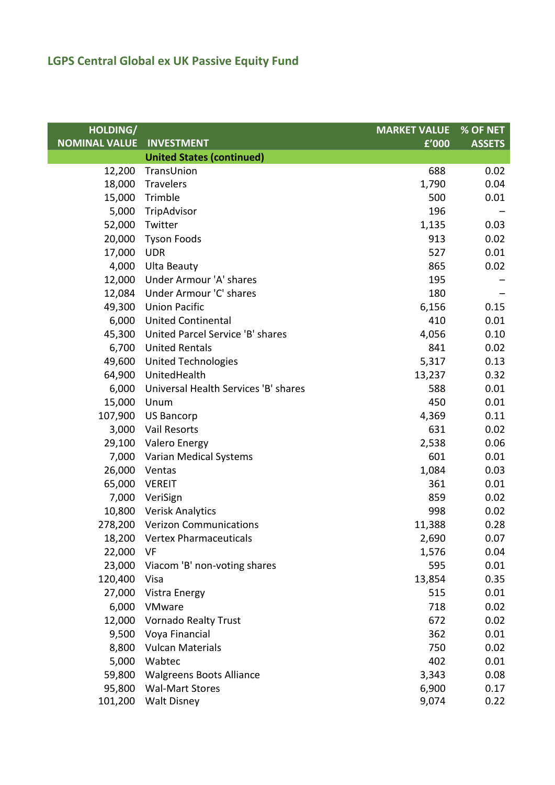## **LGPS Central Global ex UK Passive Equity Fund**

| HOLDING/             |                                      | <b>MARKET VALUE</b> | % OF NET      |
|----------------------|--------------------------------------|---------------------|---------------|
| <b>NOMINAL VALUE</b> | <b>INVESTMENT</b>                    | f'000               | <b>ASSETS</b> |
|                      | <b>United States (continued)</b>     |                     |               |
| 12,200               | TransUnion                           | 688                 | 0.02          |
| 18,000               | Travelers                            | 1,790               | 0.04          |
| 15,000               | Trimble                              | 500                 | 0.01          |
| 5,000                | TripAdvisor                          | 196                 |               |
| 52,000               | Twitter                              | 1,135               | 0.03          |
| 20,000               | <b>Tyson Foods</b>                   | 913                 | 0.02          |
| 17,000               | <b>UDR</b>                           | 527                 | 0.01          |
| 4,000                | <b>Ulta Beauty</b>                   | 865                 | 0.02          |
| 12,000               | Under Armour 'A' shares              | 195                 |               |
| 12,084               | Under Armour 'C' shares              | 180                 |               |
| 49,300               | <b>Union Pacific</b>                 | 6,156               | 0.15          |
| 6,000                | <b>United Continental</b>            | 410                 | 0.01          |
| 45,300               | United Parcel Service 'B' shares     | 4,056               | 0.10          |
| 6,700                | <b>United Rentals</b>                | 841                 | 0.02          |
| 49,600               | <b>United Technologies</b>           | 5,317               | 0.13          |
| 64,900               | UnitedHealth                         | 13,237              | 0.32          |
| 6,000                | Universal Health Services 'B' shares | 588                 | 0.01          |
| 15,000               | Unum                                 | 450                 | 0.01          |
| 107,900              | <b>US Bancorp</b>                    | 4,369               | 0.11          |
| 3,000                | Vail Resorts                         | 631                 | 0.02          |
| 29,100               | Valero Energy                        | 2,538               | 0.06          |
| 7,000                | Varian Medical Systems               | 601                 | 0.01          |
| 26,000               | Ventas                               | 1,084               | 0.03          |
| 65,000               | <b>VEREIT</b>                        | 361                 | 0.01          |
|                      | 7,000 VeriSign                       | 859                 | 0.02          |
|                      | 10,800 Verisk Analytics              | 998                 | 0.02          |
|                      | 278,200 Verizon Communications       | 11,388              | 0.28          |
|                      | 18,200 Vertex Pharmaceuticals        | 2,690               | 0.07          |
| 22,000               | VF                                   | 1,576               | 0.04          |
| 23,000               | Viacom 'B' non-voting shares         | 595                 | 0.01          |
| 120,400              | Visa                                 | 13,854              | 0.35          |
| 27,000               | Vistra Energy                        | 515                 | 0.01          |
| 6,000                | VMware                               | 718                 | 0.02          |
| 12,000               | <b>Vornado Realty Trust</b>          | 672                 | 0.02          |
| 9,500                | Voya Financial                       | 362                 | 0.01          |
| 8,800                | <b>Vulcan Materials</b>              | 750                 | 0.02          |
| 5,000                | Wabtec                               | 402                 | 0.01          |
| 59,800               | <b>Walgreens Boots Alliance</b>      | 3,343               | 0.08          |
| 95,800               | <b>Wal-Mart Stores</b>               | 6,900               | 0.17          |
| 101,200              | Walt Disney                          | 9,074               | 0.22          |